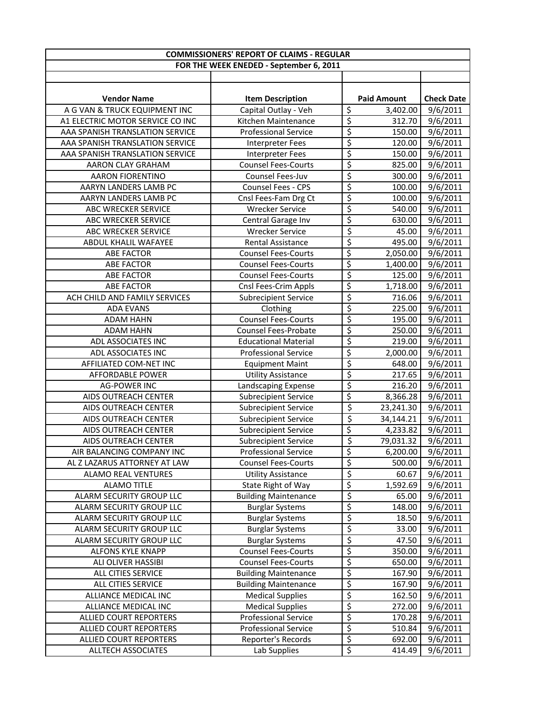| <b>COMMISSIONERS' REPORT OF CLAIMS - REGULAR</b> |                             |                          |                    |                   |
|--------------------------------------------------|-----------------------------|--------------------------|--------------------|-------------------|
| FOR THE WEEK ENEDED - September 6, 2011          |                             |                          |                    |                   |
|                                                  |                             |                          |                    |                   |
|                                                  |                             |                          |                    |                   |
| <b>Vendor Name</b>                               | <b>Item Description</b>     |                          | <b>Paid Amount</b> | <b>Check Date</b> |
| A G VAN & TRUCK EQUIPMENT INC                    | Capital Outlay - Veh        | \$                       | 3,402.00           | 9/6/2011          |
| A1 ELECTRIC MOTOR SERVICE CO INC                 | Kitchen Maintenance         | \$                       | 312.70             | 9/6/2011          |
| AAA SPANISH TRANSLATION SERVICE                  | <b>Professional Service</b> | $\overline{\varsigma}$   | 150.00             | 9/6/2011          |
| AAA SPANISH TRANSLATION SERVICE                  | <b>Interpreter Fees</b>     | \$                       | 120.00             | 9/6/2011          |
| AAA SPANISH TRANSLATION SERVICE                  | <b>Interpreter Fees</b>     | \$                       | 150.00             | 9/6/2011          |
| AARON CLAY GRAHAM                                | <b>Counsel Fees-Courts</b>  | $\overline{\xi}$         | 825.00             | 9/6/2011          |
| <b>AARON FIORENTINO</b>                          | Counsel Fees-Juv            | $\overline{\xi}$         | 300.00             | 9/6/2011          |
| AARYN LANDERS LAMB PC                            | Counsel Fees - CPS          | \$                       | 100.00             | 9/6/2011          |
| AARYN LANDERS LAMB PC                            | Cnsl Fees-Fam Drg Ct        | \$                       | 100.00             | 9/6/2011          |
| ABC WRECKER SERVICE                              | <b>Wrecker Service</b>      | $\overline{\xi}$         | 540.00             | 9/6/2011          |
| ABC WRECKER SERVICE                              | Central Garage Inv          | \$                       | 630.00             | 9/6/2011          |
| <b>ABC WRECKER SERVICE</b>                       | <b>Wrecker Service</b>      | \$                       | 45.00              | 9/6/2011          |
| ABDUL KHALIL WAFAYEE                             | Rental Assistance           | \$                       | 495.00             | 9/6/2011          |
| <b>ABE FACTOR</b>                                | <b>Counsel Fees-Courts</b>  | \$                       | 2,050.00           | 9/6/2011          |
| <b>ABE FACTOR</b>                                | <b>Counsel Fees-Courts</b>  | \$                       | 1,400.00           | 9/6/2011          |
| <b>ABE FACTOR</b>                                | <b>Counsel Fees-Courts</b>  | \$                       | 125.00             | 9/6/2011          |
| <b>ABE FACTOR</b>                                | Cnsl Fees-Crim Appls        | \$                       | 1,718.00           | 9/6/2011          |
| ACH CHILD AND FAMILY SERVICES                    | <b>Subrecipient Service</b> | $\overline{\mathcal{S}}$ | 716.06             | 9/6/2011          |
| <b>ADA EVANS</b>                                 | Clothing                    | \$                       | 225.00             | 9/6/2011          |
| <b>ADAM HAHN</b>                                 | <b>Counsel Fees-Courts</b>  | $\overline{\xi}$         | 195.00             | 9/6/2011          |
| ADAM HAHN                                        | <b>Counsel Fees-Probate</b> | \$                       | 250.00             | 9/6/2011          |
| ADL ASSOCIATES INC                               | <b>Educational Material</b> | \$                       | 219.00             | 9/6/2011          |
| ADL ASSOCIATES INC                               | <b>Professional Service</b> | \$                       | 2,000.00           | 9/6/2011          |
| AFFILIATED COM-NET INC                           | <b>Equipment Maint</b>      | \$                       | 648.00             | 9/6/2011          |
| AFFORDABLE POWER                                 | <b>Utility Assistance</b>   | \$                       | 217.65             | 9/6/2011          |
| <b>AG-POWER INC</b>                              | Landscaping Expense         | \$                       | 216.20             | 9/6/2011          |
| AIDS OUTREACH CENTER                             | <b>Subrecipient Service</b> | \$                       | 8,366.28           | 9/6/2011          |
| AIDS OUTREACH CENTER                             | <b>Subrecipient Service</b> | \$                       | 23,241.30          | 9/6/2011          |
| AIDS OUTREACH CENTER                             | <b>Subrecipient Service</b> | \$                       | 34,144.21          | 9/6/2011          |
| AIDS OUTREACH CENTER                             | <b>Subrecipient Service</b> | \$                       | 4,233.82           | 9/6/2011          |
| AIDS OUTREACH CENTER                             | <b>Subrecipient Service</b> | \$                       | 79,031.32          | 9/6/2011          |
| AIR BALANCING COMPANY INC                        | <b>Professional Service</b> | \$                       | 6,200.00           | 9/6/2011          |
| AL Z LAZARUS ATTORNEY AT LAW                     | <b>Counsel Fees-Courts</b>  | \$                       | 500.00             | 9/6/2011          |
| <b>ALAMO REAL VENTURES</b>                       | <b>Utility Assistance</b>   | \$                       | 60.67              | 9/6/2011          |
| <b>ALAMO TITLE</b>                               | State Right of Way          | \$                       | 1,592.69           | 9/6/2011          |
| ALARM SECURITY GROUP LLC                         | <b>Building Maintenance</b> | \$                       | 65.00              | 9/6/2011          |
| ALARM SECURITY GROUP LLC                         | <b>Burglar Systems</b>      | \$                       | 148.00             | 9/6/2011          |
| ALARM SECURITY GROUP LLC                         | <b>Burglar Systems</b>      | \$                       | 18.50              | 9/6/2011          |
| ALARM SECURITY GROUP LLC                         | <b>Burglar Systems</b>      | \$                       | 33.00              | 9/6/2011          |
| ALARM SECURITY GROUP LLC                         | <b>Burglar Systems</b>      | \$                       | 47.50              | 9/6/2011          |
| ALFONS KYLE KNAPP                                | <b>Counsel Fees-Courts</b>  | $\overline{\xi}$         | 350.00             | 9/6/2011          |
| ALI OLIVER HASSIBI                               | <b>Counsel Fees-Courts</b>  | \$                       | 650.00             | 9/6/2011          |
| ALL CITIES SERVICE                               | <b>Building Maintenance</b> | $\overline{\xi}$         | 167.90             | 9/6/2011          |
| ALL CITIES SERVICE                               | <b>Building Maintenance</b> | \$                       | 167.90             | 9/6/2011          |
| ALLIANCE MEDICAL INC                             | <b>Medical Supplies</b>     | $\overline{\mathcal{S}}$ | 162.50             | 9/6/2011          |
| ALLIANCE MEDICAL INC                             | <b>Medical Supplies</b>     | $\overline{\mathsf{S}}$  | 272.00             | 9/6/2011          |
| <b>ALLIED COURT REPORTERS</b>                    | <b>Professional Service</b> | \$                       | 170.28             | 9/6/2011          |
| ALLIED COURT REPORTERS                           | <b>Professional Service</b> | \$                       | 510.84             | 9/6/2011          |
| ALLIED COURT REPORTERS                           | Reporter's Records          | \$                       | 692.00             | 9/6/2011          |
| ALLTECH ASSOCIATES                               | Lab Supplies                | $\overline{\xi}$         | 414.49             | 9/6/2011          |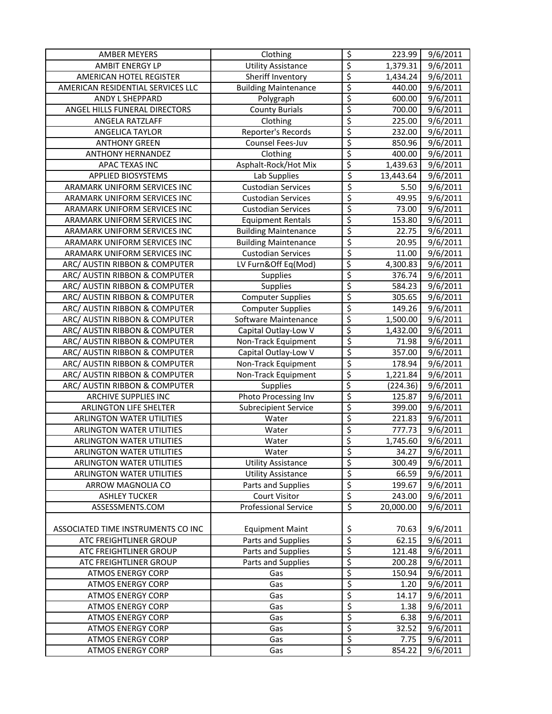| AMBER MEYERS                       | Clothing                    | $\overline{\mathcal{S}}$        | 223.99    | 9/6/2011              |
|------------------------------------|-----------------------------|---------------------------------|-----------|-----------------------|
| <b>AMBIT ENERGY LP</b>             | <b>Utility Assistance</b>   | $\overline{\xi}$                | 1,379.31  | 9/6/2011              |
| AMERICAN HOTEL REGISTER            | Sheriff Inventory           | $\overline{\varsigma}$          | 1,434.24  | 9/6/2011              |
| AMERICAN RESIDENTIAL SERVICES LLC  | <b>Building Maintenance</b> | $\overline{\xi}$                | 440.00    | 9/6/2011              |
| ANDY L SHEPPARD                    | Polygraph                   | $\overline{\xi}$                | 600.00    | 9/6/2011              |
| ANGEL HILLS FUNERAL DIRECTORS      | <b>County Burials</b>       | \$                              | 700.00    | 9/6/2011              |
| ANGELA RATZLAFF                    | Clothing                    | \$                              | 225.00    | $\overline{9}/6/2011$ |
| ANGELICA TAYLOR                    | Reporter's Records          | \$                              | 232.00    | 9/6/2011              |
| <b>ANTHONY GREEN</b>               | Counsel Fees-Juv            | \$                              | 850.96    | 9/6/2011              |
| <b>ANTHONY HERNANDEZ</b>           | Clothing                    | \$                              | 400.00    | 9/6/2011              |
| APAC TEXAS INC                     | Asphalt-Rock/Hot Mix        | \$                              | 1,439.63  | 9/6/2011              |
| <b>APPLIED BIOSYSTEMS</b>          | Lab Supplies                | \$                              | 13,443.64 | 9/6/2011              |
| ARAMARK UNIFORM SERVICES INC       | <b>Custodian Services</b>   | $\overline{\varsigma}$          | 5.50      | 9/6/2011              |
| ARAMARK UNIFORM SERVICES INC       | <b>Custodian Services</b>   | $\overline{\xi}$                | 49.95     | 9/6/2011              |
| ARAMARK UNIFORM SERVICES INC       | <b>Custodian Services</b>   | $\overline{\varsigma}$          | 73.00     | 9/6/2011              |
| ARAMARK UNIFORM SERVICES INC       | <b>Equipment Rentals</b>    | $\overline{\xi}$                | 153.80    | 9/6/2011              |
| ARAMARK UNIFORM SERVICES INC       | <b>Building Maintenance</b> | $\overline{\varsigma}$          | 22.75     | 9/6/2011              |
| ARAMARK UNIFORM SERVICES INC       | <b>Building Maintenance</b> | \$                              | 20.95     | 9/6/2011              |
| ARAMARK UNIFORM SERVICES INC       | <b>Custodian Services</b>   | $\overline{\xi}$                | 11.00     | 9/6/2011              |
| ARC/ AUSTIN RIBBON & COMPUTER      | LV Furn&Off Eq(Mod)         | \$                              | 4,300.83  | 9/6/2011              |
| ARC/ AUSTIN RIBBON & COMPUTER      | Supplies                    | \$                              | 376.74    | 9/6/2011              |
| ARC/ AUSTIN RIBBON & COMPUTER      | Supplies                    | \$                              | 584.23    | 9/6/2011              |
| ARC/ AUSTIN RIBBON & COMPUTER      | <b>Computer Supplies</b>    | \$                              | 305.65    | 9/6/2011              |
| ARC/ AUSTIN RIBBON & COMPUTER      | <b>Computer Supplies</b>    | \$                              | 149.26    | 9/6/2011              |
| ARC/ AUSTIN RIBBON & COMPUTER      | Software Maintenance        | $\overline{\xi}$                | 1,500.00  | 9/6/2011              |
| ARC/ AUSTIN RIBBON & COMPUTER      | Capital Outlay-Low V        | \$                              | 1,432.00  | 9/6/2011              |
| ARC/ AUSTIN RIBBON & COMPUTER      | Non-Track Equipment         | $\overline{\xi}$                | 71.98     | 9/6/2011              |
| ARC/ AUSTIN RIBBON & COMPUTER      | Capital Outlay-Low V        | $\overline{\xi}$                | 357.00    | 9/6/2011              |
| ARC/ AUSTIN RIBBON & COMPUTER      | Non-Track Equipment         | $\overline{\xi}$                | 178.94    | 9/6/2011              |
| ARC/ AUSTIN RIBBON & COMPUTER      | Non-Track Equipment         | $\overline{\boldsymbol{\zeta}}$ | 1,221.84  | 9/6/2011              |
| ARC/ AUSTIN RIBBON & COMPUTER      | <b>Supplies</b>             | \$                              | (224.36)  | 9/6/2011              |
| ARCHIVE SUPPLIES INC               | Photo Processing Inv        | \$                              | 125.87    | $\overline{9}/6/2011$ |
| ARLINGTON LIFE SHELTER             | Subrecipient Service        | \$                              | 399.00    | 9/6/2011              |
| <b>ARLINGTON WATER UTILITIES</b>   | Water                       | \$                              | 221.83    | 9/6/2011              |
| <b>ARLINGTON WATER UTILITIES</b>   | Water                       | \$                              | 777.73    | 9/6/2011              |
| <b>ARLINGTON WATER UTILITIES</b>   | Water                       | \$                              | 1,745.60  | 9/6/2011              |
| <b>ARLINGTON WATER UTILITIES</b>   | Water                       | Ś                               | 34.27     | 9/6/2011              |
| <b>ARLINGTON WATER UTILITIES</b>   | <b>Utility Assistance</b>   | $\overline{\xi}$                | 300.49    | 9/6/2011              |
| <b>ARLINGTON WATER UTILITIES</b>   | <b>Utility Assistance</b>   | $\overline{\varsigma}$          | 66.59     | 9/6/2011              |
| ARROW MAGNOLIA CO                  | Parts and Supplies          | \$                              | 199.67    | 9/6/2011              |
| <b>ASHLEY TUCKER</b>               | <b>Court Visitor</b>        | $\varsigma$                     | 243.00    | 9/6/2011              |
| ASSESSMENTS.COM                    | <b>Professional Service</b> | \$                              | 20,000.00 | 9/6/2011              |
|                                    |                             |                                 |           |                       |
| ASSOCIATED TIME INSTRUMENTS CO INC | <b>Equipment Maint</b>      | \$                              | 70.63     | 9/6/2011              |
| ATC FREIGHTLINER GROUP             | Parts and Supplies          | \$                              | 62.15     | 9/6/2011              |
| ATC FREIGHTLINER GROUP             | Parts and Supplies          | \$                              | 121.48    | 9/6/2011              |
| ATC FREIGHTLINER GROUP             | Parts and Supplies          | \$                              | 200.28    | 9/6/2011              |
| <b>ATMOS ENERGY CORP</b>           | Gas                         | \$                              | 150.94    | 9/6/2011              |
| <b>ATMOS ENERGY CORP</b>           | Gas                         | \$                              | 1.20      | 9/6/2011              |
| <b>ATMOS ENERGY CORP</b>           | Gas                         | \$                              | 14.17     | 9/6/2011              |
| <b>ATMOS ENERGY CORP</b>           | Gas                         | $\overline{\xi}$                | 1.38      | 9/6/2011              |
| <b>ATMOS ENERGY CORP</b>           | Gas                         | \$                              | 6.38      | 9/6/2011              |
| <b>ATMOS ENERGY CORP</b>           | Gas                         | \$                              | 32.52     | 9/6/2011              |
| <b>ATMOS ENERGY CORP</b>           | Gas                         | $\varsigma$                     | 7.75      | 9/6/2011              |
| <b>ATMOS ENERGY CORP</b>           | Gas                         | $\overline{\xi}$                | 854.22    | $\overline{9}/6/2011$ |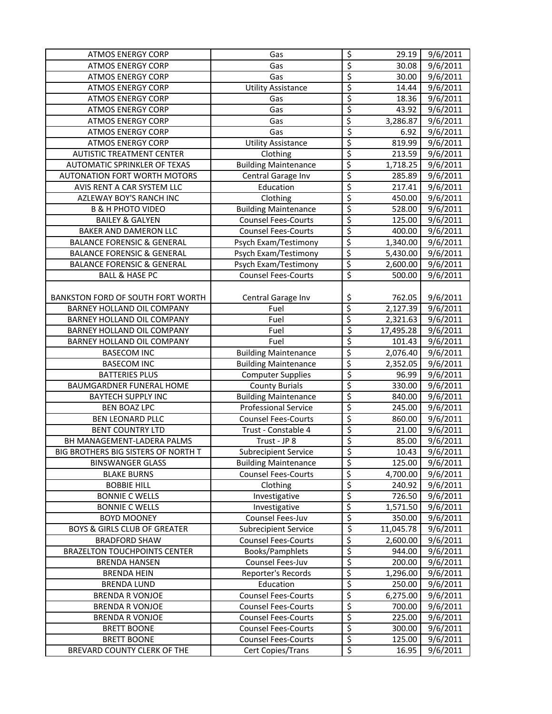| <b>ATMOS ENERGY CORP</b>                | Gas                         | $\overline{\varsigma}$          | 29.19                 | 9/6/2011              |
|-----------------------------------------|-----------------------------|---------------------------------|-----------------------|-----------------------|
| <b>ATMOS ENERGY CORP</b>                | Gas                         | \$                              | 30.08                 | 9/6/2011              |
| <b>ATMOS ENERGY CORP</b>                | Gas                         | $\varsigma$                     | 30.00                 | 9/6/2011              |
| <b>ATMOS ENERGY CORP</b>                | <b>Utility Assistance</b>   | \$                              | 14.44                 | 9/6/2011              |
| <b>ATMOS ENERGY CORP</b>                | Gas                         | \$                              | 18.36                 | 9/6/2011              |
| <b>ATMOS ENERGY CORP</b>                | Gas                         | \$                              | 43.92                 | 9/6/2011              |
| <b>ATMOS ENERGY CORP</b>                | Gas                         | \$                              | 3,286.87              | 9/6/2011              |
| <b>ATMOS ENERGY CORP</b>                | Gas                         | \$                              | 6.92                  | 9/6/2011              |
| <b>ATMOS ENERGY CORP</b>                | Utility Assistance          | \$                              | 819.99                | 9/6/2011              |
| <b>AUTISTIC TREATMENT CENTER</b>        | Clothing                    | \$                              | 213.59                | 9/6/2011              |
| <b>AUTOMATIC SPRINKLER OF TEXAS</b>     | <b>Building Maintenance</b> | \$                              | 1,718.25              | 9/6/2011              |
| AUTONATION FORT WORTH MOTORS            | Central Garage Inv          | \$                              | 285.89                | 9/6/2011              |
| AVIS RENT A CAR SYSTEM LLC              | Education                   | $\overline{\xi}$                | 217.41                | 9/6/2011              |
| AZLEWAY BOY'S RANCH INC                 | Clothing                    | \$                              | 450.00                | 9/6/2011              |
| <b>B &amp; H PHOTO VIDEO</b>            | <b>Building Maintenance</b> | \$                              | 528.00                | 9/6/2011              |
| <b>BAILEY &amp; GALYEN</b>              | <b>Counsel Fees-Courts</b>  | \$                              | 125.00                | 9/6/2011              |
| BAKER AND DAMERON LLC                   | <b>Counsel Fees-Courts</b>  | \$                              | 400.00                | 9/6/2011              |
| <b>BALANCE FORENSIC &amp; GENERAL</b>   | Psych Exam/Testimony        | \$                              | $\overline{1,}340.00$ | 9/6/2011              |
| <b>BALANCE FORENSIC &amp; GENERAL</b>   | Psych Exam/Testimony        | \$                              | 5,430.00              | 9/6/2011              |
| <b>BALANCE FORENSIC &amp; GENERAL</b>   | Psych Exam/Testimony        | \$                              | 2,600.00              | 9/6/2011              |
| <b>BALL &amp; HASE PC</b>               | <b>Counsel Fees-Courts</b>  | \$                              | 500.00                | 9/6/2011              |
|                                         |                             |                                 |                       |                       |
| BANKSTON FORD OF SOUTH FORT WORTH       | Central Garage Inv          | \$                              | 762.05                | 9/6/2011              |
| BARNEY HOLLAND OIL COMPANY              | Fuel                        | \$                              | 2,127.39              | 9/6/2011              |
| BARNEY HOLLAND OIL COMPANY              | Fuel                        | \$                              | 2,321.63              | 9/6/2011              |
| BARNEY HOLLAND OIL COMPANY              | Fuel                        | \$                              | 17,495.28             | 9/6/2011              |
| BARNEY HOLLAND OIL COMPANY              | Fuel                        | \$                              | 101.43                | 9/6/2011              |
| <b>BASECOM INC</b>                      | <b>Building Maintenance</b> | \$                              | 2,076.40              | 9/6/2011              |
| <b>BASECOM INC</b>                      | <b>Building Maintenance</b> | \$                              | 2,352.05              | 9/6/2011              |
| <b>BATTERIES PLUS</b>                   | <b>Computer Supplies</b>    | \$                              | 96.99                 | $\overline{9}/6/2011$ |
| BAUMGARDNER FUNERAL HOME                | <b>County Burials</b>       | \$                              | 330.00                | 9/6/2011              |
| <b>BAYTECH SUPPLY INC</b>               | <b>Building Maintenance</b> | \$                              | 840.00                | 9/6/2011              |
| <b>BEN BOAZ LPC</b>                     | <b>Professional Service</b> | \$                              | 245.00                | 9/6/2011              |
| <b>BEN LEONARD PLLC</b>                 | <b>Counsel Fees-Courts</b>  | \$                              | 860.00                | 9/6/2011              |
| <b>BENT COUNTRY LTD</b>                 | Trust - Constable 4         | \$                              | 21.00                 | 9/6/2011              |
| BH MANAGEMENT-LADERA PALMS              | Trust - JP 8                | \$                              | 85.00                 | 9/6/2011              |
| BIG BROTHERS BIG SISTERS OF NORTH T     | Subrecipient Service        | \$                              | 10.43                 | 9/6/2011              |
| <b>BINSWANGER GLASS</b>                 | <b>Building Maintenance</b> | $\overline{\xi}$                | 125.00                | 9/6/2011              |
| <b>BLAKE BURNS</b>                      | <b>Counsel Fees-Courts</b>  | \$                              | 4,700.00              | 9/6/2011              |
| <b>BOBBIE HILL</b>                      | Clothing                    | \$                              | 240.92                | 9/6/2011              |
| <b>BONNIE C WELLS</b>                   | Investigative               | \$                              | 726.50                | 9/6/2011              |
| <b>BONNIE C WELLS</b>                   | Investigative               | \$                              | 1,571.50              | 9/6/2011              |
| <b>BOYD MOONEY</b>                      | Counsel Fees-Juv            | \$                              | 350.00                | 9/6/2011              |
| <b>BOYS &amp; GIRLS CLUB OF GREATER</b> | <b>Subrecipient Service</b> | \$                              | 11,045.78             | 9/6/2011              |
| <b>BRADFORD SHAW</b>                    | <b>Counsel Fees-Courts</b>  | \$                              | 2,600.00              | 9/6/2011              |
| <b>BRAZELTON TOUCHPOINTS CENTER</b>     | Books/Pamphlets             | $\overline{\mathcal{L}}$        | 944.00                | 9/6/2011              |
| <b>BRENDA HANSEN</b>                    | Counsel Fees-Juv            | \$                              | 200.00                | 9/6/2011              |
| <b>BRENDA HEIN</b>                      | Reporter's Records          | \$                              | 1,296.00              | 9/6/2011              |
| <b>BRENDA LUND</b>                      | Education                   | \$                              | 250.00                | 9/6/2011              |
| <b>BRENDA R VONJOE</b>                  | <b>Counsel Fees-Courts</b>  | \$                              | 6,275.00              | 9/6/2011              |
| <b>BRENDA R VONJOE</b>                  | <b>Counsel Fees-Courts</b>  | $\overline{\boldsymbol{\zeta}}$ | 700.00                | 9/6/2011              |
| <b>BRENDA R VONJOE</b>                  | <b>Counsel Fees-Courts</b>  | \$                              | 225.00                | 9/6/2011              |
| <b>BRETT BOONE</b>                      | <b>Counsel Fees-Courts</b>  | $\overline{\xi}$                | 300.00                | 9/6/2011              |
| <b>BRETT BOONE</b>                      | <b>Counsel Fees-Courts</b>  | $\overline{\xi}$                | 125.00                | 9/6/2011              |
| BREVARD COUNTY CLERK OF THE             | Cert Copies/Trans           | \$                              | 16.95                 | 9/6/2011              |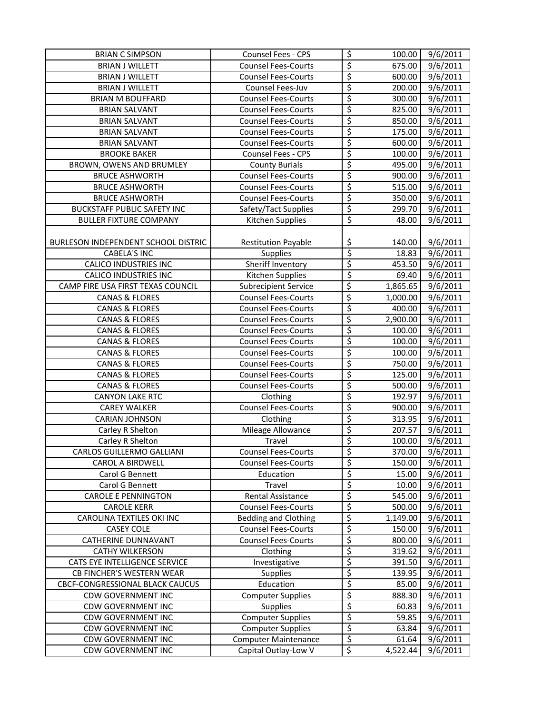| <b>BRIAN C SIMPSON</b>              | Counsel Fees - CPS          | \$               | 100.00   | 9/6/2011              |
|-------------------------------------|-----------------------------|------------------|----------|-----------------------|
| <b>BRIAN J WILLETT</b>              | <b>Counsel Fees-Courts</b>  | $\overline{\xi}$ | 675.00   | 9/6/2011              |
| <b>BRIAN J WILLETT</b>              | <b>Counsel Fees-Courts</b>  | \$               | 600.00   | 9/6/2011              |
| <b>BRIAN J WILLETT</b>              | Counsel Fees-Juv            | \$               | 200.00   | 9/6/2011              |
| <b>BRIAN M BOUFFARD</b>             | <b>Counsel Fees-Courts</b>  | \$               | 300.00   | 9/6/2011              |
| <b>BRIAN SALVANT</b>                | <b>Counsel Fees-Courts</b>  | \$               | 825.00   | $\frac{1}{9}$ /6/2011 |
| <b>BRIAN SALVANT</b>                | <b>Counsel Fees-Courts</b>  | $\overline{\xi}$ | 850.00   | $\overline{9}/6/2011$ |
| <b>BRIAN SALVANT</b>                | <b>Counsel Fees-Courts</b>  | \$               | 175.00   | 9/6/2011              |
| <b>BRIAN SALVANT</b>                | <b>Counsel Fees-Courts</b>  | \$               | 600.00   | 9/6/2011              |
| <b>BROOKE BAKER</b>                 | Counsel Fees - CPS          | \$               | 100.00   | 9/6/2011              |
| BROWN, OWENS AND BRUMLEY            | <b>County Burials</b>       | \$               | 495.00   | 9/6/2011              |
| <b>BRUCE ASHWORTH</b>               | <b>Counsel Fees-Courts</b>  | \$               | 900.00   | 9/6/2011              |
| <b>BRUCE ASHWORTH</b>               | <b>Counsel Fees-Courts</b>  | \$               | 515.00   | 9/6/2011              |
| <b>BRUCE ASHWORTH</b>               | <b>Counsel Fees-Courts</b>  | $\overline{\xi}$ | 350.00   | 9/6/2011              |
| <b>BUCKSTAFF PUBLIC SAFETY INC</b>  | Safety/Tact Supplies        | \$               | 299.70   | 9/6/2011              |
| <b>BULLER FIXTURE COMPANY</b>       | Kitchen Supplies            | $\overline{\xi}$ | 48.00    | 9/6/2011              |
|                                     |                             |                  |          |                       |
| BURLESON INDEPENDENT SCHOOL DISTRIC | <b>Restitution Payable</b>  | \$               | 140.00   | 9/6/2011              |
| <b>CABELA'S INC</b>                 | <b>Supplies</b>             | \$               | 18.83    | 9/6/2011              |
| <b>CALICO INDUSTRIES INC</b>        | Sheriff Inventory           | \$               | 453.50   | 9/6/2011              |
| <b>CALICO INDUSTRIES INC</b>        | Kitchen Supplies            | \$               | 69.40    | 9/6/2011              |
| CAMP FIRE USA FIRST TEXAS COUNCIL   | <b>Subrecipient Service</b> | \$               | 1,865.65 | 9/6/2011              |
| <b>CANAS &amp; FLORES</b>           | <b>Counsel Fees-Courts</b>  | \$               | 1,000.00 | 9/6/2011              |
| <b>CANAS &amp; FLORES</b>           | <b>Counsel Fees-Courts</b>  | \$               | 400.00   | 9/6/2011              |
| <b>CANAS &amp; FLORES</b>           | <b>Counsel Fees-Courts</b>  | \$               | 2,900.00 | 9/6/2011              |
| <b>CANAS &amp; FLORES</b>           | <b>Counsel Fees-Courts</b>  | \$               | 100.00   | 9/6/2011              |
| <b>CANAS &amp; FLORES</b>           | <b>Counsel Fees-Courts</b>  | \$               | 100.00   | 9/6/2011              |
| <b>CANAS &amp; FLORES</b>           | <b>Counsel Fees-Courts</b>  | \$               | 100.00   | 9/6/2011              |
| <b>CANAS &amp; FLORES</b>           | <b>Counsel Fees-Courts</b>  | \$               | 750.00   | 9/6/2011              |
| <b>CANAS &amp; FLORES</b>           | <b>Counsel Fees-Courts</b>  | $\overline{\xi}$ | 125.00   | $\frac{1}{9}$ /6/2011 |
| <b>CANAS &amp; FLORES</b>           | <b>Counsel Fees-Courts</b>  | \$               | 500.00   | 9/6/2011              |
| <b>CANYON LAKE RTC</b>              | Clothing                    | \$               | 192.97   | $\overline{9}/6/2011$ |
| <b>CAREY WALKER</b>                 | <b>Counsel Fees-Courts</b>  | \$               | 900.00   | 9/6/2011              |
| <b>CARIAN JOHNSON</b>               | Clothing                    | \$               | 313.95   | 9/6/2011              |
| Carley R Shelton                    | Mileage Allowance           | \$               | 207.57   | 9/6/2011              |
| Carley R Shelton                    | Travel                      | \$               | 100.00   | 9/6/2011              |
| CARLOS GUILLERMO GALLIANI           | <b>Counsel Fees-Courts</b>  | \$               | 370.00   | 9/6/2011              |
| <b>CAROL A BIRDWELL</b>             | <b>Counsel Fees-Courts</b>  | \$               | 150.00   | 9/6/2011              |
| Carol G Bennett                     | Education                   | \$               | 15.00    | 9/6/2011              |
| Carol G Bennett                     | Travel                      | \$               | 10.00    | 9/6/2011              |
| <b>CAROLE E PENNINGTON</b>          | Rental Assistance           | \$               | 545.00   | 9/6/2011              |
| <b>CAROLE KERR</b>                  | <b>Counsel Fees-Courts</b>  | \$               | 500.00   | 9/6/2011              |
| CAROLINA TEXTILES OKI INC           | <b>Bedding and Clothing</b> | \$               | 1,149.00 | 9/6/2011              |
| <b>CASEY COLE</b>                   | <b>Counsel Fees-Courts</b>  | \$               | 150.00   | 9/6/2011              |
| <b>CATHERINE DUNNAVANT</b>          | <b>Counsel Fees-Courts</b>  | \$               | 800.00   | 9/6/2011              |
| <b>CATHY WILKERSON</b>              | Clothing                    | \$               | 319.62   | 9/6/2011              |
| CATS EYE INTELLIGENCE SERVICE       | Investigative               | \$               | 391.50   | 9/6/2011              |
| CB FINCHER'S WESTERN WEAR           | <b>Supplies</b>             | \$               | 139.95   | 9/6/2011              |
| CBCF-CONGRESSIONAL BLACK CAUCUS     | Education                   | \$               | 85.00    | 9/6/2011              |
| <b>CDW GOVERNMENT INC</b>           | <b>Computer Supplies</b>    | \$               | 888.30   | 9/6/2011              |
| <b>CDW GOVERNMENT INC</b>           | <b>Supplies</b>             | \$               | 60.83    | 9/6/2011              |
| CDW GOVERNMENT INC                  | <b>Computer Supplies</b>    | \$               | 59.85    | 9/6/2011              |
| <b>CDW GOVERNMENT INC</b>           | <b>Computer Supplies</b>    | \$               | 63.84    | 9/6/2011              |
| <b>CDW GOVERNMENT INC</b>           | <b>Computer Maintenance</b> | $\varsigma$      | 61.64    | 9/6/2011              |
| <b>CDW GOVERNMENT INC</b>           | Capital Outlay-Low V        | \$               | 4,522.44 | 9/6/2011              |
|                                     |                             |                  |          |                       |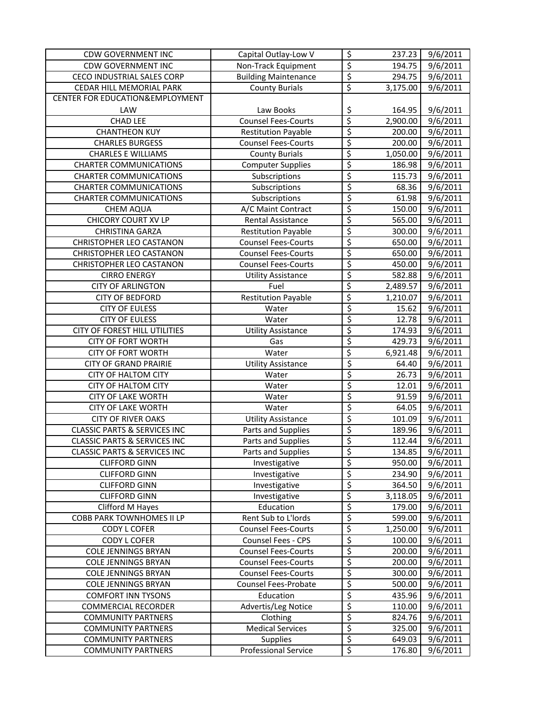| <b>CDW GOVERNMENT INC</b>               | Capital Outlay-Low V        | \$                       | 237.23   | 9/6/2011              |
|-----------------------------------------|-----------------------------|--------------------------|----------|-----------------------|
| <b>CDW GOVERNMENT INC</b>               | Non-Track Equipment         | \$                       | 194.75   | 9/6/2011              |
| CECO INDUSTRIAL SALES CORP              | <b>Building Maintenance</b> | $\overline{\xi}$         | 294.75   | 9/6/2011              |
| CEDAR HILL MEMORIAL PARK                | <b>County Burials</b>       | $\overline{\xi}$         | 3,175.00 | 9/6/2011              |
| CENTER FOR EDUCATION&EMPLOYMENT         |                             |                          |          |                       |
| LAW                                     | Law Books                   | \$                       | 164.95   | 9/6/2011              |
| <b>CHAD LEE</b>                         | <b>Counsel Fees-Courts</b>  | \$                       | 2,900.00 | 9/6/2011              |
| <b>CHANTHEON KUY</b>                    | <b>Restitution Payable</b>  | \$                       | 200.00   | 9/6/2011              |
| <b>CHARLES BURGESS</b>                  | <b>Counsel Fees-Courts</b>  | \$                       | 200.00   | $\overline{9}/6/2011$ |
| <b>CHARLES E WILLIAMS</b>               | <b>County Burials</b>       | \$                       | 1,050.00 | 9/6/2011              |
| <b>CHARTER COMMUNICATIONS</b>           | <b>Computer Supplies</b>    | \$                       | 186.98   | 9/6/2011              |
| <b>CHARTER COMMUNICATIONS</b>           | Subscriptions               | \$                       | 115.73   | 9/6/2011              |
| <b>CHARTER COMMUNICATIONS</b>           | Subscriptions               | $\overline{\varsigma}$   | 68.36    | 9/6/2011              |
| <b>CHARTER COMMUNICATIONS</b>           | Subscriptions               | $\overline{\xi}$         | 61.98    | 9/6/2011              |
| <b>CHEM AQUA</b>                        | A/C Maint Contract          | $\overline{\varsigma}$   | 150.00   | 9/6/2011              |
| CHICORY COURT XV LP                     | Rental Assistance           | $\overline{\varsigma}$   | 565.00   | 9/6/2011              |
| CHRISTINA GARZA                         | <b>Restitution Payable</b>  | $\overline{\xi}$         | 300.00   | 9/6/2011              |
| CHRISTOPHER LEO CASTANON                | <b>Counsel Fees-Courts</b>  | $\overline{\xi}$         | 650.00   | 9/6/2011              |
| CHRISTOPHER LEO CASTANON                | <b>Counsel Fees-Courts</b>  | \$                       | 650.00   | 9/6/2011              |
| <b>CHRISTOPHER LEO CASTANON</b>         | <b>Counsel Fees-Courts</b>  | \$                       | 450.00   | 9/6/2011              |
| <b>CIRRO ENERGY</b>                     | <b>Utility Assistance</b>   | \$                       | 582.88   | 9/6/2011              |
| <b>CITY OF ARLINGTON</b>                | Fuel                        | \$                       | 2,489.57 | 9/6/2011              |
| <b>CITY OF BEDFORD</b>                  | <b>Restitution Payable</b>  | \$                       | 1,210.07 | 9/6/2011              |
| <b>CITY OF EULESS</b>                   | Water                       | \$                       | 15.62    | 9/6/2011              |
| <b>CITY OF EULESS</b>                   | Water                       | \$                       | 12.78    | 9/6/2011              |
| CITY OF FOREST HILL UTILITIES           | <b>Utility Assistance</b>   | \$                       | 174.93   | 9/6/2011              |
| <b>CITY OF FORT WORTH</b>               | Gas                         | \$                       | 429.73   | 9/6/2011              |
| <b>CITY OF FORT WORTH</b>               | Water                       | \$                       | 6,921.48 | 9/6/2011              |
| <b>CITY OF GRAND PRAIRIE</b>            | <b>Utility Assistance</b>   | \$                       | 64.40    | 9/6/2011              |
| <b>CITY OF HALTOM CITY</b>              | Water                       | $\overline{\varsigma}$   | 26.73    | 9/6/2011              |
| <b>CITY OF HALTOM CITY</b>              | Water                       | $\overline{\mathcal{S}}$ | 12.01    | 9/6/2011              |
| <b>CITY OF LAKE WORTH</b>               | Water                       | \$                       | 91.59    | 9/6/2011              |
| <b>CITY OF LAKE WORTH</b>               | Water                       | \$                       | 64.05    | $\overline{9}/6/2011$ |
| <b>CITY OF RIVER OAKS</b>               | <b>Utility Assistance</b>   | \$                       | 101.09   | 9/6/2011              |
| <b>CLASSIC PARTS &amp; SERVICES INC</b> | Parts and Supplies          | \$                       | 189.96   | 9/6/2011              |
| <b>CLASSIC PARTS &amp; SERVICES INC</b> | Parts and Supplies          | \$                       | 112.44   | 9/6/2011              |
| <b>CLASSIC PARTS &amp; SERVICES INC</b> | Parts and Supplies          | $\overline{\mathsf{s}}$  | 134.85   | 9/6/2011              |
| <b>CLIFFORD GINN</b>                    | Investigative               | $\overline{\xi}$         | 950.00   | 9/6/2011              |
| <b>CLIFFORD GINN</b>                    | Investigative               | \$                       | 234.90   | 9/6/2011              |
| <b>CLIFFORD GINN</b>                    | Investigative               | $\overline{\xi}$         | 364.50   | 9/6/2011              |
| <b>CLIFFORD GINN</b>                    | Investigative               | \$                       | 3,118.05 | 9/6/2011              |
| Clifford M Hayes                        | Education                   | $\overline{\xi}$         | 179.00   | 9/6/2011              |
| COBB PARK TOWNHOMES II LP               | Rent Sub to L'Iords         | \$                       | 599.00   | 9/6/2011              |
| CODY L COFER                            | <b>Counsel Fees-Courts</b>  | \$                       | 1,250.00 | 9/6/2011              |
| CODY L COFER                            | Counsel Fees - CPS          | \$                       | 100.00   | 9/6/2011              |
| <b>COLE JENNINGS BRYAN</b>              | <b>Counsel Fees-Courts</b>  | \$                       | 200.00   | 9/6/2011              |
| <b>COLE JENNINGS BRYAN</b>              | <b>Counsel Fees-Courts</b>  | \$                       | 200.00   | 9/6/2011              |
| <b>COLE JENNINGS BRYAN</b>              | <b>Counsel Fees-Courts</b>  | \$                       | 300.00   | 9/6/2011              |
| <b>COLE JENNINGS BRYAN</b>              | Counsel Fees-Probate        | \$                       | 500.00   | 9/6/2011              |
| <b>COMFORT INN TYSONS</b>               | Education                   | \$                       | 435.96   | 9/6/2011              |
| <b>COMMERCIAL RECORDER</b>              | Advertis/Leg Notice         | $\overline{\mathcal{L}}$ | 110.00   | 9/6/2011              |
| <b>COMMUNITY PARTNERS</b>               | Clothing                    | \$                       | 824.76   | 9/6/2011              |
| <b>COMMUNITY PARTNERS</b>               | <b>Medical Services</b>     | $\overline{\xi}$         | 325.00   | 9/6/2011              |
| <b>COMMUNITY PARTNERS</b>               | <b>Supplies</b>             | $\overline{\mathcal{S}}$ | 649.03   | 9/6/2011              |
| <b>COMMUNITY PARTNERS</b>               | <b>Professional Service</b> | $\overline{\xi}$         | 176.80   | 9/6/2011              |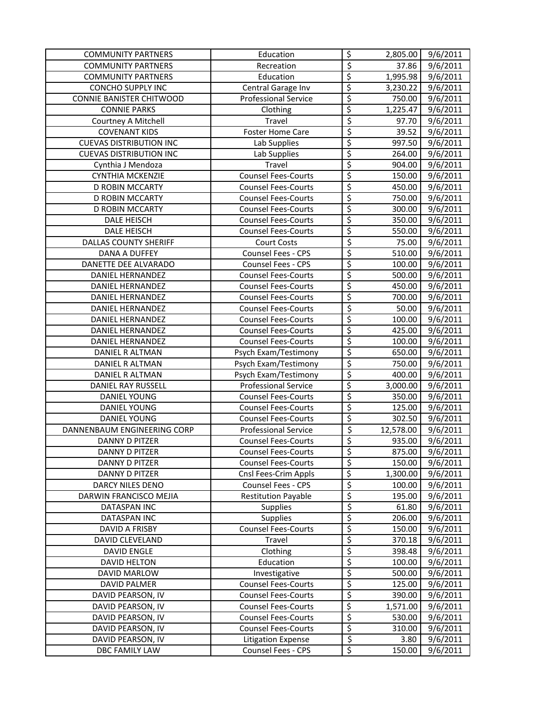| <b>COMMUNITY PARTNERS</b>      | Education                   | \$                       | 2,805.00  | 9/6/2011              |
|--------------------------------|-----------------------------|--------------------------|-----------|-----------------------|
| <b>COMMUNITY PARTNERS</b>      | Recreation                  | $\overline{\varsigma}$   | 37.86     | 9/6/2011              |
| <b>COMMUNITY PARTNERS</b>      | Education                   | \$                       | 1,995.98  | 9/6/2011              |
| CONCHO SUPPLY INC              | Central Garage Inv          | \$                       | 3,230.22  | 9/6/2011              |
| CONNIE BANISTER CHITWOOD       | <b>Professional Service</b> | $\overline{\mathcal{L}}$ | 750.00    | 9/6/2011              |
| <b>CONNIE PARKS</b>            | Clothing                    | \$                       | 1,225.47  | $\frac{1}{9}$ /6/2011 |
| Courtney A Mitchell            | Travel                      | $\overline{\varsigma}$   | 97.70     | $\overline{9}/6/2011$ |
| <b>COVENANT KIDS</b>           | <b>Foster Home Care</b>     | \$                       | 39.52     | 9/6/2011              |
| <b>CUEVAS DISTRIBUTION INC</b> | Lab Supplies                | \$                       | 997.50    | 9/6/2011              |
| <b>CUEVAS DISTRIBUTION INC</b> | Lab Supplies                | \$                       | 264.00    | 9/6/2011              |
| Cynthia J Mendoza              | Travel                      | \$                       | 904.00    | 9/6/2011              |
| <b>CYNTHIA MCKENZIE</b>        | <b>Counsel Fees-Courts</b>  | \$                       | 150.00    | 9/6/2011              |
| D ROBIN MCCARTY                | <b>Counsel Fees-Courts</b>  | \$                       | 450.00    | 9/6/2011              |
| D ROBIN MCCARTY                | <b>Counsel Fees-Courts</b>  | \$                       | 750.00    | 9/6/2011              |
| D ROBIN MCCARTY                | <b>Counsel Fees-Courts</b>  | \$                       | 300.00    | 9/6/2011              |
| DALE HEISCH                    | <b>Counsel Fees-Courts</b>  | \$                       | 350.00    | 9/6/2011              |
| DALE HEISCH                    | <b>Counsel Fees-Courts</b>  | \$                       | 550.00    | 9/6/2011              |
| <b>DALLAS COUNTY SHERIFF</b>   | Court Costs                 | $\overline{\varsigma}$   | 75.00     | 9/6/2011              |
| <b>DANA A DUFFEY</b>           | Counsel Fees - CPS          | \$                       | 510.00    | 9/6/2011              |
| DANETTE DEE ALVARADO           | Counsel Fees - CPS          | \$                       | 100.00    | 9/6/2011              |
| DANIEL HERNANDEZ               | <b>Counsel Fees-Courts</b>  | $\overline{\xi}$         | 500.00    | 9/6/2011              |
| DANIEL HERNANDEZ               | <b>Counsel Fees-Courts</b>  | \$                       | 450.00    | 9/6/2011              |
| DANIEL HERNANDEZ               | <b>Counsel Fees-Courts</b>  | \$                       | 700.00    | 9/6/2011              |
| <b>DANIEL HERNANDEZ</b>        | <b>Counsel Fees-Courts</b>  | $\overline{\mathcal{S}}$ | 50.00     | 9/6/2011              |
| DANIEL HERNANDEZ               | <b>Counsel Fees-Courts</b>  | \$                       | 100.00    | 9/6/2011              |
| DANIEL HERNANDEZ               | <b>Counsel Fees-Courts</b>  | \$                       | 425.00    | 9/6/2011              |
| DANIEL HERNANDEZ               | <b>Counsel Fees-Courts</b>  | \$                       | 100.00    | 9/6/2011              |
| DANIEL R ALTMAN                | Psych Exam/Testimony        | \$                       | 650.00    | 9/6/2011              |
| DANIEL R ALTMAN                | Psych Exam/Testimony        | \$                       | 750.00    | 9/6/2011              |
| DANIEL R ALTMAN                | Psych Exam/Testimony        | $\varsigma$              | 400.00    | 9/6/2011              |
| DANIEL RAY RUSSELL             | Professional Service        | \$                       | 3,000.00  | 9/6/2011              |
| <b>DANIEL YOUNG</b>            | <b>Counsel Fees-Courts</b>  | \$                       | 350.00    | $\frac{1}{9}$ /6/2011 |
| <b>DANIEL YOUNG</b>            | <b>Counsel Fees-Courts</b>  | \$                       | 125.00    | 9/6/2011              |
| DANIEL YOUNG                   | <b>Counsel Fees-Courts</b>  | \$                       | 302.50    | 9/6/2011              |
| DANNENBAUM ENGINEERING CORP    | <b>Professional Service</b> | $\overline{\xi}$         | 12,578.00 | 9/6/2011              |
| DANNY D PITZER                 | <b>Counsel Fees-Courts</b>  | \$                       | 935.00    | 9/6/2011              |
| DANNY D PITZER                 | <b>Counsel Fees-Courts</b>  | \$                       | 875.00    | 9/6/2011              |
| DANNY D PITZER                 | <b>Counsel Fees-Courts</b>  | \$                       | 150.00    | 9/6/2011              |
| DANNY D PITZER                 | Cnsl Fees-Crim Appls        | \$                       | 1,300.00  | 9/6/2011              |
| DARCY NILES DENO               | Counsel Fees - CPS          | \$                       | 100.00    | 9/6/2011              |
| DARWIN FRANCISCO MEJIA         | <b>Restitution Payable</b>  | \$                       | 195.00    | 9/6/2011              |
| DATASPAN INC                   | Supplies                    | \$                       | 61.80     | 9/6/2011              |
| DATASPAN INC                   | <b>Supplies</b>             | \$                       | 206.00    | 9/6/2011              |
| DAVID A FRISBY                 | <b>Counsel Fees-Courts</b>  | \$                       | 150.00    | 9/6/2011              |
| DAVID CLEVELAND                | Travel                      | \$                       | 370.18    | 9/6/2011              |
| <b>DAVID ENGLE</b>             | Clothing                    | \$                       | 398.48    | 9/6/2011              |
| <b>DAVID HELTON</b>            | Education                   | \$                       | 100.00    | 9/6/2011              |
| DAVID MARLOW                   | Investigative               | \$                       | 500.00    | 9/6/2011              |
| <b>DAVID PALMER</b>            | <b>Counsel Fees-Courts</b>  | $\overline{\xi}$         | 125.00    | 9/6/2011              |
| DAVID PEARSON, IV              | <b>Counsel Fees-Courts</b>  | $\overline{\xi}$         | 390.00    | 9/6/2011              |
| DAVID PEARSON, IV              | <b>Counsel Fees-Courts</b>  | \$                       | 1,571.00  | 9/6/2011              |
| DAVID PEARSON, IV              | <b>Counsel Fees-Courts</b>  | $\overline{\mathcal{S}}$ | 530.00    | 9/6/2011              |
| DAVID PEARSON, IV              | <b>Counsel Fees-Courts</b>  | \$                       | 310.00    | 9/6/2011              |
| DAVID PEARSON, IV              | <b>Litigation Expense</b>   | $\overline{\xi}$         | 3.80      | 9/6/2011              |
| DBC FAMILY LAW                 | Counsel Fees - CPS          | \$                       | 150.00    | 9/6/2011              |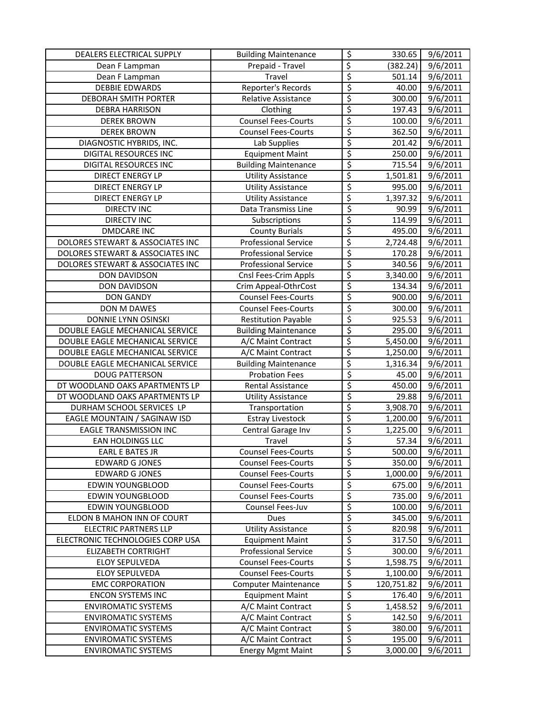| DEALERS ELECTRICAL SUPPLY        | <b>Building Maintenance</b> | \$                              | 330.65     | 9/6/2011              |
|----------------------------------|-----------------------------|---------------------------------|------------|-----------------------|
| Dean F Lampman                   | Prepaid - Travel            | \$                              | (382.24)   | 9/6/2011              |
| Dean F Lampman                   | Travel                      | $\overline{\varsigma}$          | 501.14     | 9/6/2011              |
| <b>DEBBIE EDWARDS</b>            | Reporter's Records          | \$                              | 40.00      | 9/6/2011              |
| DEBORAH SMITH PORTER             | Relative Assistance         | \$                              | 300.00     | 9/6/2011              |
| <b>DEBRA HARRISON</b>            | Clothing                    | \$                              | 197.43     | 9/6/2011              |
| <b>DEREK BROWN</b>               | <b>Counsel Fees-Courts</b>  | \$                              | 100.00     | $\overline{9}/6/2011$ |
| <b>DEREK BROWN</b>               | <b>Counsel Fees-Courts</b>  | \$                              | 362.50     | 9/6/2011              |
| DIAGNOSTIC HYBRIDS, INC.         | Lab Supplies                | \$                              | 201.42     | 9/6/2011              |
| <b>DIGITAL RESOURCES INC</b>     | <b>Equipment Maint</b>      | \$                              | 250.00     | 9/6/2011              |
| DIGITAL RESOURCES INC            | <b>Building Maintenance</b> | \$                              | 715.54     | 9/6/2011              |
| <b>DIRECT ENERGY LP</b>          | <b>Utility Assistance</b>   | \$                              | 1,501.81   | 9/6/2011              |
| DIRECT ENERGY LP                 | <b>Utility Assistance</b>   | $\overline{\varsigma}$          | 995.00     | 9/6/2011              |
| DIRECT ENERGY LP                 | <b>Utility Assistance</b>   | \$                              | 1,397.32   | 9/6/2011              |
| <b>DIRECTV INC</b>               | Data Transmiss Line         | $\overline{\xi}$                | 90.99      | 9/6/2011              |
| <b>DIRECTV INC</b>               | Subscriptions               | \$                              | 114.99     | 9/6/2011              |
| <b>DMDCARE INC</b>               | <b>County Burials</b>       | \$                              | 495.00     | 9/6/2011              |
| DOLORES STEWART & ASSOCIATES INC | <b>Professional Service</b> | \$                              | 2,724.48   | 9/6/2011              |
| DOLORES STEWART & ASSOCIATES INC | <b>Professional Service</b> | \$                              | 170.28     | 9/6/2011              |
| DOLORES STEWART & ASSOCIATES INC | <b>Professional Service</b> | \$                              | 340.56     | 9/6/2011              |
| DON DAVIDSON                     | Cnsl Fees-Crim Appls        | \$                              | 3,340.00   | 9/6/2011              |
| DON DAVIDSON                     | Crim Appeal-OthrCost        | \$                              | 134.34     | 9/6/2011              |
| <b>DON GANDY</b>                 | <b>Counsel Fees-Courts</b>  | \$                              | 900.00     | 9/6/2011              |
| DON M DAWES                      | <b>Counsel Fees-Courts</b>  | \$                              | 300.00     | 9/6/2011              |
| DONNIE LYNN OSINSKI              | <b>Restitution Payable</b>  | \$                              | 925.53     | 9/6/2011              |
| DOUBLE EAGLE MECHANICAL SERVICE  | <b>Building Maintenance</b> | \$                              | 295.00     | 9/6/2011              |
| DOUBLE EAGLE MECHANICAL SERVICE  | A/C Maint Contract          | \$                              | 5,450.00   | 9/6/2011              |
| DOUBLE EAGLE MECHANICAL SERVICE  | A/C Maint Contract          | \$                              | 1,250.00   | 9/6/2011              |
| DOUBLE EAGLE MECHANICAL SERVICE  | <b>Building Maintenance</b> | \$                              | 1,316.34   | $\frac{1}{9}$ /6/2011 |
| <b>DOUG PATTERSON</b>            | <b>Probation Fees</b>       | \$                              | 45.00      | 9/6/2011              |
| DT WOODLAND OAKS APARTMENTS LP   | Rental Assistance           | $\overline{\xi}$                | 450.00     | 9/6/2011              |
| DT WOODLAND OAKS APARTMENTS LP   | <b>Utility Assistance</b>   | \$                              | 29.88      | 9/6/2011              |
| DURHAM SCHOOL SERVICES LP        | Transportation              | \$                              | 3,908.70   | 9/6/2011              |
| EAGLE MOUNTAIN / SAGINAW ISD     | <b>Estray Livestock</b>     | \$                              | 1,200.00   | 9/6/2011              |
| <b>EAGLE TRANSMISSION INC</b>    | Central Garage Inv          | \$                              | 1,225.00   | 9/6/2011              |
| EAN HOLDINGS LLC                 | Travel                      | \$                              | 57.34      | 9/6/2011              |
| EARL E BATES JR                  | <b>Counsel Fees-Courts</b>  | Ś                               | 500.00     | 9/6/2011              |
| <b>EDWARD G JONES</b>            | <b>Counsel Fees-Courts</b>  | \$                              | 350.00     | 9/6/2011              |
| <b>EDWARD G JONES</b>            | <b>Counsel Fees-Courts</b>  | \$                              | 1,000.00   | 9/6/2011              |
| <b>EDWIN YOUNGBLOOD</b>          | <b>Counsel Fees-Courts</b>  | \$                              | 675.00     | 9/6/2011              |
| <b>EDWIN YOUNGBLOOD</b>          | <b>Counsel Fees-Courts</b>  | \$                              | 735.00     | 9/6/2011              |
| EDWIN YOUNGBLOOD                 | Counsel Fees-Juv            | \$                              | 100.00     | 9/6/2011              |
| ELDON B MAHON INN OF COURT       | Dues                        | \$                              | 345.00     | 9/6/2011              |
| <b>ELECTRIC PARTNERS LLP</b>     | <b>Utility Assistance</b>   | \$                              | 820.98     | 9/6/2011              |
| ELECTRONIC TECHNOLOGIES CORP USA | <b>Equipment Maint</b>      | \$                              | 317.50     | 9/6/2011              |
| <b>ELIZABETH CORTRIGHT</b>       | <b>Professional Service</b> | \$                              | 300.00     | 9/6/2011              |
| <b>ELOY SEPULVEDA</b>            | <b>Counsel Fees-Courts</b>  | \$                              | 1,598.75   | 9/6/2011              |
| ELOY SEPULVEDA                   | <b>Counsel Fees-Courts</b>  | \$                              | 1,100.00   | 9/6/2011              |
| <b>EMC CORPORATION</b>           | <b>Computer Maintenance</b> | \$                              | 120,751.82 | 9/6/2011              |
| <b>ENCON SYSTEMS INC</b>         | <b>Equipment Maint</b>      | $\overline{\mathcal{L}}$        | 176.40     | 9/6/2011              |
| <b>ENVIROMATIC SYSTEMS</b>       | A/C Maint Contract          | \$                              | 1,458.52   | 9/6/2011              |
| <b>ENVIROMATIC SYSTEMS</b>       | A/C Maint Contract          | \$                              | 142.50     | 9/6/2011              |
| <b>ENVIROMATIC SYSTEMS</b>       | A/C Maint Contract          | $\overline{\boldsymbol{\zeta}}$ | 380.00     | 9/6/2011              |
| <b>ENVIROMATIC SYSTEMS</b>       | A/C Maint Contract          | $\overline{\mathcal{L}}$        | 195.00     | 9/6/2011              |
| <b>ENVIROMATIC SYSTEMS</b>       | <b>Energy Mgmt Maint</b>    | \$                              | 3,000.00   | 9/6/2011              |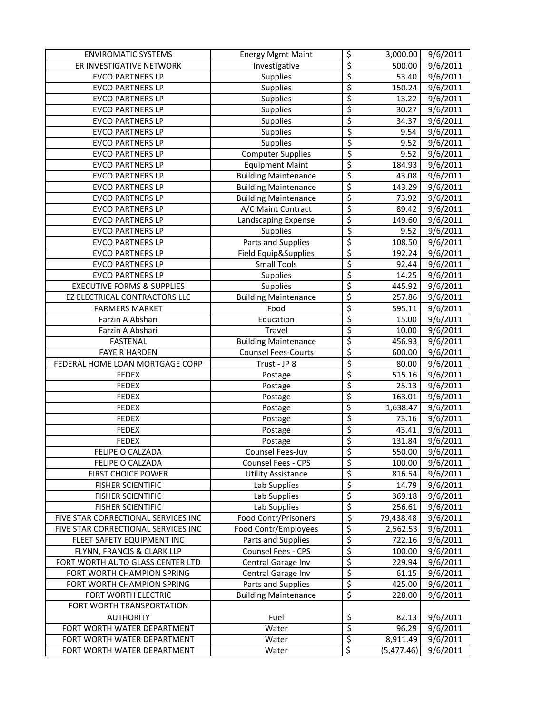| <b>ENVIROMATIC SYSTEMS</b>            | <b>Energy Mgmt Maint</b>    | \$               | 3,000.00        | 9/6/2011              |
|---------------------------------------|-----------------------------|------------------|-----------------|-----------------------|
| ER INVESTIGATIVE NETWORK              | Investigative               | \$               | 500.00          | 9/6/2011              |
| <b>EVCO PARTNERS LP</b>               | Supplies                    | \$               | 53.40           | 9/6/2011              |
| <b>EVCO PARTNERS LP</b>               | <b>Supplies</b>             | \$               | 150.24          | 9/6/2011              |
| <b>EVCO PARTNERS LP</b>               | <b>Supplies</b>             | \$               | 13.22           | $\frac{1}{9}$ /6/2011 |
| <b>EVCO PARTNERS LP</b>               | <b>Supplies</b>             | \$               | 30.27           | 9/6/2011              |
| <b>EVCO PARTNERS LP</b>               | <b>Supplies</b>             | \$               | 34.37           | 9/6/2011              |
| <b>EVCO PARTNERS LP</b>               | <b>Supplies</b>             | \$               | 9.54            | $\frac{1}{9}$ /6/2011 |
| <b>EVCO PARTNERS LP</b>               | <b>Supplies</b>             | \$               | 9.52            | $\overline{9}/6/2011$ |
| <b>EVCO PARTNERS LP</b>               | Computer Supplies           | \$               | 9.52            | $\frac{1}{9}$ /6/2011 |
| <b>EVCO PARTNERS LP</b>               | <b>Equipment Maint</b>      | \$               | 184.93          | 9/6/2011              |
| <b>EVCO PARTNERS LP</b>               | <b>Building Maintenance</b> | \$               | 43.08           | 9/6/2011              |
| <b>EVCO PARTNERS LP</b>               | <b>Building Maintenance</b> | \$               | 143.29          | 9/6/2011              |
| <b>EVCO PARTNERS LP</b>               | <b>Building Maintenance</b> | \$               | 73.92           | 9/6/2011              |
| <b>EVCO PARTNERS LP</b>               | A/C Maint Contract          | \$               | 89.42           | 9/6/2011              |
| <b>EVCO PARTNERS LP</b>               | Landscaping Expense         | \$               | 149.60          | 9/6/2011              |
| <b>EVCO PARTNERS LP</b>               | Supplies                    | $\overline{\xi}$ | 9.52            | 9/6/2011              |
| <b>EVCO PARTNERS LP</b>               | Parts and Supplies          | \$               | 108.50          | 9/6/2011              |
| <b>EVCO PARTNERS LP</b>               | Field Equip&Supplies        | \$               | 192.24          | 9/6/2011              |
| <b>EVCO PARTNERS LP</b>               | <b>Small Tools</b>          | \$               | 92.44           | 9/6/2011              |
| <b>EVCO PARTNERS LP</b>               | <b>Supplies</b>             | \$               | 14.25           | 9/6/2011              |
| <b>EXECUTIVE FORMS &amp; SUPPLIES</b> | <b>Supplies</b>             | \$               | 445.92          | 9/6/2011              |
| EZ ELECTRICAL CONTRACTORS LLC         | <b>Building Maintenance</b> | \$               | 257.86          | 9/6/2011              |
| <b>FARMERS MARKET</b>                 | Food                        | \$               | 595.11          | 9/6/2011              |
| Farzin A Abshari                      | Education                   | \$               | 15.00           | 9/6/2011              |
| Farzin A Abshari                      | Travel                      | \$               | 10.00           | 9/6/2011              |
| <b>FASTENAL</b>                       | <b>Building Maintenance</b> | \$               | 456.93          | 9/6/2011              |
| <b>FAYE R HARDEN</b>                  | <b>Counsel Fees-Courts</b>  | \$               |                 | 9/6/2011              |
| FEDERAL HOME LOAN MORTGAGE CORP       | Trust - JP 8                | \$               | 600.00<br>80.00 | 9/6/2011              |
| <b>FEDEX</b>                          |                             | \$               | 515.16          | 9/6/2011              |
| <b>FEDEX</b>                          | Postage                     | \$               | 25.13           | 9/6/2011              |
| <b>FEDEX</b>                          | Postage                     | \$               | 163.01          |                       |
|                                       | Postage                     | \$               |                 | 9/6/2011              |
| <b>FEDEX</b>                          | Postage                     | \$               | 1,638.47        | 9/6/2011              |
| <b>FEDEX</b>                          | Postage                     |                  | 73.16           | $\overline{9}/6/2011$ |
| <b>FEDEX</b>                          | Postage                     | \$               | 43.41           | 9/6/2011              |
| <b>FEDEX</b>                          | Postage                     | \$<br>\$         | 131.84          | $\frac{1}{9}$ /6/2011 |
| <b>FELIPE O CALZADA</b>               | <b>Counsel Fees-Juv</b>     |                  | 550.00          | 9/6/2011              |
| FELIPE O CALZADA                      | Counsel Fees - CPS          | \$               | 100.00          | 9/6/2011              |
| <b>FIRST CHOICE POWER</b>             | <b>Utility Assistance</b>   | \$               | 816.54          | 9/6/2011              |
| <b>FISHER SCIENTIFIC</b>              | Lab Supplies                | \$               | 14.79           | 9/6/2011              |
| <b>FISHER SCIENTIFIC</b>              | Lab Supplies                | \$               | 369.18          | 9/6/2011              |
| <b>FISHER SCIENTIFIC</b>              | Lab Supplies                | \$               | 256.61          | 9/6/2011              |
| FIVE STAR CORRECTIONAL SERVICES INC   | <b>Food Contr/Prisoners</b> | \$               | 79,438.48       | 9/6/2011              |
| FIVE STAR CORRECTIONAL SERVICES INC   | Food Contr/Employees        | \$               | 2,562.53        | 9/6/2011              |
| FLEET SAFETY EQUIPMENT INC            | Parts and Supplies          | \$               | 722.16          | 9/6/2011              |
| FLYNN, FRANCIS & CLARK LLP            | Counsel Fees - CPS          | \$               | 100.00          | 9/6/2011              |
| FORT WORTH AUTO GLASS CENTER LTD      | Central Garage Inv          | \$               | 229.94          | 9/6/2011              |
| FORT WORTH CHAMPION SPRING            | Central Garage Inv          | \$               | 61.15           | 9/6/2011              |
| FORT WORTH CHAMPION SPRING            | Parts and Supplies          | \$               | 425.00          | 9/6/2011              |
| FORT WORTH ELECTRIC                   | <b>Building Maintenance</b> | \$               | 228.00          | 9/6/2011              |
| FORT WORTH TRANSPORTATION             |                             |                  |                 |                       |
| <b>AUTHORITY</b>                      | Fuel                        | <u>\$</u>        | 82.13           | 9/6/2011              |
| FORT WORTH WATER DEPARTMENT           | Water                       | \$               | 96.29           | 9/6/2011              |
| FORT WORTH WATER DEPARTMENT           | Water                       | \$               | 8,911.49        | $\frac{1}{9}$ /6/2011 |
| FORT WORTH WATER DEPARTMENT           | Water                       | \$               | (5,477.46)      | 9/6/2011              |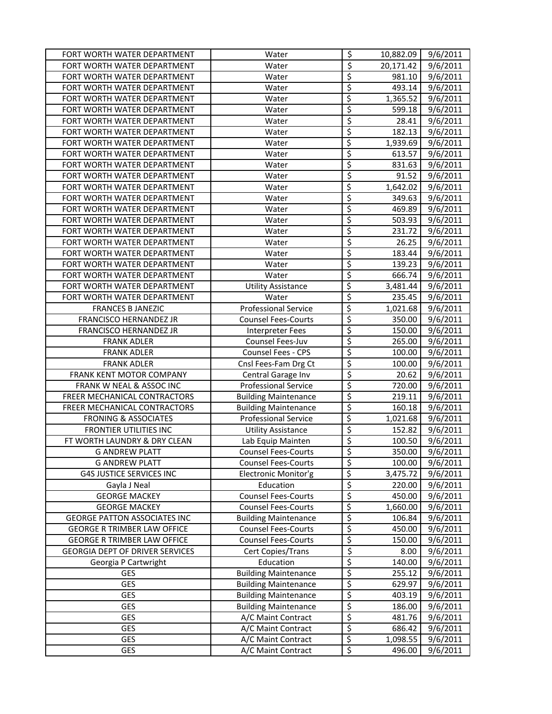| FORT WORTH WATER DEPARTMENT            | Water                       | $\overline{\mathcal{S}}$ | 10,882.09 | 9/6/2011 |
|----------------------------------------|-----------------------------|--------------------------|-----------|----------|
| FORT WORTH WATER DEPARTMENT            | Water                       | $\overline{\varsigma}$   | 20,171.42 | 9/6/2011 |
| FORT WORTH WATER DEPARTMENT            | Water                       | \$                       | 981.10    | 9/6/2011 |
| FORT WORTH WATER DEPARTMENT            | Water                       | \$                       | 493.14    | 9/6/2011 |
| FORT WORTH WATER DEPARTMENT            | Water                       | \$                       | 1,365.52  | 9/6/2011 |
| FORT WORTH WATER DEPARTMENT            | Water                       | \$                       | 599.18    | 9/6/2011 |
| FORT WORTH WATER DEPARTMENT            | Water                       | \$                       | 28.41     | 9/6/2011 |
| FORT WORTH WATER DEPARTMENT            | Water                       | \$                       | 182.13    | 9/6/2011 |
| FORT WORTH WATER DEPARTMENT            | Water                       | \$                       | 1,939.69  | 9/6/2011 |
| FORT WORTH WATER DEPARTMENT            | Water                       | \$                       | 613.57    | 9/6/2011 |
| FORT WORTH WATER DEPARTMENT            | Water                       | \$                       | 831.63    | 9/6/2011 |
| FORT WORTH WATER DEPARTMENT            | Water                       | \$                       | 91.52     | 9/6/2011 |
| FORT WORTH WATER DEPARTMENT            | Water                       | \$                       | 1,642.02  | 9/6/2011 |
| FORT WORTH WATER DEPARTMENT            | Water                       | \$                       | 349.63    | 9/6/2011 |
| FORT WORTH WATER DEPARTMENT            | Water                       | \$                       | 469.89    | 9/6/2011 |
| FORT WORTH WATER DEPARTMENT            | Water                       | \$                       | 503.93    | 9/6/2011 |
| FORT WORTH WATER DEPARTMENT            | Water                       | \$                       | 231.72    | 9/6/2011 |
| FORT WORTH WATER DEPARTMENT            | Water                       | \$                       | 26.25     | 9/6/2011 |
| FORT WORTH WATER DEPARTMENT            | Water                       | \$                       | 183.44    | 9/6/2011 |
| FORT WORTH WATER DEPARTMENT            | Water                       | \$                       | 139.23    | 9/6/2011 |
| FORT WORTH WATER DEPARTMENT            | Water                       | \$                       | 666.74    | 9/6/2011 |
| FORT WORTH WATER DEPARTMENT            | <b>Utility Assistance</b>   | \$                       | 3,481.44  | 9/6/2011 |
| FORT WORTH WATER DEPARTMENT            | Water                       | \$                       | 235.45    | 9/6/2011 |
| <b>FRANCES B JANEZIC</b>               | <b>Professional Service</b> | \$                       | 1,021.68  | 9/6/2011 |
| FRANCISCO HERNANDEZ JR                 | <b>Counsel Fees-Courts</b>  | \$                       | 350.00    | 9/6/2011 |
| FRANCISCO HERNANDEZ JR                 | Interpreter Fees            | \$                       | 150.00    | 9/6/2011 |
| <b>FRANK ADLER</b>                     | Counsel Fees-Juv            | \$                       | 265.00    | 9/6/2011 |
| <b>FRANK ADLER</b>                     | Counsel Fees - CPS          | \$                       | 100.00    | 9/6/2011 |
| <b>FRANK ADLER</b>                     | Cnsl Fees-Fam Drg Ct        | \$                       | 100.00    | 9/6/2011 |
| FRANK KENT MOTOR COMPANY               | Central Garage Inv          | \$                       | 20.62     | 9/6/2011 |
| FRANK W NEAL & ASSOC INC               | <b>Professional Service</b> | \$                       | 720.00    | 9/6/2011 |
| FREER MECHANICAL CONTRACTORS           | <b>Building Maintenance</b> | \$                       | 219.11    | 9/6/2011 |
| FREER MECHANICAL CONTRACTORS           | <b>Building Maintenance</b> | \$                       | 160.18    | 9/6/2011 |
| <b>FRONING &amp; ASSOCIATES</b>        | <b>Professional Service</b> | \$                       | 1,021.68  | 9/6/2011 |
| <b>FRONTIER UTILITIES INC</b>          | <b>Utility Assistance</b>   | \$                       | 152.82    | 9/6/2011 |
| FT WORTH LAUNDRY & DRY CLEAN           | Lab Equip Mainten           | \$                       | 100.50    | 9/6/2011 |
| <b>G ANDREW PLATT</b>                  | <b>Counsel Fees-Courts</b>  | \$                       | 350.00    | 9/6/2011 |
| <b>G ANDREW PLATT</b>                  | <b>Counsel Fees-Courts</b>  | \$                       | 100.00    | 9/6/2011 |
| <b>G4S JUSTICE SERVICES INC</b>        | Electronic Monitor'g        | \$                       | 3,475.72  | 9/6/2011 |
| Gayla J Neal                           | Education                   | \$                       | 220.00    | 9/6/2011 |
| <b>GEORGE MACKEY</b>                   | <b>Counsel Fees-Courts</b>  | \$                       | 450.00    | 9/6/2011 |
| <b>GEORGE MACKEY</b>                   | <b>Counsel Fees-Courts</b>  | \$                       | 1,660.00  | 9/6/2011 |
| <b>GEORGE PATTON ASSOCIATES INC</b>    | <b>Building Maintenance</b> | \$                       | 106.84    | 9/6/2011 |
| <b>GEORGE R TRIMBER LAW OFFICE</b>     | <b>Counsel Fees-Courts</b>  | \$                       | 450.00    | 9/6/2011 |
| <b>GEORGE R TRIMBER LAW OFFICE</b>     | <b>Counsel Fees-Courts</b>  | \$                       | 150.00    | 9/6/2011 |
| <b>GEORGIA DEPT OF DRIVER SERVICES</b> | Cert Copies/Trans           | \$                       | 8.00      | 9/6/2011 |
| Georgia P Cartwright                   | Education                   | \$                       | 140.00    | 9/6/2011 |
| GES                                    | <b>Building Maintenance</b> | \$                       | 255.12    | 9/6/2011 |
| <b>GES</b>                             | <b>Building Maintenance</b> | \$                       | 629.97    | 9/6/2011 |
| <b>GES</b>                             | <b>Building Maintenance</b> | \$                       | 403.19    | 9/6/2011 |
| GES                                    | <b>Building Maintenance</b> | \$                       | 186.00    | 9/6/2011 |
| GES                                    | A/C Maint Contract          | \$                       | 481.76    | 9/6/2011 |
| <b>GES</b>                             | A/C Maint Contract          | \$                       | 686.42    | 9/6/2011 |
| <b>GES</b>                             | A/C Maint Contract          | \$                       | 1,098.55  | 9/6/2011 |
| GES                                    | A/C Maint Contract          | \$                       | 496.00    | 9/6/2011 |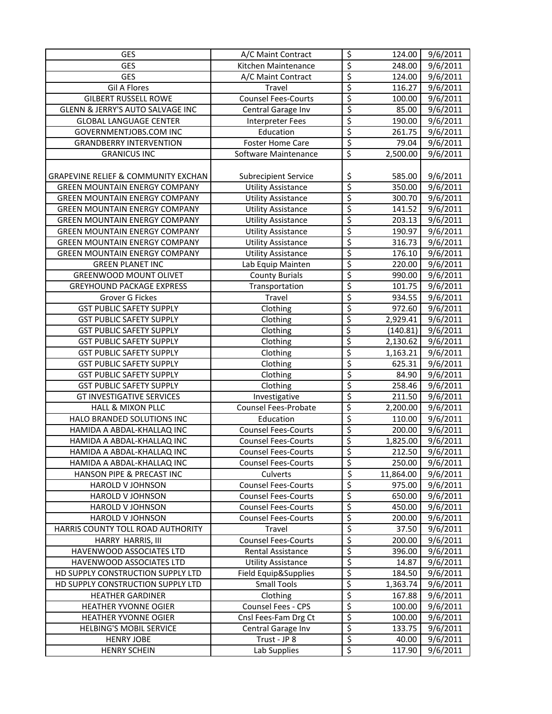| GES                                            | A/C Maint Contract          | $\overline{\mathcal{S}}$ | 124.00    | 9/6/2011              |
|------------------------------------------------|-----------------------------|--------------------------|-----------|-----------------------|
| GES                                            | Kitchen Maintenance         | \$                       | 248.00    | 9/6/2011              |
| GES                                            | A/C Maint Contract          | \$                       | 124.00    | 9/6/2011              |
| <b>Gil A Flores</b>                            | Travel                      | \$                       | 116.27    | $\frac{1}{9}$ /6/2011 |
| <b>GILBERT RUSSELL ROWE</b>                    | <b>Counsel Fees-Courts</b>  | \$                       | 100.00    | 9/6/2011              |
| <b>GLENN &amp; JERRY'S AUTO SALVAGE INC</b>    | Central Garage Inv          | \$                       | 85.00     | $\frac{1}{9}$ /6/2011 |
| <b>GLOBAL LANGUAGE CENTER</b>                  | Interpreter Fees            | \$                       | 190.00    | 9/6/2011              |
| GOVERNMENTJOBS.COM INC                         | Education                   | \$                       | 261.75    | 9/6/2011              |
| <b>GRANDBERRY INTERVENTION</b>                 | <b>Foster Home Care</b>     | \$                       | 79.04     | 9/6/2011              |
| <b>GRANICUS INC</b>                            | Software Maintenance        | \$                       | 2,500.00  | 9/6/2011              |
|                                                |                             |                          |           |                       |
| <b>GRAPEVINE RELIEF &amp; COMMUNITY EXCHAN</b> | <b>Subrecipient Service</b> | \$                       | 585.00    | 9/6/2011              |
| <b>GREEN MOUNTAIN ENERGY COMPANY</b>           | <b>Utility Assistance</b>   | \$                       | 350.00    | 9/6/2011              |
| <b>GREEN MOUNTAIN ENERGY COMPANY</b>           | <b>Utility Assistance</b>   | \$                       | 300.70    | 9/6/2011              |
| <b>GREEN MOUNTAIN ENERGY COMPANY</b>           | <b>Utility Assistance</b>   | $\overline{\mathcal{S}}$ | 141.52    | 9/6/2011              |
| <b>GREEN MOUNTAIN ENERGY COMPANY</b>           | <b>Utility Assistance</b>   | \$                       | 203.13    | 9/6/2011              |
| <b>GREEN MOUNTAIN ENERGY COMPANY</b>           | <b>Utility Assistance</b>   | $\overline{\xi}$         | 190.97    | 9/6/2011              |
| <b>GREEN MOUNTAIN ENERGY COMPANY</b>           | <b>Utility Assistance</b>   | \$                       | 316.73    | 9/6/2011              |
| <b>GREEN MOUNTAIN ENERGY COMPANY</b>           | <b>Utility Assistance</b>   | \$                       | 176.10    | 9/6/2011              |
| <b>GREEN PLANET INC</b>                        | Lab Equip Mainten           | \$                       | 220.00    | 9/6/2011              |
| <b>GREENWOOD MOUNT OLIVET</b>                  | <b>County Burials</b>       | \$                       | 990.00    | 9/6/2011              |
| <b>GREYHOUND PACKAGE EXPRESS</b>               | Transportation              | \$                       | 101.75    | 9/6/2011              |
| Grover G Fickes                                | Travel                      | \$                       | 934.55    | 9/6/2011              |
| <b>GST PUBLIC SAFETY SUPPLY</b>                | Clothing                    | \$                       | 972.60    | $\frac{1}{9}$ /6/2011 |
| <b>GST PUBLIC SAFETY SUPPLY</b>                | Clothing                    | \$                       | 2,929.41  | 9/6/2011              |
| <b>GST PUBLIC SAFETY SUPPLY</b>                | Clothing                    | \$                       | (140.81)  | 9/6/2011              |
| <b>GST PUBLIC SAFETY SUPPLY</b>                | Clothing                    | \$                       | 2,130.62  | 9/6/2011              |
| <b>GST PUBLIC SAFETY SUPPLY</b>                | Clothing                    | \$                       | 1,163.21  | 9/6/2011              |
| <b>GST PUBLIC SAFETY SUPPLY</b>                | Clothing                    | \$                       | 625.31    | 9/6/2011              |
| <b>GST PUBLIC SAFETY SUPPLY</b>                | Clothing                    | \$                       | 84.90     | $\frac{1}{9}$ /6/2011 |
| <b>GST PUBLIC SAFETY SUPPLY</b>                | Clothing                    | \$                       | 258.46    | 9/6/2011              |
| <b>GT INVESTIGATIVE SERVICES</b>               | Investigative               | \$                       | 211.50    | 9/6/2011              |
| HALL & MIXON PLLC                              | Counsel Fees-Probate        | \$                       | 2,200.00  | $\frac{1}{9}$ /6/2011 |
| HALO BRANDED SOLUTIONS INC                     | Education                   | \$                       | 110.00    | 9/6/2011              |
| HAMIDA A ABDAL-KHALLAQ INC                     | Counsel Fees-Courts         | \$                       | 200.00    | 9/6/2011              |
| HAMIDA A ABDAL-KHALLAQ INC                     | <b>Counsel Fees-Courts</b>  | \$                       | 1,825.00  | 9/6/2011              |
| HAMIDA A ABDAL-KHALLAQ INC                     | <b>Counsel Fees-Courts</b>  | \$                       | 212.50    | 9/6/2011              |
| HAMIDA A ABDAL-KHALLAQ INC                     | <b>Counsel Fees-Courts</b>  | \$                       | 250.00    | 9/6/2011              |
| HANSON PIPE & PRECAST INC                      | Culverts                    | \$                       | 11,864.00 | 9/6/2011              |
| HAROLD V JOHNSON                               | <b>Counsel Fees-Courts</b>  | \$                       | 975.00    | 9/6/2011              |
| HAROLD V JOHNSON                               | <b>Counsel Fees-Courts</b>  | \$                       | 650.00    | 9/6/2011              |
| HAROLD V JOHNSON                               | <b>Counsel Fees-Courts</b>  | \$                       | 450.00    | 9/6/2011              |
| HAROLD V JOHNSON                               | <b>Counsel Fees-Courts</b>  | \$                       | 200.00    | 9/6/2011              |
| HARRIS COUNTY TOLL ROAD AUTHORITY              | Travel                      | \$                       | 37.50     | 9/6/2011              |
| HARRY HARRIS, III                              | <b>Counsel Fees-Courts</b>  | $\overline{\mathcal{S}}$ | 200.00    | 9/6/2011              |
| HAVENWOOD ASSOCIATES LTD                       | Rental Assistance           | \$                       | 396.00    | 9/6/2011              |
| HAVENWOOD ASSOCIATES LTD                       | <b>Utility Assistance</b>   | \$                       | 14.87     | 9/6/2011              |
| HD SUPPLY CONSTRUCTION SUPPLY LTD              | Field Equip&Supplies        | \$                       | 184.50    | 9/6/2011              |
| HD SUPPLY CONSTRUCTION SUPPLY LTD              | <b>Small Tools</b>          | \$                       | 1,363.74  | 9/6/2011              |
| <b>HEATHER GARDINER</b>                        | Clothing                    | \$                       | 167.88    | 9/6/2011              |
| HEATHER YVONNE OGIER                           | Counsel Fees - CPS          | \$                       | 100.00    | 9/6/2011              |
| <b>HEATHER YVONNE OGIER</b>                    | Cnsl Fees-Fam Drg Ct        | \$                       | 100.00    | 9/6/2011              |
| <b>HELBING'S MOBIL SERVICE</b>                 | Central Garage Inv          | $\varsigma$              | 133.75    | 9/6/2011              |
| <b>HENRY JOBE</b>                              | Trust - JP 8                | $\overline{\xi}$         | 40.00     | 9/6/2011              |
| <b>HENRY SCHEIN</b>                            | Lab Supplies                | \$                       | 117.90    | 9/6/2011              |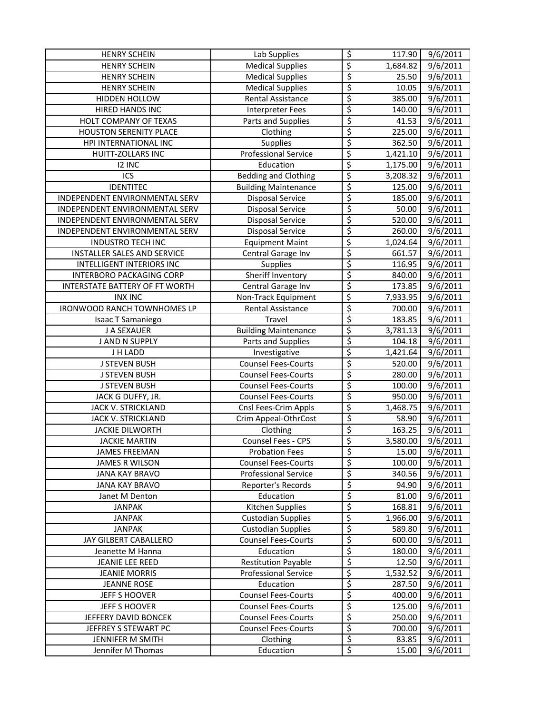| <b>HENRY SCHEIN</b>                   | Lab Supplies                | $\overline{\mathcal{S}}$ | 117.90                | 9/6/2011              |
|---------------------------------------|-----------------------------|--------------------------|-----------------------|-----------------------|
| <b>HENRY SCHEIN</b>                   | <b>Medical Supplies</b>     | $\overline{\xi}$         | 1,684.82              | 9/6/2011              |
| <b>HENRY SCHEIN</b>                   | <b>Medical Supplies</b>     | $\overline{\mathcal{S}}$ | 25.50                 | 9/6/2011              |
| <b>HENRY SCHEIN</b>                   | <b>Medical Supplies</b>     | \$                       | 10.05                 | 9/6/2011              |
| HIDDEN HOLLOW                         | Rental Assistance           | \$                       | 385.00                | 9/6/2011              |
| HIRED HANDS INC                       | <b>Interpreter Fees</b>     | \$                       | 140.00                | 9/6/2011              |
| HOLT COMPANY OF TEXAS                 | Parts and Supplies          | \$                       | 41.53                 | 9/6/2011              |
| <b>HOUSTON SERENITY PLACE</b>         | Clothing                    | \$                       | 225.00                | 9/6/2011              |
| HPI INTERNATIONAL INC                 | <b>Supplies</b>             | \$                       | 362.50                | 9/6/2011              |
| <b>HUITT-ZOLLARS INC</b>              | <b>Professional Service</b> | \$                       | 1,421.10              | 9/6/2011              |
| 12 INC                                | Education                   | \$                       | 1,175.00              | 9/6/2011              |
| ICS                                   | <b>Bedding and Clothing</b> | \$                       | 3,208.32              | 9/6/2011              |
| <b>IDENTITEC</b>                      | <b>Building Maintenance</b> | $\overline{\varsigma}$   | 125.00                | 9/6/2011              |
| INDEPENDENT ENVIRONMENTAL SERV        | <b>Disposal Service</b>     | $\overline{\xi}$         | 185.00                | 9/6/2011              |
| INDEPENDENT ENVIRONMENTAL SERV        | <b>Disposal Service</b>     | $\overline{\xi}$         | 50.00                 | 9/6/2011              |
| INDEPENDENT ENVIRONMENTAL SERV        | <b>Disposal Service</b>     | \$                       | 520.00                | 9/6/2011              |
| INDEPENDENT ENVIRONMENTAL SERV        | <b>Disposal Service</b>     | \$                       | 260.00                | 9/6/2011              |
| <b>INDUSTRO TECH INC</b>              | <b>Equipment Maint</b>      | \$                       | 1,024.64              | 9/6/2011              |
| INSTALLER SALES AND SERVICE           | Central Garage Inv          | \$                       | 661.57                | 9/6/2011              |
| <b>INTELLIGENT INTERIORS INC</b>      | Supplies                    | \$                       | 116.95                | 9/6/2011              |
| <b>INTERBORO PACKAGING CORP</b>       | Sheriff Inventory           | \$                       | 840.00                | 9/6/2011              |
| <b>INTERSTATE BATTERY OF FT WORTH</b> | Central Garage Inv          | $\overline{\mathcal{S}}$ | 173.85                | 9/6/2011              |
| <b>INX INC</b>                        | Non-Track Equipment         | \$                       | 7,933.95              | 9/6/2011              |
| IRONWOOD RANCH TOWNHOMES LP           | Rental Assistance           | $\overline{\xi}$         | 700.00                | 9/6/2011              |
| Isaac T Samaniego                     | Travel                      | $\overline{\xi}$         | 183.85                | 9/6/2011              |
| J A SEXAUER                           | <b>Building Maintenance</b> | \$                       | 3,781.13              | 9/6/2011              |
| J AND N SUPPLY                        | Parts and Supplies          | $\overline{\xi}$         | 104.18                | 9/6/2011              |
| J H LADD                              | Investigative               | $\overline{\mathcal{L}}$ | 1,421.64              | 9/6/2011              |
| <b>J STEVEN BUSH</b>                  | <b>Counsel Fees-Courts</b>  | \$                       | 520.00                | $\frac{1}{9/6}/2011$  |
| <b>J STEVEN BUSH</b>                  | <b>Counsel Fees-Courts</b>  | \$                       | 280.00                | 9/6/2011              |
| <b>J STEVEN BUSH</b>                  | <b>Counsel Fees-Courts</b>  | \$                       | 100.00                | 9/6/2011              |
| JACK G DUFFY, JR.                     | <b>Counsel Fees-Courts</b>  | \$                       | 950.00                | 9/6/2011              |
| JACK V. STRICKLAND                    | Cnsl Fees-Crim Appls        | \$                       | 1,468.75              | 9/6/2011              |
| JACK V. STRICKLAND                    | Crim Appeal-OthrCost        | \$                       | 58.90                 | 9/6/2011              |
| <b>JACKIE DILWORTH</b>                | Clothing                    | $\overline{\xi}$         | 163.25                | 9/6/2011              |
| <b>JACKIE MARTIN</b>                  | Counsel Fees - CPS          | \$                       | 3,580.00              | 9/6/2011              |
| <b>JAMES FREEMAN</b>                  | <b>Probation Fees</b>       | \$                       | 15.00                 | 9/6/2011              |
| <b>JAMES R WILSON</b>                 | <b>Counsel Fees-Courts</b>  | $\overline{\mathcal{S}}$ | 100.00                | 9/6/2011              |
| <b>JANA KAY BRAVO</b>                 | <b>Professional Service</b> | \$                       | 340.56                | 9/6/2011              |
| <b>JANA KAY BRAVO</b>                 | Reporter's Records          | \$                       | 94.90                 | 9/6/2011              |
| Janet M Denton                        | Education                   | \$                       | 81.00                 | 9/6/2011              |
| <b>JANPAK</b>                         | Kitchen Supplies            | \$                       | 168.81                | 9/6/2011              |
| <b>JANPAK</b>                         | <b>Custodian Supplies</b>   | \$                       | 1,966.00              | $\frac{1}{9/6}$ /2011 |
| <b>JANPAK</b>                         | <b>Custodian Supplies</b>   | \$                       | 589.80                | 9/6/2011              |
| JAY GILBERT CABALLERO                 | <b>Counsel Fees-Courts</b>  | \$                       | 600.00                | 9/6/2011              |
| Jeanette M Hanna                      | Education                   | \$                       | 180.00                | 9/6/2011              |
| JEANIE LEE REED                       | <b>Restitution Payable</b>  | $\overline{\mathcal{S}}$ | 12.50                 | 9/6/2011              |
| <b>JEANIE MORRIS</b>                  | <b>Professional Service</b> | $\varsigma$              | $\overline{1,}532.52$ | 9/6/2011              |
| <b>JEANNE ROSE</b>                    | Education                   | \$                       | 287.50                | 9/6/2011              |
| JEFF S HOOVER                         | <b>Counsel Fees-Courts</b>  | $\overline{\xi}$         | 400.00                | 9/6/2011              |
| JEFF S HOOVER                         | <b>Counsel Fees-Courts</b>  | \$                       | 125.00                | 9/6/2011              |
| JEFFERY DAVID BONCEK                  | <b>Counsel Fees-Courts</b>  | $\overline{\mathcal{S}}$ | 250.00                | 9/6/2011              |
| JEFFREY S STEWART PC                  | <b>Counsel Fees-Courts</b>  | $\overline{\xi}$         | 700.00                | 9/6/2011              |
| JENNIFER M SMITH                      | Clothing                    | $\overline{\xi}$         | 83.85                 | $\frac{1}{9}$ /6/2011 |
| Jennifer M Thomas                     | Education                   | $\overline{\xi}$         | 15.00                 | 9/6/2011              |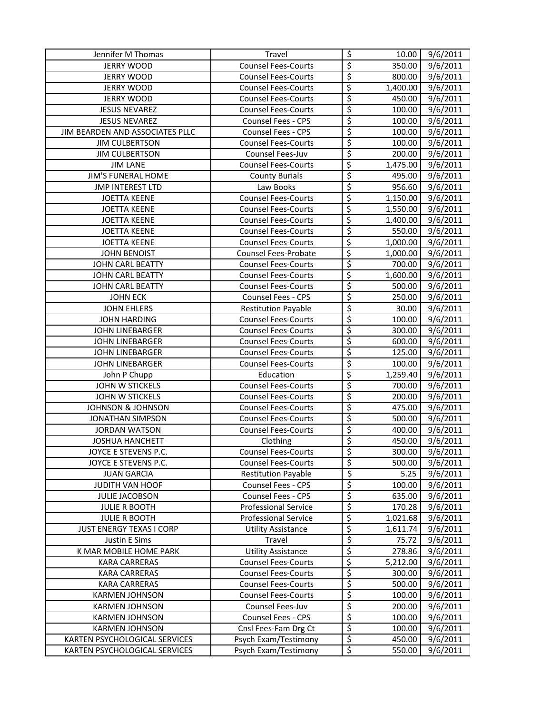| Jennifer M Thomas               | Travel                      | \$                              | 10.00    | 9/6/2011 |
|---------------------------------|-----------------------------|---------------------------------|----------|----------|
| <b>JERRY WOOD</b>               | <b>Counsel Fees-Courts</b>  | $\overline{\xi}$                | 350.00   | 9/6/2011 |
| <b>JERRY WOOD</b>               | <b>Counsel Fees-Courts</b>  | $\overline{\varsigma}$          | 800.00   | 9/6/2011 |
| <b>JERRY WOOD</b>               | <b>Counsel Fees-Courts</b>  | \$                              | 1,400.00 | 9/6/2011 |
| <b>JERRY WOOD</b>               | <b>Counsel Fees-Courts</b>  | $\overline{\varsigma}$          | 450.00   | 9/6/2011 |
| <b>JESUS NEVAREZ</b>            | <b>Counsel Fees-Courts</b>  | \$                              | 100.00   | 9/6/2011 |
| <b>JESUS NEVAREZ</b>            | Counsel Fees - CPS          | \$                              | 100.00   | 9/6/2011 |
| JIM BEARDEN AND ASSOCIATES PLLC | Counsel Fees - CPS          | \$                              | 100.00   | 9/6/2011 |
| <b>JIM CULBERTSON</b>           | <b>Counsel Fees-Courts</b>  | \$                              | 100.00   | 9/6/2011 |
| <b>JIM CULBERTSON</b>           | Counsel Fees-Juv            | \$                              | 200.00   | 9/6/2011 |
| <b>JIM LANE</b>                 | <b>Counsel Fees-Courts</b>  | \$                              | 1,475.00 | 9/6/2011 |
| JIM'S FUNERAL HOME              | <b>County Burials</b>       | \$                              | 495.00   | 9/6/2011 |
| <b>JMP INTEREST LTD</b>         | Law Books                   | $\overline{\varsigma}$          | 956.60   | 9/6/2011 |
| <b>JOETTA KEENE</b>             | <b>Counsel Fees-Courts</b>  | \$                              | 1,150.00 | 9/6/2011 |
| <b>JOETTA KEENE</b>             | <b>Counsel Fees-Courts</b>  | \$                              | 1,550.00 | 9/6/2011 |
| <b>JOETTA KEENE</b>             | <b>Counsel Fees-Courts</b>  | \$                              | 1,400.00 | 9/6/2011 |
| <b>JOETTA KEENE</b>             | <b>Counsel Fees-Courts</b>  | \$                              | 550.00   | 9/6/2011 |
| <b>JOETTA KEENE</b>             | <b>Counsel Fees-Courts</b>  | \$                              | 1,000.00 | 9/6/2011 |
| <b>JOHN BENOIST</b>             | Counsel Fees-Probate        | \$                              | 1,000.00 | 9/6/2011 |
| <b>JOHN CARL BEATTY</b>         | <b>Counsel Fees-Courts</b>  | \$                              | 700.00   | 9/6/2011 |
| JOHN CARL BEATTY                | <b>Counsel Fees-Courts</b>  | \$                              | 1,600.00 | 9/6/2011 |
| JOHN CARL BEATTY                | <b>Counsel Fees-Courts</b>  | \$                              | 500.00   | 9/6/2011 |
| <b>JOHN ECK</b>                 | Counsel Fees - CPS          | \$                              | 250.00   | 9/6/2011 |
| <b>JOHN EHLERS</b>              | <b>Restitution Payable</b>  | \$                              | 30.00    | 9/6/2011 |
| <b>JOHN HARDING</b>             | <b>Counsel Fees-Courts</b>  | \$                              | 100.00   | 9/6/2011 |
| JOHN LINEBARGER                 | <b>Counsel Fees-Courts</b>  | \$                              | 300.00   | 9/6/2011 |
| JOHN LINEBARGER                 | <b>Counsel Fees-Courts</b>  | $\overline{\xi}$                | 600.00   | 9/6/2011 |
| <b>JOHN LINEBARGER</b>          | <b>Counsel Fees-Courts</b>  | \$                              | 125.00   | 9/6/2011 |
| JOHN LINEBARGER                 | <b>Counsel Fees-Courts</b>  | \$                              | 100.00   | 9/6/2011 |
| John P Chupp                    | Education                   | \$                              | 1,259.40 | 9/6/2011 |
| JOHN W STICKELS                 | <b>Counsel Fees-Courts</b>  | \$                              | 700.00   | 9/6/2011 |
| JOHN W STICKELS                 | <b>Counsel Fees-Courts</b>  | \$                              | 200.00   | 9/6/2011 |
| <b>JOHNSON &amp; JOHNSON</b>    | <b>Counsel Fees-Courts</b>  | \$                              | 475.00   | 9/6/2011 |
| <b>JONATHAN SIMPSON</b>         | <b>Counsel Fees-Courts</b>  | \$                              | 500.00   | 9/6/2011 |
| <b>JORDAN WATSON</b>            | <b>Counsel Fees-Courts</b>  | \$                              | 400.00   | 9/6/2011 |
| <b>JOSHUA HANCHETT</b>          | Clothing                    | \$                              | 450.00   | 9/6/2011 |
| JOYCE E STEVENS P.C.            | <b>Counsel Fees-Courts</b>  | Ś                               | 300.00   | 9/6/2011 |
| JOYCE E STEVENS P.C.            | <b>Counsel Fees-Courts</b>  | \$                              | 500.00   | 9/6/2011 |
| <b>JUAN GARCIA</b>              | <b>Restitution Payable</b>  | \$                              | 5.25     | 9/6/2011 |
| JUDITH VAN HOOF                 | Counsel Fees - CPS          | \$                              | 100.00   | 9/6/2011 |
| <b>JULIE JACOBSON</b>           | Counsel Fees - CPS          | \$                              | 635.00   | 9/6/2011 |
| <b>JULIE R BOOTH</b>            | <b>Professional Service</b> | \$                              | 170.28   | 9/6/2011 |
| <b>JULIE R BOOTH</b>            | <b>Professional Service</b> | \$                              | 1,021.68 | 9/6/2011 |
| <b>JUST ENERGY TEXAS I CORP</b> | <b>Utility Assistance</b>   | \$                              | 1,611.74 | 9/6/2011 |
| Justin E Sims                   | Travel                      | \$                              | 75.72    | 9/6/2011 |
| K MAR MOBILE HOME PARK          | <b>Utility Assistance</b>   | \$                              | 278.86   | 9/6/2011 |
| <b>KARA CARRERAS</b>            | <b>Counsel Fees-Courts</b>  | \$                              | 5,212.00 | 9/6/2011 |
| <b>KARA CARRERAS</b>            | <b>Counsel Fees-Courts</b>  | \$                              | 300.00   | 9/6/2011 |
| <b>KARA CARRERAS</b>            | <b>Counsel Fees-Courts</b>  | \$                              | 500.00   | 9/6/2011 |
| <b>KARMEN JOHNSON</b>           | <b>Counsel Fees-Courts</b>  | $\overline{\mathcal{L}}$        | 100.00   | 9/6/2011 |
| <b>KARMEN JOHNSON</b>           | Counsel Fees-Juv            | \$                              | 200.00   | 9/6/2011 |
| <b>KARMEN JOHNSON</b>           | Counsel Fees - CPS          | $\overline{\xi}$                | 100.00   | 9/6/2011 |
| <b>KARMEN JOHNSON</b>           | Cnsl Fees-Fam Drg Ct        | $\overline{\boldsymbol{\zeta}}$ | 100.00   | 9/6/2011 |
| KARTEN PSYCHOLOGICAL SERVICES   | Psych Exam/Testimony        | \$                              | 450.00   | 9/6/2011 |
| KARTEN PSYCHOLOGICAL SERVICES   | Psych Exam/Testimony        | $\overline{\mathcal{S}}$        | 550.00   | 9/6/2011 |
|                                 |                             |                                 |          |          |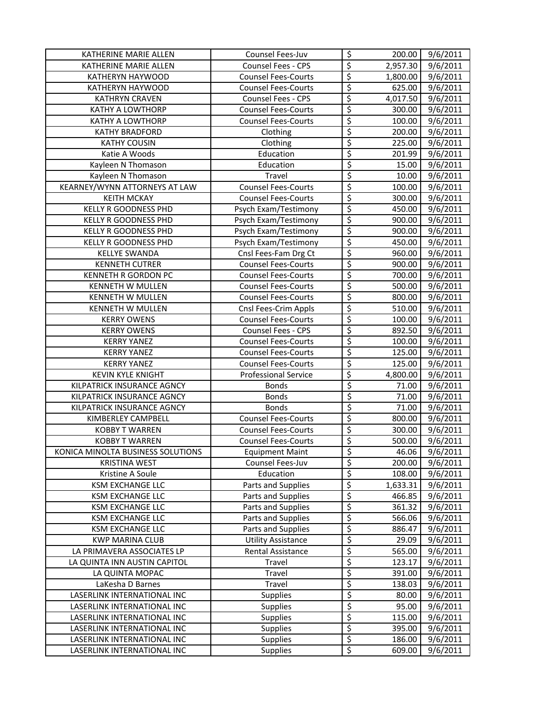| KATHERINE MARIE ALLEN             | Counsel Fees-Juv            | \$                       | 200.00   | 9/6/2011              |
|-----------------------------------|-----------------------------|--------------------------|----------|-----------------------|
| KATHERINE MARIE ALLEN             | Counsel Fees - CPS          | \$                       | 2,957.30 | 9/6/2011              |
| KATHERYN HAYWOOD                  | <b>Counsel Fees-Courts</b>  | \$                       | 1,800.00 | 9/6/2011              |
| KATHERYN HAYWOOD                  | <b>Counsel Fees-Courts</b>  | \$                       | 625.00   | 9/6/2011              |
| <b>KATHRYN CRAVEN</b>             | Counsel Fees - CPS          | \$                       | 4,017.50 | 9/6/2011              |
| <b>KATHY A LOWTHORP</b>           | <b>Counsel Fees-Courts</b>  | \$                       | 300.00   | $\overline{9}/6/2011$ |
| KATHY A LOWTHORP                  | <b>Counsel Fees-Courts</b>  | \$                       | 100.00   | $\overline{9}/6/2011$ |
| <b>KATHY BRADFORD</b>             | Clothing                    | \$                       | 200.00   | 9/6/2011              |
| <b>KATHY COUSIN</b>               | Clothing                    | \$                       | 225.00   | 9/6/2011              |
| Katie A Woods                     | Education                   | \$                       | 201.99   | 9/6/2011              |
| Kayleen N Thomason                | Education                   | \$                       | 15.00    | 9/6/2011              |
| Kayleen N Thomason                | Travel                      | \$                       | 10.00    | 9/6/2011              |
| KEARNEY/WYNN ATTORNEYS AT LAW     | <b>Counsel Fees-Courts</b>  | $\overline{\varsigma}$   | 100.00   | 9/6/2011              |
| <b>KEITH MCKAY</b>                | <b>Counsel Fees-Courts</b>  | $\overline{\xi}$         | 300.00   | 9/6/2011              |
| KELLY R GOODNESS PHD              | Psych Exam/Testimony        | \$                       | 450.00   | 9/6/2011              |
| KELLY R GOODNESS PHD              | Psych Exam/Testimony        | $\overline{\xi}$         | 900.00   | 9/6/2011              |
| KELLY R GOODNESS PHD              | Psych Exam/Testimony        | \$                       | 900.00   | 9/6/2011              |
| <b>KELLY R GOODNESS PHD</b>       | Psych Exam/Testimony        | $\overline{\xi}$         | 450.00   | 9/6/2011              |
| <b>KELLYE SWANDA</b>              | Cnsl Fees-Fam Drg Ct        | \$                       | 960.00   | 9/6/2011              |
| <b>KENNETH CUTRER</b>             | <b>Counsel Fees-Courts</b>  | \$                       | 900.00   | 9/6/2011              |
| KENNETH R GORDON PC               | <b>Counsel Fees-Courts</b>  | \$                       | 700.00   | 9/6/2011              |
| KENNETH W MULLEN                  | <b>Counsel Fees-Courts</b>  | \$                       | 500.00   | 9/6/2011              |
| <b>KENNETH W MULLEN</b>           | <b>Counsel Fees-Courts</b>  | \$                       | 800.00   | 9/6/2011              |
| KENNETH W MULLEN                  | Cnsl Fees-Crim Appls        | \$                       | 510.00   | 9/6/2011              |
| <b>KERRY OWENS</b>                | <b>Counsel Fees-Courts</b>  | \$                       | 100.00   | 9/6/2011              |
| <b>KERRY OWENS</b>                | Counsel Fees - CPS          | \$                       | 892.50   | 9/6/2011              |
| <b>KERRY YANEZ</b>                | <b>Counsel Fees-Courts</b>  | $\overline{\xi}$         | 100.00   | 9/6/2011              |
| <b>KERRY YANEZ</b>                | <b>Counsel Fees-Courts</b>  | \$                       | 125.00   | 9/6/2011              |
| <b>KERRY YANEZ</b>                | <b>Counsel Fees-Courts</b>  | \$                       | 125.00   | 9/6/2011              |
| <b>KEVIN KYLE KNIGHT</b>          | <b>Professional Service</b> | \$                       | 4,800.00 | 9/6/2011              |
| KILPATRICK INSURANCE AGNCY        | <b>Bonds</b>                | \$                       | 71.00    | 9/6/2011              |
| KILPATRICK INSURANCE AGNCY        | <b>Bonds</b>                | \$                       | 71.00    | $\frac{1}{9}$ /6/2011 |
| KILPATRICK INSURANCE AGNCY        | <b>Bonds</b>                | \$                       | 71.00    | 9/6/2011              |
| KIMBERLEY CAMPBELL                | <b>Counsel Fees-Courts</b>  | \$                       | 800.00   | 9/6/2011              |
| <b>KOBBY T WARREN</b>             | <b>Counsel Fees-Courts</b>  | \$                       | 300.00   | 9/6/2011              |
| <b>KOBBY T WARREN</b>             | <b>Counsel Fees-Courts</b>  | \$                       | 500.00   | 9/6/2011              |
| KONICA MINOLTA BUSINESS SOLUTIONS | <b>Equipment Maint</b>      | Ś                        | 46.06    | 9/6/2011              |
| <b>KRISTINA WEST</b>              | Counsel Fees-Juv            | \$                       | 200.00   | 9/6/2011              |
| Kristine A Soule                  | Education                   | $\overline{\varsigma}$   | 108.00   | 9/6/2011              |
| <b>KSM EXCHANGE LLC</b>           | Parts and Supplies          | \$                       | 1,633.31 | 9/6/2011              |
| <b>KSM EXCHANGE LLC</b>           | Parts and Supplies          | \$                       | 466.85   | 9/6/2011              |
| <b>KSM EXCHANGE LLC</b>           | Parts and Supplies          | \$                       | 361.32   | 9/6/2011              |
| <b>KSM EXCHANGE LLC</b>           | Parts and Supplies          | \$                       | 566.06   | 9/6/2011              |
| <b>KSM EXCHANGE LLC</b>           | Parts and Supplies          | \$                       | 886.47   | 9/6/2011              |
| <b>KWP MARINA CLUB</b>            | <b>Utility Assistance</b>   | \$                       | 29.09    | 9/6/2011              |
| LA PRIMAVERA ASSOCIATES LP        | Rental Assistance           | \$                       | 565.00   | 9/6/2011              |
| LA QUINTA INN AUSTIN CAPITOL      | Travel                      | \$                       | 123.17   | 9/6/2011              |
| LA QUINTA MOPAC                   | Travel                      | \$                       | 391.00   | 9/6/2011              |
| LaKesha D Barnes                  | Travel                      | \$                       | 138.03   | 9/6/2011              |
| LASERLINK INTERNATIONAL INC       | Supplies                    | \$                       | 80.00    | 9/6/2011              |
| LASERLINK INTERNATIONAL INC       | Supplies                    | \$                       | 95.00    | 9/6/2011              |
| LASERLINK INTERNATIONAL INC       | <b>Supplies</b>             | \$                       | 115.00   | 9/6/2011              |
| LASERLINK INTERNATIONAL INC       | <b>Supplies</b>             | $\overline{\mathcal{L}}$ | 395.00   | 9/6/2011              |
| LASERLINK INTERNATIONAL INC       | <b>Supplies</b>             | \$                       | 186.00   | 9/6/2011              |
| LASERLINK INTERNATIONAL INC       | <b>Supplies</b>             | \$                       | 609.00   | 9/6/2011              |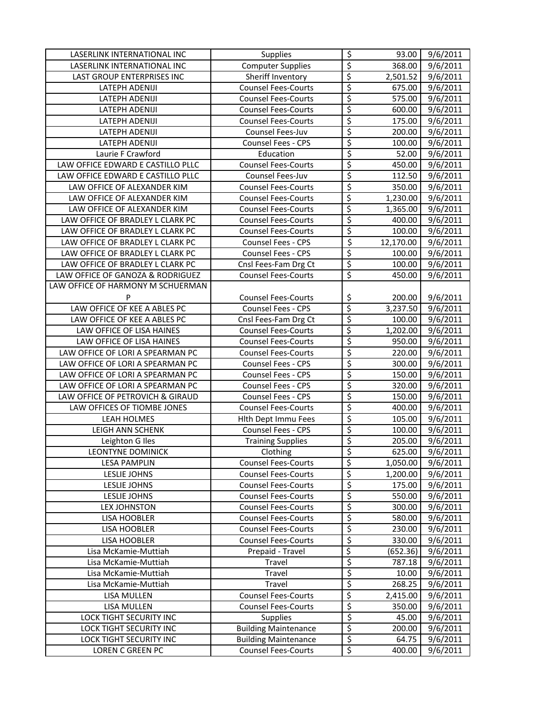| LASERLINK INTERNATIONAL INC       | Supplies                    | $\overline{\mathcal{S}}$                       | 93.00     | 9/6/2011              |
|-----------------------------------|-----------------------------|------------------------------------------------|-----------|-----------------------|
| LASERLINK INTERNATIONAL INC       | <b>Computer Supplies</b>    | $\overline{\xi}$                               | 368.00    | 9/6/2011              |
| LAST GROUP ENTERPRISES INC        | Sheriff Inventory           | $\overline{\xi}$                               | 2,501.52  | 9/6/2011              |
| LATEPH ADENIJI                    | <b>Counsel Fees-Courts</b>  | $\overline{\xi}$                               | 675.00    | 9/6/2011              |
| LATEPH ADENIJI                    | <b>Counsel Fees-Courts</b>  | \$                                             | 575.00    | 9/6/2011              |
| LATEPH ADENIJI                    | <b>Counsel Fees-Courts</b>  | \$                                             | 600.00    | 9/6/2011              |
| LATEPH ADENIJI                    | <b>Counsel Fees-Courts</b>  | \$                                             | 175.00    | 9/6/2011              |
| LATEPH ADENIJI                    | Counsel Fees-Juv            | \$                                             | 200.00    | 9/6/2011              |
| LATEPH ADENIJI                    | Counsel Fees - CPS          | \$                                             | 100.00    | 9/6/2011              |
| Laurie F Crawford                 | Education                   | $\overline{\xi}$                               | 52.00     | 9/6/2011              |
| LAW OFFICE EDWARD E CASTILLO PLLC | <b>Counsel Fees-Courts</b>  | $\overline{\xi}$                               | 450.00    | 9/6/2011              |
| LAW OFFICE EDWARD E CASTILLO PLLC | Counsel Fees-Juv            | \$                                             | 112.50    | 9/6/2011              |
| LAW OFFICE OF ALEXANDER KIM       | <b>Counsel Fees-Courts</b>  | $\overline{\xi}$                               | 350.00    | 9/6/2011              |
| LAW OFFICE OF ALEXANDER KIM       | <b>Counsel Fees-Courts</b>  | $\overline{\xi}$                               | 1,230.00  | 9/6/2011              |
| LAW OFFICE OF ALEXANDER KIM       | <b>Counsel Fees-Courts</b>  | $\overline{\xi}$                               | 1,365.00  | 9/6/2011              |
| LAW OFFICE OF BRADLEY L CLARK PC  | <b>Counsel Fees-Courts</b>  | $\overline{\xi}$                               | 400.00    | 9/6/2011              |
| LAW OFFICE OF BRADLEY L CLARK PC  | <b>Counsel Fees-Courts</b>  | $\overline{\xi}$                               | 100.00    | 9/6/2011              |
| LAW OFFICE OF BRADLEY L CLARK PC  | Counsel Fees - CPS          | \$                                             | 12,170.00 | 9/6/2011              |
| LAW OFFICE OF BRADLEY L CLARK PC  | Counsel Fees - CPS          | $\overline{\xi}$                               | 100.00    | 9/6/2011              |
| LAW OFFICE OF BRADLEY L CLARK PC  | Cnsl Fees-Fam Drg Ct        | $\overline{\xi}$                               | 100.00    | 9/6/2011              |
| LAW OFFICE OF GANOZA & RODRIGUEZ  | <b>Counsel Fees-Courts</b>  | \$                                             | 450.00    | 9/6/2011              |
| LAW OFFICE OF HARMONY M SCHUERMAN |                             |                                                |           |                       |
| P                                 | <b>Counsel Fees-Courts</b>  | \$                                             | 200.00    | 9/6/2011              |
| LAW OFFICE OF KEE A ABLES PC      | Counsel Fees - CPS          | \$                                             | 3,237.50  | 9/6/2011              |
| LAW OFFICE OF KEE A ABLES PC      | Cnsl Fees-Fam Drg Ct        | $\overline{\xi}$                               | 100.00    | 9/6/2011              |
| LAW OFFICE OF LISA HAINES         | <b>Counsel Fees-Courts</b>  | \$                                             | 1,202.00  | 9/6/2011              |
| LAW OFFICE OF LISA HAINES         | <b>Counsel Fees-Courts</b>  | $\overline{\xi}$                               | 950.00    | 9/6/2011              |
| LAW OFFICE OF LORI A SPEARMAN PC  | <b>Counsel Fees-Courts</b>  | $\overline{\xi}$                               | 220.00    | 9/6/2011              |
| LAW OFFICE OF LORI A SPEARMAN PC  | <b>Counsel Fees - CPS</b>   | $\overline{\xi}$                               | 300.00    | 9/6/2011              |
| LAW OFFICE OF LORI A SPEARMAN PC  | Counsel Fees - CPS          | \$                                             | 150.00    | 9/6/2011              |
| LAW OFFICE OF LORI A SPEARMAN PC  | Counsel Fees - CPS          | \$                                             | 320.00    | 9/6/2011              |
| LAW OFFICE OF PETROVICH & GIRAUD  | Counsel Fees - CPS          | \$                                             | 150.00    | 9/6/2011              |
| LAW OFFICES OF TIOMBE JONES       | <b>Counsel Fees-Courts</b>  | \$                                             | 400.00    | 9/6/2011              |
| LEAH HOLMES                       | Hith Dept Immu Fees         | \$                                             | 105.00    | 9/6/2011              |
| LEIGH ANN SCHENK                  | Counsel Fees - CPS          | $\overline{\xi}$                               | 100.00    | 9/6/2011              |
| Leighton G Iles                   | <b>Training Supplies</b>    | \$                                             | 205.00    | 9/6/2011              |
| LEONTYNE DOMINICK                 | Clothing                    | $\overline{\underline{\underline{\varsigma}}}$ | 625.00    | 9/6/2011              |
| <b>LESA PAMPLIN</b>               | <b>Counsel Fees-Courts</b>  | $\overline{\xi}$                               | 1,050.00  | 9/6/2011              |
| LESLIE JOHNS                      | <b>Counsel Fees-Courts</b>  | \$                                             | 1,200.00  | 9/6/2011              |
| <b>LESLIE JOHNS</b>               | <b>Counsel Fees-Courts</b>  | \$                                             | 175.00    | 9/6/2011              |
| LESLIE JOHNS                      | <b>Counsel Fees-Courts</b>  | $\overline{\xi}$                               | 550.00    | 9/6/2011              |
| LEX JOHNSTON                      | <b>Counsel Fees-Courts</b>  | $\overline{\xi}$                               | 300.00    | 9/6/2011              |
| <b>LISA HOOBLER</b>               | <b>Counsel Fees-Courts</b>  | \$                                             | 580.00    | 9/6/2011              |
| <b>LISA HOOBLER</b>               | <b>Counsel Fees-Courts</b>  | \$                                             | 230.00    | 9/6/2011              |
| <b>LISA HOOBLER</b>               | <b>Counsel Fees-Courts</b>  | \$                                             | 330.00    | 9/6/2011              |
| Lisa McKamie-Muttiah              | Prepaid - Travel            | \$                                             | (652.36)  | 9/6/2011              |
| Lisa McKamie-Muttiah              | Travel                      | $\overline{\mathsf{S}}$                        | 787.18    | $\frac{1}{9}$ /6/2011 |
| Lisa McKamie-Muttiah              | Travel                      | $\overline{\mathcal{S}}$                       | 10.00     | 9/6/2011              |
| Lisa McKamie-Muttiah              | Travel                      | \$                                             | 268.25    | 9/6/2011              |
| LISA MULLEN                       | <b>Counsel Fees-Courts</b>  | $\overline{\xi}$                               | 2,415.00  | 9/6/2011              |
| LISA MULLEN                       | <b>Counsel Fees-Courts</b>  | $\overline{\mathcal{S}}$                       | 350.00    | 9/6/2011              |
| LOCK TIGHT SECURITY INC           | <b>Supplies</b>             | \$                                             | 45.00     | 9/6/2011              |
| LOCK TIGHT SECURITY INC           | <b>Building Maintenance</b> | $\overline{\xi}$                               | 200.00    | 9/6/2011              |
| LOCK TIGHT SECURITY INC           | <b>Building Maintenance</b> | \$                                             | 64.75     | 9/6/2011              |
| LOREN C GREEN PC                  | <b>Counsel Fees-Courts</b>  | $\overline{\xi}$                               | 400.00    | 9/6/2011              |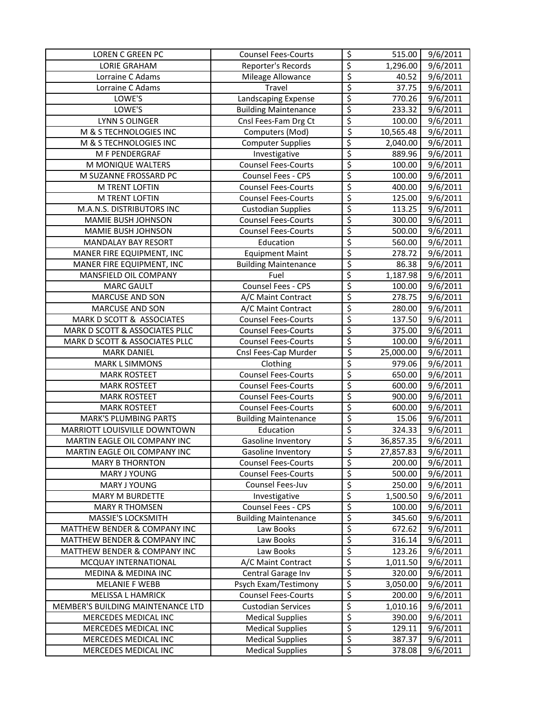| <b>LOREN C GREEN PC</b>             | <b>Counsel Fees-Courts</b>  | \$                       | 515.00    | $\frac{1}{9}$ /6/2011 |
|-------------------------------------|-----------------------------|--------------------------|-----------|-----------------------|
| <b>LORIE GRAHAM</b>                 | Reporter's Records          | \$                       | 1,296.00  | 9/6/2011              |
| Lorraine C Adams                    | Mileage Allowance           | $\overline{\xi}$         | 40.52     | 9/6/2011              |
| Lorraine C Adams                    | Travel                      | $\overline{\varsigma}$   | 37.75     | 9/6/2011              |
| LOWE'S                              | Landscaping Expense         | \$                       | 770.26    | 9/6/2011              |
| LOWE'S                              | <b>Building Maintenance</b> | \$                       | 233.32    | 9/6/2011              |
| LYNN S OLINGER                      | Cnsl Fees-Fam Drg Ct        | $\overline{\xi}$         | 100.00    | 9/6/2011              |
| M & S TECHNOLOGIES INC              | Computers (Mod)             | \$                       | 10,565.48 | $\frac{1}{9}$ /6/2011 |
| M & S TECHNOLOGIES INC              | <b>Computer Supplies</b>    | \$                       | 2,040.00  | $\overline{9}/6/2011$ |
| M F PENDERGRAF                      | Investigative               | \$                       | 889.96    | 9/6/2011              |
| M MONIQUE WALTERS                   | <b>Counsel Fees-Courts</b>  | \$                       | 100.00    | 9/6/2011              |
| M SUZANNE FROSSARD PC               | Counsel Fees - CPS          | \$                       | 100.00    | 9/6/2011              |
| M TRENT LOFTIN                      | <b>Counsel Fees-Courts</b>  | \$                       | 400.00    | 9/6/2011              |
| M TRENT LOFTIN                      | <b>Counsel Fees-Courts</b>  | \$                       | 125.00    | 9/6/2011              |
| M.A.N.S. DISTRIBUTORS INC           | <b>Custodian Supplies</b>   | \$                       | 113.25    | 9/6/2011              |
| MAMIE BUSH JOHNSON                  | <b>Counsel Fees-Courts</b>  | \$                       | 300.00    | 9/6/2011              |
| MAMIE BUSH JOHNSON                  | <b>Counsel Fees-Courts</b>  | \$                       | 500.00    | 9/6/2011              |
| <b>MANDALAY BAY RESORT</b>          | Education                   | $\overline{\xi}$         | 560.00    | 9/6/2011              |
| MANER FIRE EQUIPMENT, INC           | <b>Equipment Maint</b>      | \$                       | 278.72    | 9/6/2011              |
| MANER FIRE EQUIPMENT, INC           | <b>Building Maintenance</b> | \$                       | 86.38     | 9/6/2011              |
| MANSFIELD OIL COMPANY               | Fuel                        | \$                       | 1,187.98  | 9/6/2011              |
| <b>MARC GAULT</b>                   | Counsel Fees - CPS          | \$                       | 100.00    | 9/6/2011              |
| <b>MARCUSE AND SON</b>              | A/C Maint Contract          | \$                       | 278.75    | 9/6/2011              |
| MARCUSE AND SON                     | A/C Maint Contract          | \$                       | 280.00    | 9/6/2011              |
| MARK D SCOTT & ASSOCIATES           | <b>Counsel Fees-Courts</b>  | \$                       | 137.50    | 9/6/2011              |
| MARK D SCOTT & ASSOCIATES PLLC      | <b>Counsel Fees-Courts</b>  | \$                       | 375.00    | 9/6/2011              |
| MARK D SCOTT & ASSOCIATES PLLC      | <b>Counsel Fees-Courts</b>  | \$                       | 100.00    | 9/6/2011              |
| <b>MARK DANIEL</b>                  | Cnsl Fees-Cap Murder        | $\overline{\xi}$         | 25,000.00 | 9/6/2011              |
| <b>MARK L SIMMONS</b>               | Clothing                    | \$                       | 979.06    | 9/6/2011              |
| <b>MARK ROSTEET</b>                 | <b>Counsel Fees-Courts</b>  | $\overline{\varsigma}$   | 650.00    | 9/6/2011              |
| <b>MARK ROSTEET</b>                 | <b>Counsel Fees-Courts</b>  | \$                       | 600.00    | 9/6/2011              |
| <b>MARK ROSTEET</b>                 | <b>Counsel Fees-Courts</b>  | $\overline{\xi}$         | 900.00    | $\frac{1}{9}$ /6/2011 |
| <b>MARK ROSTEET</b>                 | <b>Counsel Fees-Courts</b>  | \$                       | 600.00    | 9/6/2011              |
| <b>MARK'S PLUMBING PARTS</b>        | <b>Building Maintenance</b> | \$                       | 15.06     | 9/6/2011              |
| MARRIOTT LOUISVILLE DOWNTOWN        | Education                   | \$                       | 324.33    | 9/6/2011              |
| MARTIN EAGLE OIL COMPANY INC        | Gasoline Inventory          | \$                       | 36,857.35 | 9/6/2011              |
| <b>MARTIN EAGLE OIL COMPANY INC</b> | Gasoline Inventory          | \$                       | 27,857.83 | 9/6/2011              |
| <b>MARY B THORNTON</b>              | <b>Counsel Fees-Courts</b>  | \$                       | 200.00    | 9/6/2011              |
| MARY J YOUNG                        | <b>Counsel Fees-Courts</b>  | \$                       | 500.00    | 9/6/2011              |
| MARY J YOUNG                        | Counsel Fees-Juv            | \$                       | 250.00    | 9/6/2011              |
| <b>MARY M BURDETTE</b>              | Investigative               | \$                       | 1,500.50  | 9/6/2011              |
| <b>MARY R THOMSEN</b>               | Counsel Fees - CPS          | \$                       | 100.00    | 9/6/2011              |
| MASSIE'S LOCKSMITH                  | <b>Building Maintenance</b> | \$                       | 345.60    | 9/6/2011              |
| MATTHEW BENDER & COMPANY INC        | Law Books                   | \$                       | 672.62    | 9/6/2011              |
| MATTHEW BENDER & COMPANY INC        | Law Books                   | \$                       | 316.14    | 9/6/2011              |
| MATTHEW BENDER & COMPANY INC        | Law Books                   | \$                       | 123.26    | 9/6/2011              |
| MCQUAY INTERNATIONAL                | A/C Maint Contract          | \$                       | 1,011.50  | 9/6/2011              |
| MEDINA & MEDINA INC                 | Central Garage Inv          | \$                       | 320.00    | 9/6/2011              |
| <b>MELANIE F WEBB</b>               | Psych Exam/Testimony        | \$                       | 3,050.00  | 9/6/2011              |
| MELISSA L HAMRICK                   | <b>Counsel Fees-Courts</b>  | \$                       | 200.00    | 9/6/2011              |
| MEMBER'S BUILDING MAINTENANCE LTD   | <b>Custodian Services</b>   | \$                       | 1,010.16  | 9/6/2011              |
| MERCEDES MEDICAL INC                | <b>Medical Supplies</b>     | \$                       | 390.00    | 9/6/2011              |
| MERCEDES MEDICAL INC                | <b>Medical Supplies</b>     | $\overline{\mathcal{L}}$ | 129.11    | 9/6/2011              |
| MERCEDES MEDICAL INC                | <b>Medical Supplies</b>     | \$                       | 387.37    | 9/6/2011              |
| MERCEDES MEDICAL INC                | <b>Medical Supplies</b>     | $\overline{\mathcal{S}}$ | 378.08    | 9/6/2011              |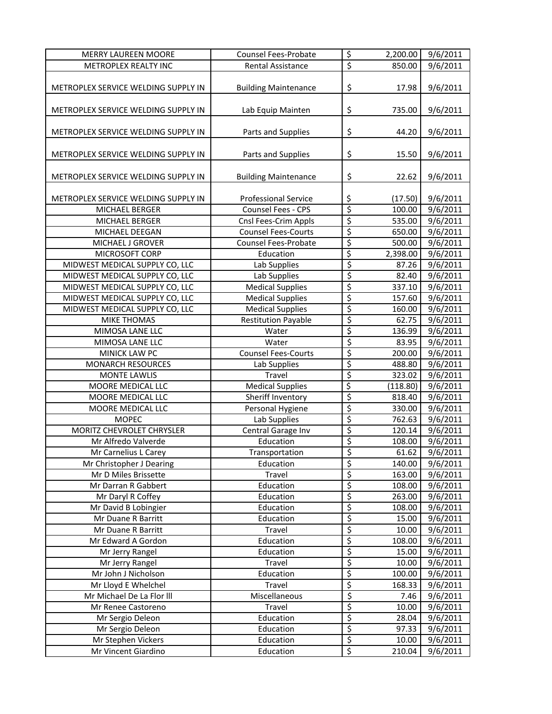| <b>MERRY LAUREEN MOORE</b>          | <b>Counsel Fees-Probate</b> | \$                       | 2,200.00 | 9/6/2011              |
|-------------------------------------|-----------------------------|--------------------------|----------|-----------------------|
| METROPLEX REALTY INC                | Rental Assistance           | $\overline{\xi}$         | 850.00   | 9/6/2011              |
| METROPLEX SERVICE WELDING SUPPLY IN | <b>Building Maintenance</b> | \$                       | 17.98    | 9/6/2011              |
| METROPLEX SERVICE WELDING SUPPLY IN | Lab Equip Mainten           | \$                       | 735.00   | 9/6/2011              |
|                                     |                             |                          |          |                       |
| METROPLEX SERVICE WELDING SUPPLY IN | Parts and Supplies          | \$                       | 44.20    | 9/6/2011              |
| METROPLEX SERVICE WELDING SUPPLY IN | Parts and Supplies          | \$                       | 15.50    | 9/6/2011              |
| METROPLEX SERVICE WELDING SUPPLY IN | <b>Building Maintenance</b> | \$                       | 22.62    | 9/6/2011              |
| METROPLEX SERVICE WELDING SUPPLY IN | Professional Service        | \$                       | (17.50)  | 9/6/2011              |
| MICHAEL BERGER                      | Counsel Fees - CPS          | \$                       | 100.00   | 9/6/2011              |
| MICHAEL BERGER                      | Cnsl Fees-Crim Appls        | \$                       | 535.00   | 9/6/2011              |
| MICHAEL DEEGAN                      | <b>Counsel Fees-Courts</b>  | \$                       | 650.00   | 9/6/2011              |
| MICHAEL J GROVER                    | <b>Counsel Fees-Probate</b> | \$                       | 500.00   | 9/6/2011              |
| MICROSOFT CORP                      | Education                   | \$                       | 2,398.00 | 9/6/2011              |
| MIDWEST MEDICAL SUPPLY CO, LLC      | Lab Supplies                | \$                       | 87.26    | 9/6/2011              |
| MIDWEST MEDICAL SUPPLY CO, LLC      | Lab Supplies                | $\overline{\xi}$         | 82.40    | 9/6/2011              |
| MIDWEST MEDICAL SUPPLY CO, LLC      | <b>Medical Supplies</b>     | \$                       | 337.10   | 9/6/2011              |
| MIDWEST MEDICAL SUPPLY CO, LLC      | <b>Medical Supplies</b>     | \$                       | 157.60   | 9/6/2011              |
| MIDWEST MEDICAL SUPPLY CO, LLC      | <b>Medical Supplies</b>     | \$                       | 160.00   | 9/6/2011              |
| <b>MIKE THOMAS</b>                  | <b>Restitution Payable</b>  | \$                       | 62.75    | 9/6/2011              |
| MIMOSA LANE LLC                     | Water                       | \$                       | 136.99   | 9/6/2011              |
| MIMOSA LANE LLC                     | Water                       | \$                       | 83.95    | 9/6/2011              |
| MINICK LAW PC                       | <b>Counsel Fees-Courts</b>  | \$                       | 200.00   | 9/6/2011              |
| <b>MONARCH RESOURCES</b>            | Lab Supplies                | \$                       | 488.80   | 9/6/2011              |
| <b>MONTE LAWLIS</b>                 | Travel                      | \$                       | 323.02   | 9/6/2011              |
| MOORE MEDICAL LLC                   | <b>Medical Supplies</b>     | \$                       | (118.80) | 9/6/2011              |
| MOORE MEDICAL LLC                   | Sheriff Inventory           | \$                       | 818.40   | 9/6/2011              |
| MOORE MEDICAL LLC                   | Personal Hygiene            | \$                       | 330.00   | 9/6/2011              |
| <b>MOPEC</b>                        | Lab Supplies                | \$                       | 762.63   | 9/6/2011              |
| <b>MORITZ CHEVROLET CHRYSLER</b>    | Central Garage Inv          | \$                       | 120.14   | 9/6/2011              |
| Mr Alfredo Valverde                 | Education                   | \$                       | 108.00   | 9/6/2011              |
| Mr Carnelius L Carey                | Transportation              | \$                       | 61.62    | 9/6/2011              |
| Mr Christopher J Dearing            | Education                   | \$                       | 140.00   | 9/6/2011              |
| Mr D Miles Brissette                | Travel                      | \$                       | 163.00   | 9/6/2011              |
| Mr Darran R Gabbert                 | Education                   | \$                       | 108.00   | 9/6/2011              |
| Mr Daryl R Coffey                   | Education                   | \$                       | 263.00   | 9/6/2011              |
| Mr David B Lobingier                | Education                   | \$                       | 108.00   | 9/6/2011              |
| Mr Duane R Barritt                  | Education                   | \$                       | 15.00    | 9/6/2011              |
| Mr Duane R Barritt                  | Travel                      | \$                       | 10.00    | 9/6/2011              |
| Mr Edward A Gordon                  | Education                   | \$                       | 108.00   | $\frac{1}{9}$ /6/2011 |
| Mr Jerry Rangel                     | Education                   | \$                       | 15.00    | 9/6/2011              |
| Mr Jerry Rangel                     | Travel                      | \$                       | 10.00    | 9/6/2011              |
| Mr John J Nicholson                 | Education                   | \$                       | 100.00   | 9/6/2011              |
| Mr Lloyd E Whelchel                 | Travel                      | \$                       | 168.33   | 9/6/2011              |
| Mr Michael De La Flor III           | Miscellaneous               | $\overline{\mathcal{S}}$ | 7.46     | 9/6/2011              |
| Mr Renee Castoreno                  | Travel                      | \$                       | 10.00    | 9/6/2011              |
| Mr Sergio Deleon                    | Education                   | \$                       | 28.04    | 9/6/2011              |
| Mr Sergio Deleon                    | Education                   | \$                       | 97.33    | 9/6/2011              |
| Mr Stephen Vickers                  | Education                   | \$                       | 10.00    | 9/6/2011              |
| Mr Vincent Giardino                 | Education                   | $\overline{\xi}$         | 210.04   | 9/6/2011              |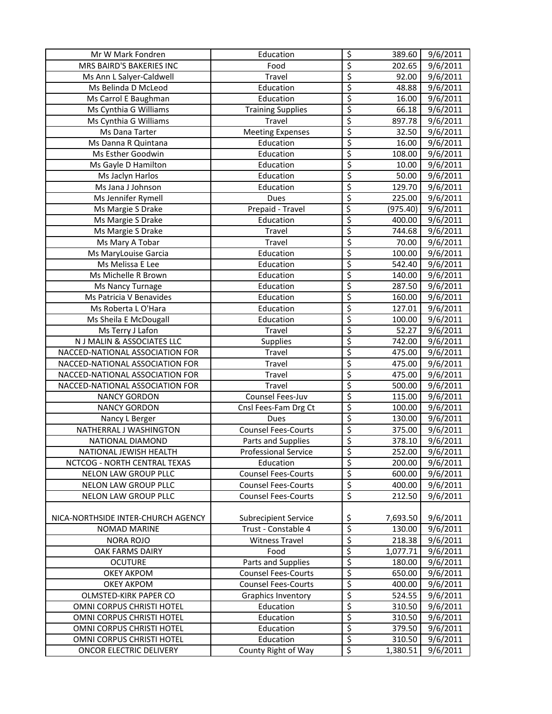| Mr W Mark Fondren                  | Education                   | \$                       | 389.60   | 9/6/2011              |
|------------------------------------|-----------------------------|--------------------------|----------|-----------------------|
| MRS BAIRD'S BAKERIES INC           | Food                        | \$                       | 202.65   | 9/6/2011              |
| Ms Ann L Salyer-Caldwell           | Travel                      | $\overline{\mathcal{S}}$ | 92.00    | 9/6/2011              |
| Ms Belinda D McLeod                | Education                   | $\overline{\xi}$         | 48.88    | 9/6/2011              |
| Ms Carrol E Baughman               | Education                   | $\overline{\mathcal{S}}$ | 16.00    | 9/6/2011              |
| Ms Cynthia G Williams              | <b>Training Supplies</b>    | \$                       | 66.18    | $\frac{1}{9}$ /6/2011 |
| Ms Cynthia G Williams              | Travel                      | \$                       | 897.78   | $\overline{9}/6/2011$ |
| Ms Dana Tarter                     | <b>Meeting Expenses</b>     | \$                       | 32.50    | 9/6/2011              |
| Ms Danna R Quintana                | Education                   | \$                       | 16.00    | 9/6/2011              |
| Ms Esther Goodwin                  | Education                   | \$                       | 108.00   | 9/6/2011              |
| Ms Gayle D Hamilton                | Education                   | \$                       | 10.00    | 9/6/2011              |
| Ms Jaclyn Harlos                   | Education                   | \$                       | 50.00    | 9/6/2011              |
| Ms Jana J Johnson                  | Education                   | \$                       | 129.70   | 9/6/2011              |
| Ms Jennifer Rymell                 | Dues                        | $\overline{\xi}$         | 225.00   | 9/6/2011              |
| Ms Margie S Drake                  | Prepaid - Travel            | \$                       | (975.40) | 9/6/2011              |
| Ms Margie S Drake                  | Education                   | $\overline{\varsigma}$   | 400.00   | 9/6/2011              |
| Ms Margie S Drake                  | Travel                      | \$                       | 744.68   | 9/6/2011              |
| Ms Mary A Tobar                    | Travel                      | \$                       | 70.00    | 9/6/2011              |
| Ms MaryLouise Garcia               | Education                   | \$                       | 100.00   | 9/6/2011              |
| Ms Melissa E Lee                   | Education                   | \$                       | 542.40   | 9/6/2011              |
| Ms Michelle R Brown                | Education                   | \$                       | 140.00   | 9/6/2011              |
| Ms Nancy Turnage                   | Education                   | \$                       | 287.50   | 9/6/2011              |
| Ms Patricia V Benavides            | Education                   | \$                       | 160.00   | 9/6/2011              |
| Ms Roberta L O'Hara                | Education                   | \$                       | 127.01   | 9/6/2011              |
| Ms Sheila E McDougall              | Education                   | \$                       | 100.00   | 9/6/2011              |
| Ms Terry J Lafon                   | Travel                      | \$                       | 52.27    | 9/6/2011              |
| N J MALIN & ASSOCIATES LLC         | <b>Supplies</b>             | \$                       | 742.00   | 9/6/2011              |
| NACCED-NATIONAL ASSOCIATION FOR    | Travel                      | $\overline{\mathcal{S}}$ | 475.00   | 9/6/2011              |
| NACCED-NATIONAL ASSOCIATION FOR    | Travel                      | $\overline{\xi}$         | 475.00   | 9/6/2011              |
| NACCED-NATIONAL ASSOCIATION FOR    | Travel                      | $\overline{\xi}$         | 475.00   | 9/6/2011              |
| NACCED-NATIONAL ASSOCIATION FOR    | Travel                      | \$                       | 500.00   | 9/6/2011              |
| <b>NANCY GORDON</b>                | Counsel Fees-Juv            | \$                       | 115.00   | $\overline{9}/6/2011$ |
| <b>NANCY GORDON</b>                | Cnsl Fees-Fam Drg Ct        | \$                       | 100.00   | 9/6/2011              |
| Nancy L Berger                     | Dues                        | \$                       | 130.00   | 9/6/2011              |
| NATHERRAL J WASHINGTON             | <b>Counsel Fees-Courts</b>  | $\overline{\xi}$         | 375.00   | $\frac{1}{9}$ 6/2011  |
| NATIONAL DIAMOND                   | Parts and Supplies          | \$                       | 378.10   | 9/6/2011              |
| NATIONAL JEWISH HEALTH             | <b>Professional Service</b> | $\overline{\mathsf{s}}$  | 252.00   | 9/6/2011              |
| NCTCOG - NORTH CENTRAL TEXAS       | Education                   | \$                       | 200.00   | 9/6/2011              |
| NELON LAW GROUP PLLC               | <b>Counsel Fees-Courts</b>  | $\overline{\mathcal{S}}$ | 600.00   | 9/6/2011              |
| NELON LAW GROUP PLLC               | <b>Counsel Fees-Courts</b>  | $\overline{\xi}$         | 400.00   | 9/6/2011              |
| NELON LAW GROUP PLLC               | <b>Counsel Fees-Courts</b>  | $\overline{\mathcal{S}}$ | 212.50   | 9/6/2011              |
|                                    |                             |                          |          |                       |
| NICA-NORTHSIDE INTER-CHURCH AGENCY | Subrecipient Service        | \$                       | 7,693.50 | 9/6/2011              |
| <b>NOMAD MARINE</b>                | Trust - Constable 4         | \$                       | 130.00   | 9/6/2011              |
| <b>NORA ROJO</b>                   | <b>Witness Travel</b>       | \$                       | 218.38   | 9/6/2011              |
| OAK FARMS DAIRY                    | Food                        | \$                       | 1,077.71 | 9/6/2011              |
| <b>OCUTURE</b>                     | Parts and Supplies          | \$                       | 180.00   | 9/6/2011              |
| <b>OKEY AKPOM</b>                  | <b>Counsel Fees-Courts</b>  | \$                       | 650.00   | 9/6/2011              |
| OKEY AKPOM                         | <b>Counsel Fees-Courts</b>  | $\overline{\xi}$         | 400.00   | 9/6/2011              |
| OLMSTED-KIRK PAPER CO              | Graphics Inventory          | $\overline{\mathcal{L}}$ | 524.55   | 9/6/2011              |
| OMNI CORPUS CHRISTI HOTEL          | Education                   | $\overline{\xi}$         | 310.50   | 9/6/2011              |
| OMNI CORPUS CHRISTI HOTEL          | Education                   | $\overline{\xi}$         | 310.50   | 9/6/2011              |
| OMNI CORPUS CHRISTI HOTEL          | Education                   | $\overline{\varsigma}$   | 379.50   | 9/6/2011              |
| OMNI CORPUS CHRISTI HOTEL          | Education                   | \$                       | 310.50   | 9/6/2011              |
| ONCOR ELECTRIC DELIVERY            | County Right of Way         | $\overline{\xi}$         | 1,380.51 | 9/6/2011              |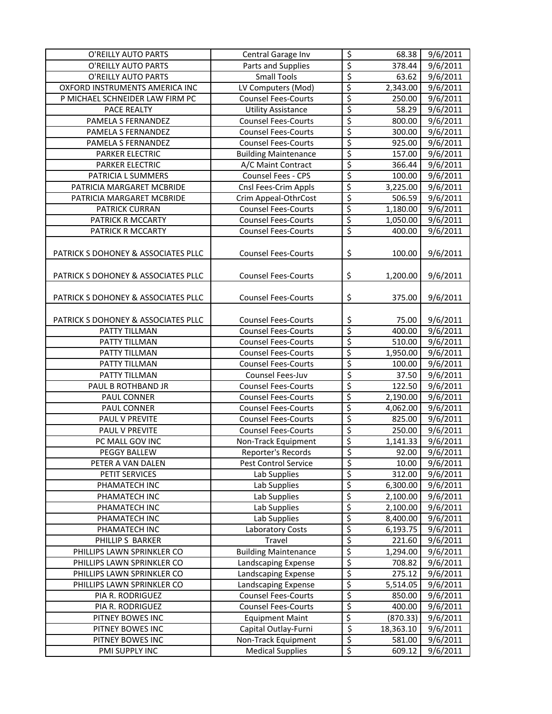| O'REILLY AUTO PARTS                 | Central Garage Inv          | \$                     | 68.38     | 9/6/2011              |
|-------------------------------------|-----------------------------|------------------------|-----------|-----------------------|
| O'REILLY AUTO PARTS                 | Parts and Supplies          | \$                     | 378.44    | 9/6/2011              |
| O'REILLY AUTO PARTS                 | <b>Small Tools</b>          | $\overline{\xi}$       | 63.62     | 9/6/2011              |
| OXFORD INSTRUMENTS AMERICA INC      | LV Computers (Mod)          | \$                     | 2,343.00  | 9/6/2011              |
| P MICHAEL SCHNEIDER LAW FIRM PC     | <b>Counsel Fees-Courts</b>  | \$                     | 250.00    | 9/6/2011              |
| PACE REALTY                         | <b>Utility Assistance</b>   | $\overline{\xi}$       | 58.29     | 9/6/2011              |
| PAMELA S FERNANDEZ                  | <b>Counsel Fees-Courts</b>  | \$                     | 800.00    | 9/6/2011              |
| PAMELA S FERNANDEZ                  | <b>Counsel Fees-Courts</b>  | \$                     | 300.00    | 9/6/2011              |
| PAMELA S FERNANDEZ                  | <b>Counsel Fees-Courts</b>  | \$                     | 925.00    | $\frac{1}{9}$ /6/2011 |
| PARKER ELECTRIC                     | <b>Building Maintenance</b> | \$                     | 157.00    | 9/6/2011              |
| PARKER ELECTRIC                     | A/C Maint Contract          | \$                     | 366.44    | 9/6/2011              |
| PATRICIA L SUMMERS                  | Counsel Fees - CPS          | \$                     | 100.00    | 9/6/2011              |
| PATRICIA MARGARET MCBRIDE           | Cnsl Fees-Crim Appls        | \$                     | 3,225.00  | 9/6/2011              |
| PATRICIA MARGARET MCBRIDE           | Crim Appeal-OthrCost        | \$                     | 506.59    | 9/6/2011              |
| <b>PATRICK CURRAN</b>               | <b>Counsel Fees-Courts</b>  | \$                     | 1,180.00  | 9/6/2011              |
| PATRICK R MCCARTY                   | <b>Counsel Fees-Courts</b>  | \$                     | 1,050.00  | 9/6/2011              |
| PATRICK R MCCARTY                   | <b>Counsel Fees-Courts</b>  | $\overline{\xi}$       | 400.00    | 9/6/2011              |
|                                     |                             |                        |           |                       |
| PATRICK S DOHONEY & ASSOCIATES PLLC | <b>Counsel Fees-Courts</b>  | \$                     | 100.00    | 9/6/2011              |
|                                     |                             |                        |           |                       |
| PATRICK S DOHONEY & ASSOCIATES PLLC | <b>Counsel Fees-Courts</b>  | \$                     | 1,200.00  | 9/6/2011              |
|                                     |                             |                        |           |                       |
| PATRICK S DOHONEY & ASSOCIATES PLLC | <b>Counsel Fees-Courts</b>  | \$                     | 375.00    | 9/6/2011              |
|                                     |                             |                        |           |                       |
| PATRICK S DOHONEY & ASSOCIATES PLLC | <b>Counsel Fees-Courts</b>  | \$                     | 75.00     | 9/6/2011              |
| PATTY TILLMAN                       | <b>Counsel Fees-Courts</b>  | \$                     | 400.00    | 9/6/2011              |
| PATTY TILLMAN                       | <b>Counsel Fees-Courts</b>  | \$                     | 510.00    | $\frac{1}{9}$ /6/2011 |
| PATTY TILLMAN                       | <b>Counsel Fees-Courts</b>  | \$                     | 1,950.00  | 9/6/2011              |
| PATTY TILLMAN                       | <b>Counsel Fees-Courts</b>  | $\overline{\xi}$       | 100.00    | $\frac{1}{9}$ /6/2011 |
| PATTY TILLMAN                       | Counsel Fees-Juv            | \$                     | 37.50     | $\frac{1}{9}$ /6/2011 |
| PAUL B ROTHBAND JR                  | <b>Counsel Fees-Courts</b>  | $\overline{\xi}$       | 122.50    | 9/6/2011              |
| PAUL CONNER                         | <b>Counsel Fees-Courts</b>  | \$                     | 2,190.00  | 9/6/2011              |
| PAUL CONNER                         | <b>Counsel Fees-Courts</b>  | \$                     | 4,062.00  | 9/6/2011              |
| PAUL V PREVITE                      | <b>Counsel Fees-Courts</b>  | \$                     | 825.00    | 9/6/2011              |
| PAUL V PREVITE                      | <b>Counsel Fees-Courts</b>  | \$                     | 250.00    | 9/6/2011              |
| PC MALL GOV INC                     | Non-Track Equipment         | \$                     | 1,141.33  | 9/6/2011              |
| PEGGY BALLEW                        | Reporter's Records          | \$                     | 92.00     | 9/6/2011              |
| PETER A VAN DALEN                   | Pest Control Service        | \$                     | 10.00     | 9/6/2011              |
| PETIT SERVICES                      | Lab Supplies                | $\overline{\varsigma}$ | 312.00    | 9/6/2011              |
| PHAMATECH INC                       | Lab Supplies                | \$                     | 6,300.00  | 9/6/2011              |
| PHAMATECH INC                       | Lab Supplies                | \$                     | 2,100.00  | 9/6/2011              |
| PHAMATECH INC                       | Lab Supplies                | \$                     | 2,100.00  | 9/6/2011              |
| PHAMATECH INC                       | Lab Supplies                | \$                     | 8,400.00  | 9/6/2011              |
| PHAMATECH INC                       | Laboratory Costs            | \$                     | 6,193.75  | 9/6/2011              |
| PHILLIP S BARKER                    | Travel                      | \$                     | 221.60    | 9/6/2011              |
| PHILLIPS LAWN SPRINKLER CO          | <b>Building Maintenance</b> | \$                     | 1,294.00  | 9/6/2011              |
| PHILLIPS LAWN SPRINKLER CO          | Landscaping Expense         | \$                     | 708.82    | 9/6/2011              |
| PHILLIPS LAWN SPRINKLER CO          | Landscaping Expense         | \$                     | 275.12    | 9/6/2011              |
| PHILLIPS LAWN SPRINKLER CO          | Landscaping Expense         | \$                     | 5,514.05  | 9/6/2011              |
| PIA R. RODRIGUEZ                    | <b>Counsel Fees-Courts</b>  | $\varsigma$            | 850.00    | 9/6/2011              |
| PIA R. RODRIGUEZ                    | <b>Counsel Fees-Courts</b>  | \$                     | 400.00    | 9/6/2011              |
| PITNEY BOWES INC                    | Equipment Maint             | \$                     | (870.33)  | 9/6/2011              |
| PITNEY BOWES INC                    | Capital Outlay-Furni        | $\varsigma$            | 18,363.10 | 9/6/2011              |
| PITNEY BOWES INC                    | Non-Track Equipment         | \$                     | 581.00    | 9/6/2011              |
| PMI SUPPLY INC                      | Medical Supplies            | \$                     | 609.12    | 9/6/2011              |
|                                     |                             |                        |           |                       |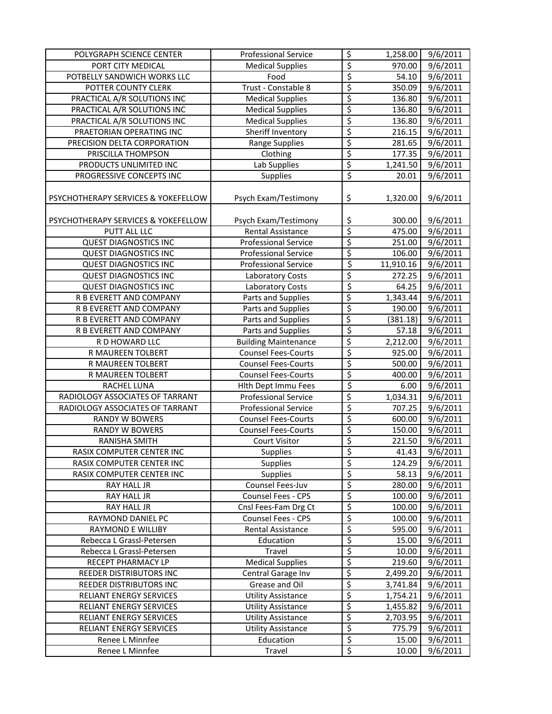| POLYGRAPH SCIENCE CENTER            | <b>Professional Service</b> | \$                       | 1,258.00  | 9/6/2011              |
|-------------------------------------|-----------------------------|--------------------------|-----------|-----------------------|
| PORT CITY MEDICAL                   | <b>Medical Supplies</b>     | $\overline{\varsigma}$   | 970.00    | 9/6/2011              |
| POTBELLY SANDWICH WORKS LLC         | Food                        | $\overline{\xi}$         | 54.10     | 9/6/2011              |
| POTTER COUNTY CLERK                 | Trust - Constable 8         | $\overline{\xi}$         | 350.09    | 9/6/2011              |
| PRACTICAL A/R SOLUTIONS INC         | <b>Medical Supplies</b>     | $\overline{\xi}$         | 136.80    | 9/6/2011              |
| PRACTICAL A/R SOLUTIONS INC         | <b>Medical Supplies</b>     | \$                       | 136.80    | $\frac{1}{9}$ /6/2011 |
| PRACTICAL A/R SOLUTIONS INC         | <b>Medical Supplies</b>     | \$                       | 136.80    | $\overline{9}/6/2011$ |
| PRAETORIAN OPERATING INC            | Sheriff Inventory           | \$                       | 216.15    | 9/6/2011              |
| PRECISION DELTA CORPORATION         | <b>Range Supplies</b>       | \$                       | 281.65    | 9/6/2011              |
| PRISCILLA THOMPSON                  | Clothing                    | \$                       | 177.35    | 9/6/2011              |
| PRODUCTS UNLIMITED INC              | Lab Supplies                | \$                       | 1,241.50  | 9/6/2011              |
| PROGRESSIVE CONCEPTS INC            | Supplies                    | $\overline{\varsigma}$   | 20.01     | 9/6/2011              |
| PSYCHOTHERAPY SERVICES & YOKEFELLOW | Psych Exam/Testimony        | \$                       | 1,320.00  | 9/6/2011              |
| PSYCHOTHERAPY SERVICES & YOKEFELLOW | Psych Exam/Testimony        |                          | 300.00    | 9/6/2011              |
| PUTT ALL LLC                        | <b>Rental Assistance</b>    | $rac{5}{5}$              | 475.00    | 9/6/2011              |
| <b>QUEST DIAGNOSTICS INC</b>        | <b>Professional Service</b> | \$                       | 251.00    | 9/6/2011              |
| <b>QUEST DIAGNOSTICS INC</b>        | <b>Professional Service</b> | \$                       | 106.00    | 9/6/2011              |
| <b>QUEST DIAGNOSTICS INC</b>        | <b>Professional Service</b> | \$                       | 11,910.16 | 9/6/2011              |
| <b>QUEST DIAGNOSTICS INC</b>        | Laboratory Costs            | \$                       | 272.25    | 9/6/2011              |
| <b>QUEST DIAGNOSTICS INC</b>        | <b>Laboratory Costs</b>     | \$                       | 64.25     | 9/6/2011              |
| R B EVERETT AND COMPANY             | Parts and Supplies          | $\overline{\xi}$         | 1,343.44  | 9/6/2011              |
| R B EVERETT AND COMPANY             | Parts and Supplies          | $\overline{\xi}$         | 190.00    | 9/6/2011              |
| R B EVERETT AND COMPANY             | Parts and Supplies          | \$                       | (381.18)  | 9/6/2011              |
| R B EVERETT AND COMPANY             | Parts and Supplies          | $\overline{\xi}$         | 57.18     | 9/6/2011              |
| R D HOWARD LLC                      | <b>Building Maintenance</b> | \$                       | 2,212.00  | 9/6/2011              |
| R MAUREEN TOLBERT                   | <b>Counsel Fees-Courts</b>  | $\overline{\xi}$         | 925.00    | 9/6/2011              |
| R MAUREEN TOLBERT                   | <b>Counsel Fees-Courts</b>  | $\overline{\mathcal{L}}$ | 500.00    | 9/6/2011              |
| R MAUREEN TOLBERT                   | <b>Counsel Fees-Courts</b>  | \$                       | 400.00    | $\frac{1}{9}$ /6/2011 |
| RACHEL LUNA                         | <b>Hith Dept Immu Fees</b>  | \$                       | 6.00      | $\frac{1}{9}$ /6/2011 |
| RADIOLOGY ASSOCIATES OF TARRANT     | <b>Professional Service</b> | \$                       | 1,034.31  | 9/6/2011              |
| RADIOLOGY ASSOCIATES OF TARRANT     | <b>Professional Service</b> | \$                       | 707.25    | 9/6/2011              |
| RANDY W BOWERS                      | <b>Counsel Fees-Courts</b>  | \$                       | 600.00    | 9/6/2011              |
| RANDY W BOWERS                      | <b>Counsel Fees-Courts</b>  | $\overline{\mathcal{L}}$ | 150.00    | 9/6/2011              |
| RANISHA SMITH                       | <b>Court Visitor</b>        | \$                       | 221.50    | 9/6/2011              |
| RASIX COMPUTER CENTER INC           | Supplies                    | \$                       | 41.43     | 9/6/2011              |
| RASIX COMPUTER CENTER INC           | <b>Supplies</b>             | $\overline{\mathcal{S}}$ | 124.29    | 9/6/2011              |
| RASIX COMPUTER CENTER INC           | <b>Supplies</b>             | $\overline{\mathcal{S}}$ | 58.13     | 9/6/2011              |
| RAY HALL JR                         | Counsel Fees-Juv            | \$                       | 280.00    | 9/6/2011              |
| RAY HALL JR                         | Counsel Fees - CPS          | \$                       | 100.00    | 9/6/2011              |
| RAY HALL JR                         | Cnsl Fees-Fam Drg Ct        | \$                       | 100.00    | 9/6/2011              |
| RAYMOND DANIEL PC                   | Counsel Fees - CPS          | \$                       | 100.00    | 9/6/2011              |
| <b>RAYMOND E WILLIBY</b>            | Rental Assistance           | \$                       | 595.00    | 9/6/2011              |
| Rebecca L Grassl-Petersen           | Education                   | \$                       | 15.00     | 9/6/2011              |
| Rebecca L Grassl-Petersen           | Travel                      | \$                       | 10.00     | 9/6/2011              |
| RECEPT PHARMACY LP                  | <b>Medical Supplies</b>     | \$                       | 219.60    | 9/6/2011              |
| REEDER DISTRIBUTORS INC             | Central Garage Inv          | \$                       | 2,499.20  | 9/6/2011              |
| REEDER DISTRIBUTORS INC             | Grease and Oil              | $\overline{\mathcal{L}}$ | 3,741.84  | 9/6/2011              |
| RELIANT ENERGY SERVICES             | <b>Utility Assistance</b>   | \$                       | 1,754.21  | 9/6/2011              |
| RELIANT ENERGY SERVICES             | <b>Utility Assistance</b>   | $\overline{\mathcal{L}}$ | 1,455.82  | 9/6/2011              |
| RELIANT ENERGY SERVICES             | <b>Utility Assistance</b>   | $\overline{\varsigma}$   | 2,703.95  | 9/6/2011              |
| RELIANT ENERGY SERVICES             | <b>Utility Assistance</b>   | \$                       | 775.79    | 9/6/2011              |
| Renee L Minnfee                     | Education                   | $\varsigma$              | 15.00     | 9/6/2011              |
| Renee L Minnfee                     | Travel                      | $\overline{\xi}$         | 10.00     | 9/6/2011              |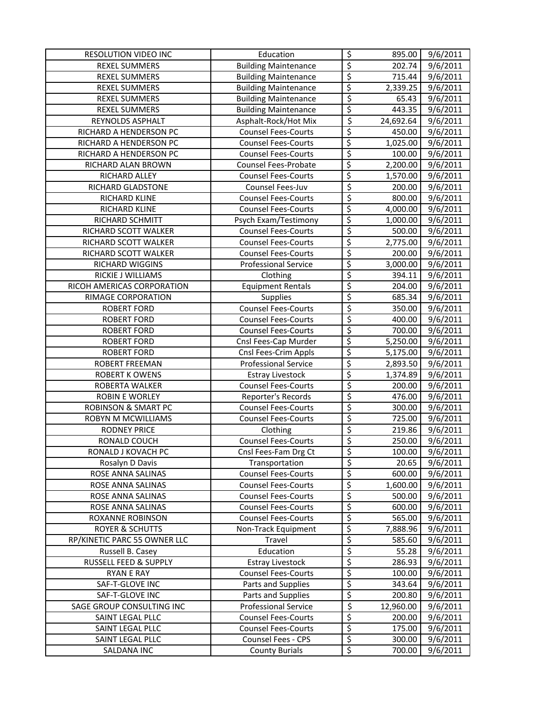| RESOLUTION VIDEO INC           | Education                   | $\overline{\mathcal{S}}$ | 895.00              | 9/6/2011              |
|--------------------------------|-----------------------------|--------------------------|---------------------|-----------------------|
| <b>REXEL SUMMERS</b>           | <b>Building Maintenance</b> | $\overline{\xi}$         | 202.74              | 9/6/2011              |
| <b>REXEL SUMMERS</b>           | <b>Building Maintenance</b> | \$                       | 715.44              | 9/6/2011              |
| <b>REXEL SUMMERS</b>           | <b>Building Maintenance</b> | \$                       | 2,339.25            | $\overline{9}/6/2011$ |
| <b>REXEL SUMMERS</b>           | <b>Building Maintenance</b> | \$                       | 65.43               | $\frac{1}{9}$ /6/2011 |
| <b>REXEL SUMMERS</b>           | <b>Building Maintenance</b> | \$                       | 443.35              | $\overline{9}/6/2011$ |
| REYNOLDS ASPHALT               | Asphalt-Rock/Hot Mix        | \$                       | 24,692.64           | 9/6/2011              |
| RICHARD A HENDERSON PC         | <b>Counsel Fees-Courts</b>  | \$                       | 450.00              | 9/6/2011              |
| RICHARD A HENDERSON PC         | <b>Counsel Fees-Courts</b>  | \$                       | 1,025.00            | 9/6/2011              |
| RICHARD A HENDERSON PC         | <b>Counsel Fees-Courts</b>  | \$                       | 100.00              | 9/6/2011              |
| RICHARD ALAN BROWN             | <b>Counsel Fees-Probate</b> | \$                       | 2,200.00            | 9/6/2011              |
| RICHARD ALLEY                  | <b>Counsel Fees-Courts</b>  | \$                       | 1,570.00            | 9/6/2011              |
| RICHARD GLADSTONE              | Counsel Fees-Juv            | \$                       | 200.00              | 9/6/2011              |
| RICHARD KLINE                  | <b>Counsel Fees-Courts</b>  | \$                       | 800.00              | 9/6/2011              |
| RICHARD KLINE                  | <b>Counsel Fees-Courts</b>  | \$                       | 4,000.00            | 9/6/2011              |
| RICHARD SCHMITT                | Psych Exam/Testimony        | \$                       | 1,000.00            | 9/6/2011              |
| RICHARD SCOTT WALKER           | <b>Counsel Fees-Courts</b>  | \$                       | 500.00              | 9/6/2011              |
| RICHARD SCOTT WALKER           | <b>Counsel Fees-Courts</b>  | \$                       | 2,775.00            | 9/6/2011              |
| RICHARD SCOTT WALKER           | <b>Counsel Fees-Courts</b>  | \$                       | 200.00              | 9/6/2011              |
| RICHARD WIGGINS                | <b>Professional Service</b> | $\overline{\xi}$         | 3,000.00            | 9/6/2011              |
| RICKIE J WILLIAMS              | Clothing                    | \$                       | 394.11              | 9/6/2011              |
| RICOH AMERICAS CORPORATION     | <b>Equipment Rentals</b>    | \$                       | 204.00              | 9/6/2011              |
| RIMAGE CORPORATION             | <b>Supplies</b>             | \$                       | 685.34              | 9/6/2011              |
| <b>ROBERT FORD</b>             | <b>Counsel Fees-Courts</b>  | \$                       | 350.00              | 9/6/2011              |
| <b>ROBERT FORD</b>             | <b>Counsel Fees-Courts</b>  | $\overline{\xi}$         | 400.00              | 9/6/2011              |
| <b>ROBERT FORD</b>             | <b>Counsel Fees-Courts</b>  | \$                       | 700.00              | 9/6/2011              |
| <b>ROBERT FORD</b>             | Cnsl Fees-Cap Murder        | \$                       | 5,250.00            | 9/6/2011              |
| <b>ROBERT FORD</b>             | Cnsl Fees-Crim Appls        | \$                       | 5,175.00            | 9/6/2011              |
| ROBERT FREEMAN                 | <b>Professional Service</b> | \$                       | 2,893.50            | 9/6/2011              |
| <b>ROBERT K OWENS</b>          | <b>Estray Livestock</b>     | \$                       | 1,374.89            | 9/6/2011              |
| ROBERTA WALKER                 | <b>Counsel Fees-Courts</b>  | \$                       | 200.00              | 9/6/2011              |
| <b>ROBIN E WORLEY</b>          | Reporter's Records          | \$                       | 476.00              | 9/6/2011              |
| <b>ROBINSON &amp; SMART PC</b> | <b>Counsel Fees-Courts</b>  | \$                       | 300.00              | 9/6/2011              |
| ROBYN M MCWILLIAMS             | Counsel Fees-Courts         | \$                       | 725.00              | 9/6/2011              |
| <b>RODNEY PRICE</b>            | Clothing                    | \$                       | 219.86              | 9/6/2011              |
| RONALD COUCH                   | Counsel Fees-Courts         | \$                       | 250.00              | 9/6/2011              |
| RONALD J KOVACH PC             | Cnsl Fees-Fam Drg Ct        | \$                       | 100.00              | 9/6/2011              |
| Rosalyn D Davis                | Transportation              | \$                       | 20.65               | 9/6/2011              |
| ROSE ANNA SALINAS              | <b>Counsel Fees-Courts</b>  | $\overline{\xi}$         | 600.00              | 9/6/2011              |
| ROSE ANNA SALINAS              | <b>Counsel Fees-Courts</b>  | \$                       | 1,600.00            | 9/6/2011              |
| ROSE ANNA SALINAS              | <b>Counsel Fees-Courts</b>  | \$                       | 500.00              | 9/6/2011              |
| ROSE ANNA SALINAS              | <b>Counsel Fees-Courts</b>  | \$                       | 600.00              | 9/6/2011              |
| <b>ROXANNE ROBINSON</b>        | <b>Counsel Fees-Courts</b>  | \$                       | 565.00              | 9/6/2011              |
| <b>ROYER &amp; SCHUTTS</b>     | Non-Track Equipment         | \$                       | 7,888.96            | 9/6/2011              |
| RP/KINETIC PARC 55 OWNER LLC   | Travel                      | \$                       | 585.60              | 9/6/2011              |
| Russell B. Casey               | Education                   | \$                       | 55.28               | 9/6/2011              |
| RUSSELL FEED & SUPPLY          | <b>Estray Livestock</b>     |                          |                     |                       |
| <b>RYAN E RAY</b>              | <b>Counsel Fees-Courts</b>  | \$<br>\$                 | 286.93<br>100.00    | 9/6/2011<br>9/6/2011  |
| SAF-T-GLOVE INC                | Parts and Supplies          | $\overline{\mathcal{L}}$ | 343.64              | 9/6/2011              |
| SAF-T-GLOVE INC                | Parts and Supplies          | $\overline{\xi}$         |                     |                       |
| SAGE GROUP CONSULTING INC      | <b>Professional Service</b> | \$                       | 200.80<br>12,960.00 | 9/6/2011<br>9/6/2011  |
|                                | <b>Counsel Fees-Courts</b>  | $\overline{\varsigma}$   |                     | 9/6/2011              |
| SAINT LEGAL PLLC               | <b>Counsel Fees-Courts</b>  | $\overline{\xi}$         | 200.00<br>175.00    |                       |
| SAINT LEGAL PLLC               | Counsel Fees - CPS          | \$                       |                     | 9/6/2011              |
| SAINT LEGAL PLLC               |                             | \$                       | 300.00              | 9/6/2011              |
| SALDANA INC                    | <b>County Burials</b>       |                          | 700.00              | 9/6/2011              |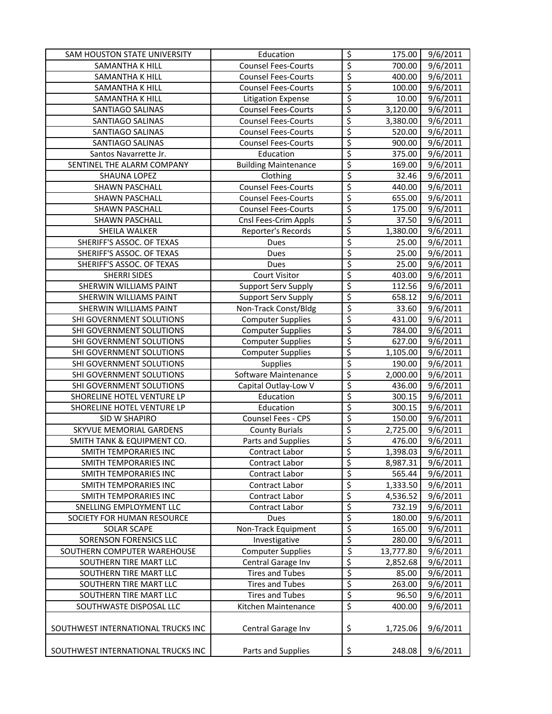| SAM HOUSTON STATE UNIVERSITY                         | Education                            | $\overline{\mathcal{S}}$ | 175.00             | 9/6/2011                          |
|------------------------------------------------------|--------------------------------------|--------------------------|--------------------|-----------------------------------|
| SAMANTHA K HILL                                      | <b>Counsel Fees-Courts</b>           | $\overline{\mathcal{S}}$ | 700.00             | 9/6/2011                          |
| SAMANTHA K HILL                                      | <b>Counsel Fees-Courts</b>           | $\overline{\xi}$         | 400.00             | 9/6/2011                          |
| SAMANTHA K HILL                                      | <b>Counsel Fees-Courts</b>           | $\overline{\xi}$         | 100.00             | $\frac{1}{9}$ /6/2011             |
| SAMANTHA K HILL                                      | <b>Litigation Expense</b>            | $\overline{\xi}$         | 10.00              | 9/6/2011                          |
| SANTIAGO SALINAS                                     | <b>Counsel Fees-Courts</b>           | \$                       | 3,120.00           | 9/6/2011                          |
| SANTIAGO SALINAS                                     | <b>Counsel Fees-Courts</b>           | \$                       | 3,380.00           | 9/6/2011                          |
| SANTIAGO SALINAS                                     | <b>Counsel Fees-Courts</b>           | \$                       | 520.00             | 9/6/2011                          |
| SANTIAGO SALINAS                                     | <b>Counsel Fees-Courts</b>           | \$                       | 900.00             | 9/6/2011                          |
| Santos Navarrette Jr.                                | Education                            | \$                       | 375.00             | 9/6/2011                          |
| SENTINEL THE ALARM COMPANY                           | <b>Building Maintenance</b>          | \$                       | 169.00             | 9/6/2011                          |
| SHAUNA LOPEZ                                         | Clothing                             | \$                       | 32.46              | 9/6/2011                          |
| SHAWN PASCHALL                                       | <b>Counsel Fees-Courts</b>           | $\overline{\xi}$         | 440.00             | 9/6/2011                          |
| SHAWN PASCHALL                                       | <b>Counsel Fees-Courts</b>           | $\overline{\xi}$         | 655.00             | 9/6/2011                          |
| SHAWN PASCHALL                                       | <b>Counsel Fees-Courts</b>           | $\overline{\xi}$         | 175.00             | 9/6/2011                          |
| SHAWN PASCHALL                                       | Cnsl Fees-Crim Appls                 | $\overline{\xi}$         | 37.50              | 9/6/2011                          |
| SHEILA WALKER                                        | Reporter's Records                   | \$                       | 1,380.00           | 9/6/2011                          |
| SHERIFF'S ASSOC. OF TEXAS                            | Dues                                 | \$                       | 25.00              | 9/6/2011                          |
| SHERIFF'S ASSOC. OF TEXAS                            | Dues                                 | $\overline{\xi}$         | 25.00              | 9/6/2011                          |
| SHERIFF'S ASSOC. OF TEXAS                            | Dues                                 | \$                       | 25.00              | 9/6/2011                          |
| <b>SHERRI SIDES</b>                                  | <b>Court Visitor</b>                 | \$                       | 403.00             | 9/6/2011                          |
| <b>SHERWIN WILLIAMS PAINT</b>                        | <b>Support Serv Supply</b>           | \$                       | 112.56             | 9/6/2011                          |
| SHERWIN WILLIAMS PAINT                               | <b>Support Serv Supply</b>           | \$                       | 658.12             | 9/6/2011                          |
| <b>SHERWIN WILLIAMS PAINT</b>                        | Non-Track Const/Bldg                 | \$                       | 33.60              | $\frac{1}{9}$ /6/2011             |
| SHI GOVERNMENT SOLUTIONS                             | <b>Computer Supplies</b>             | $\overline{\xi}$         | 431.00             | 9/6/2011                          |
| SHI GOVERNMENT SOLUTIONS                             | <b>Computer Supplies</b>             | $\overline{\varsigma}$   | 784.00             | 9/6/2011                          |
|                                                      | <b>Computer Supplies</b>             | $\overline{\xi}$         |                    | 9/6/2011                          |
| SHI GOVERNMENT SOLUTIONS                             |                                      | \$                       | 627.00             |                                   |
| SHI GOVERNMENT SOLUTIONS<br>SHI GOVERNMENT SOLUTIONS | <b>Computer Supplies</b><br>Supplies | $\overline{\xi}$         | 1,105.00<br>190.00 | 9/6/2011<br>$\frac{1}{9}$ /6/2011 |
| SHI GOVERNMENT SOLUTIONS                             | Software Maintenance                 | $\overline{\xi}$         | 2,000.00           | 9/6/2011                          |
|                                                      |                                      | \$                       |                    |                                   |
| SHI GOVERNMENT SOLUTIONS                             | Capital Outlay-Low V<br>Education    | \$                       | 436.00             | $\overline{9}/6/2011$             |
| SHORELINE HOTEL VENTURE LP                           |                                      |                          | 300.15             | 9/6/2011                          |
| SHORELINE HOTEL VENTURE LP                           | Education                            | \$                       | 300.15             | 9/6/2011                          |
| SID W SHAPIRO                                        | Counsel Fees - CPS                   | \$                       | 150.00             | 9/6/2011                          |
| SKYVUE MEMORIAL GARDENS                              | <b>County Burials</b>                | \$                       | 2,725.00           | 9/6/2011                          |
| SMITH TANK & EQUIPMENT CO.                           | Parts and Supplies                   | $\overline{\mathcal{L}}$ | 476.00             | 9/6/2011                          |
| SMITH TEMPORARIES INC                                | Contract Labor                       | \$                       | 1,398.03           | 9/6/2011                          |
| SMITH TEMPORARIES INC                                | Contract Labor                       | $\overline{\xi}$         | 8,987.31           | 9/6/2011                          |
| SMITH TEMPORARIES INC                                | Contract Labor                       | \$                       | 565.44             | 9/6/2011                          |
| SMITH TEMPORARIES INC                                | Contract Labor                       | \$                       | 1,333.50           | 9/6/2011                          |
| SMITH TEMPORARIES INC                                | Contract Labor                       | \$                       | 4,536.52           | 9/6/2011                          |
| SNELLING EMPLOYMENT LLC                              | Contract Labor                       | \$                       | 732.19             | 9/6/2011                          |
| SOCIETY FOR HUMAN RESOURCE                           | <b>Dues</b>                          | \$                       | 180.00             | 9/6/2011                          |
| <b>SOLAR SCAPE</b>                                   | Non-Track Equipment                  | \$                       | 165.00             | 9/6/2011                          |
| SORENSON FORENSICS LLC                               | Investigative                        | \$                       | 280.00             | 9/6/2011                          |
| SOUTHERN COMPUTER WAREHOUSE                          | <b>Computer Supplies</b>             | \$                       | 13,777.80          | 9/6/2011                          |
| SOUTHERN TIRE MART LLC                               | Central Garage Inv                   | \$                       | 2,852.68           | 9/6/2011                          |
| SOUTHERN TIRE MART LLC                               | <b>Tires and Tubes</b>               | $\overline{\xi}$         | 85.00              | 9/6/2011                          |
| SOUTHERN TIRE MART LLC                               | <b>Tires and Tubes</b>               | $\overline{\mathcal{L}}$ | 263.00             | 9/6/2011                          |
| SOUTHERN TIRE MART LLC                               | <b>Tires and Tubes</b>               | $\overline{\xi}$         | 96.50              | 9/6/2011                          |
| SOUTHWASTE DISPOSAL LLC                              | Kitchen Maintenance                  | $\overline{\xi}$         | 400.00             | 9/6/2011                          |
| SOUTHWEST INTERNATIONAL TRUCKS INC                   | Central Garage Inv                   | \$                       | 1,725.06           | 9/6/2011                          |
| SOUTHWEST INTERNATIONAL TRUCKS INC                   | Parts and Supplies                   | \$                       | 248.08             | 9/6/2011                          |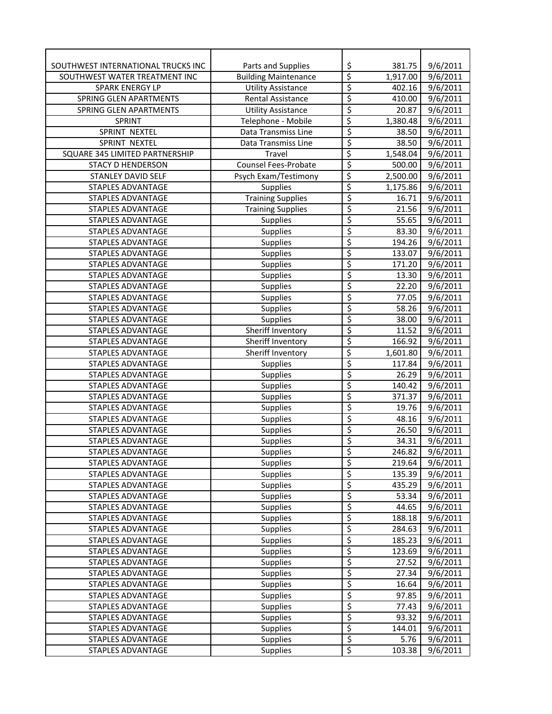| SOUTHWEST INTERNATIONAL TRUCKS INC | Parts and Supplies          | \$                      | 381.75   | 9/6/2011              |
|------------------------------------|-----------------------------|-------------------------|----------|-----------------------|
| SOUTHWEST WATER TREATMENT INC      | <b>Building Maintenance</b> | \$                      | 1,917.00 | 9/6/2011              |
| <b>SPARK ENERGY LP</b>             | <b>Utility Assistance</b>   | \$                      | 402.16   | 9/6/2011              |
| SPRING GLEN APARTMENTS             | <b>Rental Assistance</b>    | \$                      | 410.00   | 9/6/2011              |
| SPRING GLEN APARTMENTS             | <b>Utility Assistance</b>   | $\overline{\xi}$        | 20.87    | 9/6/2011              |
| <b>SPRINT</b>                      | Telephone - Mobile          | \$                      | 1,380.48 | 9/6/2011              |
| SPRINT NEXTEL                      | Data Transmiss Line         | \$                      | 38.50    | 9/6/2011              |
| SPRINT NEXTEL                      | Data Transmiss Line         | \$                      | 38.50    | $\frac{1}{9}$ /6/2011 |
| SQUARE 345 LIMITED PARTNERSHIP     | Travel                      | \$                      | 1,548.04 | 9/6/2011              |
| <b>STACY D HENDERSON</b>           | <b>Counsel Fees-Probate</b> | \$                      | 500.00   | $\frac{1}{9}$ /6/2011 |
| STANLEY DAVID SELF                 | Psych Exam/Testimony        | $\overline{\xi}$        | 2,500.00 | 9/6/2011              |
| STAPLES ADVANTAGE                  | Supplies                    | \$                      | 1,175.86 | 9/6/2011              |
| STAPLES ADVANTAGE                  | <b>Training Supplies</b>    | \$                      | 16.71    | 9/6/2011              |
| <b>STAPLES ADVANTAGE</b>           | <b>Training Supplies</b>    | \$                      | 21.56    | 9/6/2011              |
| <b>STAPLES ADVANTAGE</b>           | <b>Supplies</b>             | \$                      | 55.65    | 9/6/2011              |
| <b>STAPLES ADVANTAGE</b>           | Supplies                    | \$                      | 83.30    | 9/6/2011              |
| <b>STAPLES ADVANTAGE</b>           | Supplies                    | \$                      | 194.26   | 9/6/2011              |
| <b>STAPLES ADVANTAGE</b>           | <b>Supplies</b>             | \$                      | 133.07   | 9/6/2011              |
| <b>STAPLES ADVANTAGE</b>           | <b>Supplies</b>             | \$                      | 171.20   | 9/6/2011              |
| <b>STAPLES ADVANTAGE</b>           | Supplies                    | \$                      | 13.30    | 9/6/2011              |
| <b>STAPLES ADVANTAGE</b>           | <b>Supplies</b>             | \$                      | 22.20    | 9/6/2011              |
| STAPLES ADVANTAGE                  | <b>Supplies</b>             | \$                      | 77.05    | 9/6/2011              |
| STAPLES ADVANTAGE                  | <b>Supplies</b>             | \$                      | 58.26    | 9/6/2011              |
| <b>STAPLES ADVANTAGE</b>           | Supplies                    | \$                      | 38.00    | 9/6/2011              |
| <b>STAPLES ADVANTAGE</b>           | Sheriff Inventory           | \$                      | 11.52    | 9/6/2011              |
| <b>STAPLES ADVANTAGE</b>           | Sheriff Inventory           | \$                      | 166.92   | 9/6/2011              |
| <b>STAPLES ADVANTAGE</b>           | Sheriff Inventory           | \$                      | 1,601.80 | 9/6/2011              |
| <b>STAPLES ADVANTAGE</b>           | <b>Supplies</b>             | \$                      | 117.84   | 9/6/2011              |
| <b>STAPLES ADVANTAGE</b>           | <b>Supplies</b>             | \$                      | 26.29    | 9/6/2011              |
| <b>STAPLES ADVANTAGE</b>           | <b>Supplies</b>             | \$                      | 140.42   | 9/6/2011              |
| STAPLES ADVANTAGE                  | <b>Supplies</b>             | \$                      | 371.37   | 9/6/2011              |
| <b>STAPLES ADVANTAGE</b>           | <b>Supplies</b>             | \$                      | 19.76    | 9/6/2011              |
| STAPLES ADVANTAGE                  | <b>Supplies</b>             | \$                      | 48.16    | 9/6/2011              |
| STAPLES ADVANTAGE                  | Supplies                    | \$                      | 26.50    | 9/6/2011              |
| STAPLES ADVANTAGE                  | <b>Supplies</b>             | \$                      | 34.31    | $\frac{1}{9}$ /6/2011 |
| <b>STAPLES ADVANTAGE</b>           | <b>Supplies</b>             | $\overline{\mathsf{S}}$ | 246.82   | 9/6/2011              |
| STAPLES ADVANTAGE                  | <b>Supplies</b>             | \$                      | 219.64   | 9/6/2011              |
| <b>STAPLES ADVANTAGE</b>           | Supplies                    | \$                      | 135.39   | 9/6/2011              |
| STAPLES ADVANTAGE                  | <b>Supplies</b>             | \$                      | 435.29   | 9/6/2011              |
| STAPLES ADVANTAGE                  | <b>Supplies</b>             | \$                      | 53.34    | 9/6/2011              |
| STAPLES ADVANTAGE                  | <b>Supplies</b>             | \$                      | 44.65    | 9/6/2011              |
| STAPLES ADVANTAGE                  | <b>Supplies</b>             | \$                      | 188.18   | 9/6/2011              |
| STAPLES ADVANTAGE                  | <b>Supplies</b>             | \$                      | 284.63   | 9/6/2011              |
| STAPLES ADVANTAGE                  | <b>Supplies</b>             | \$                      | 185.23   | 9/6/2011              |
| STAPLES ADVANTAGE                  | <b>Supplies</b>             | \$                      | 123.69   | 9/6/2011              |
| STAPLES ADVANTAGE                  | <b>Supplies</b>             | \$                      | 27.52    | 9/6/2011              |
| STAPLES ADVANTAGE                  | Supplies                    | \$                      | 27.34    | 9/6/2011              |
| STAPLES ADVANTAGE                  | <b>Supplies</b>             | \$                      | 16.64    | 9/6/2011              |
| STAPLES ADVANTAGE                  | Supplies                    | \$                      | 97.85    | 9/6/2011              |
| STAPLES ADVANTAGE                  | Supplies                    | \$                      | 77.43    | 9/6/2011              |
| STAPLES ADVANTAGE                  | Supplies                    | \$                      | 93.32    | 9/6/2011              |
| <b>STAPLES ADVANTAGE</b>           | Supplies                    | \$                      | 144.01   | 9/6/2011              |
| <b>STAPLES ADVANTAGE</b>           | <b>Supplies</b>             | \$                      | 5.76     | 9/6/2011              |
| <b>STAPLES ADVANTAGE</b>           | <b>Supplies</b>             | \$                      | 103.38   | 9/6/2011              |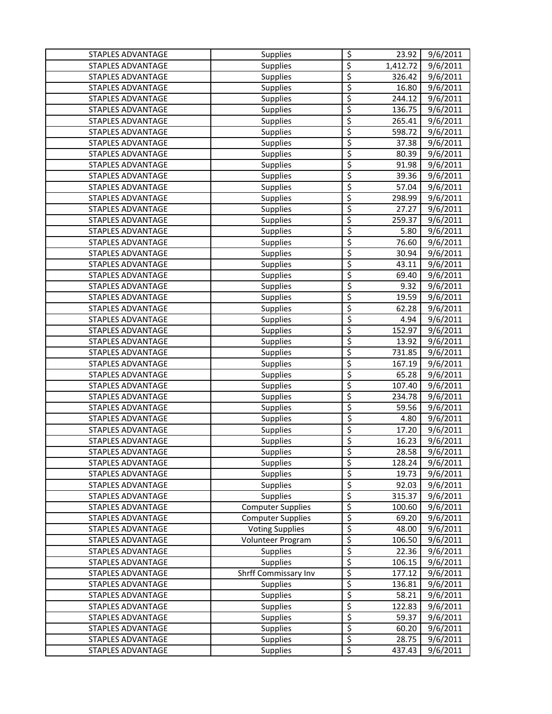| <b>STAPLES ADVANTAGE</b> | Supplies                 | \$<br>23.92                        | 9/6/2011              |
|--------------------------|--------------------------|------------------------------------|-----------------------|
| <b>STAPLES ADVANTAGE</b> | <b>Supplies</b>          | \$<br>1,412.72                     | 9/6/2011              |
| STAPLES ADVANTAGE        | <b>Supplies</b>          | \$<br>326.42                       | 9/6/2011              |
| STAPLES ADVANTAGE        | <b>Supplies</b>          | \$<br>16.80                        | 9/6/2011              |
| <b>STAPLES ADVANTAGE</b> | <b>Supplies</b>          | $\overline{\mathcal{L}}$<br>244.12 | 9/6/2011              |
| <b>STAPLES ADVANTAGE</b> | Supplies                 | \$<br>136.75                       | 9/6/2011              |
| STAPLES ADVANTAGE        | <b>Supplies</b>          | \$<br>265.41                       | 9/6/2011              |
| STAPLES ADVANTAGE        | Supplies                 | \$<br>598.72                       | 9/6/2011              |
| STAPLES ADVANTAGE        | <b>Supplies</b>          | \$<br>37.38                        | 9/6/2011              |
| STAPLES ADVANTAGE        | <b>Supplies</b>          | \$<br>80.39                        | 9/6/2011              |
| <b>STAPLES ADVANTAGE</b> | <b>Supplies</b>          | \$<br>91.98                        | 9/6/2011              |
| STAPLES ADVANTAGE        | Supplies                 | \$<br>39.36                        | 9/6/2011              |
| STAPLES ADVANTAGE        | Supplies                 | \$<br>57.04                        | 9/6/2011              |
| <b>STAPLES ADVANTAGE</b> | Supplies                 | \$<br>298.99                       | 9/6/2011              |
| <b>STAPLES ADVANTAGE</b> | Supplies                 | \$<br>27.27                        | 9/6/2011              |
| <b>STAPLES ADVANTAGE</b> | Supplies                 | \$<br>259.37                       | 9/6/2011              |
| <b>STAPLES ADVANTAGE</b> | <b>Supplies</b>          | \$<br>5.80                         | 9/6/2011              |
| <b>STAPLES ADVANTAGE</b> | <b>Supplies</b>          | \$<br>76.60                        | 9/6/2011              |
| STAPLES ADVANTAGE        | Supplies                 | \$<br>30.94                        | 9/6/2011              |
| STAPLES ADVANTAGE        | Supplies                 | \$<br>43.11                        | 9/6/2011              |
| <b>STAPLES ADVANTAGE</b> | Supplies                 | \$<br>69.40                        | 9/6/2011              |
| <b>STAPLES ADVANTAGE</b> | <b>Supplies</b>          | \$<br>9.32                         | 9/6/2011              |
| <b>STAPLES ADVANTAGE</b> | Supplies                 | \$<br>19.59                        | 9/6/2011              |
| <b>STAPLES ADVANTAGE</b> | <b>Supplies</b>          | \$<br>62.28                        | 9/6/2011              |
| STAPLES ADVANTAGE        | <b>Supplies</b>          | \$<br>4.94                         | 9/6/2011              |
| <b>STAPLES ADVANTAGE</b> | Supplies                 | \$<br>152.97                       | 9/6/2011              |
| <b>STAPLES ADVANTAGE</b> | <b>Supplies</b>          | \$<br>13.92                        | 9/6/2011              |
| STAPLES ADVANTAGE        | <b>Supplies</b>          | \$<br>731.85                       | 9/6/2011              |
| STAPLES ADVANTAGE        | <b>Supplies</b>          | \$<br>167.19                       | 9/6/2011              |
| STAPLES ADVANTAGE        | <b>Supplies</b>          | \$<br>65.28                        | 9/6/2011              |
| STAPLES ADVANTAGE        | <b>Supplies</b>          | $\overline{\xi}$<br>107.40         | 9/6/2011              |
| STAPLES ADVANTAGE        | <b>Supplies</b>          | \$<br>234.78                       | $\frac{1}{9}$ /6/2011 |
| STAPLES ADVANTAGE        | <b>Supplies</b>          | \$<br>59.56                        | 9/6/2011              |
| STAPLES ADVANTAGE        | <b>Supplies</b>          | \$<br>4.80                         | 9/6/2011              |
| <b>STAPLES ADVANTAGE</b> | <b>Supplies</b>          | \$<br>17.20                        | 9/6/2011              |
| <b>STAPLES ADVANTAGE</b> | <b>Supplies</b>          | \$<br>16.23                        | 9/6/2011              |
| <b>STAPLES ADVANTAGE</b> | <b>Supplies</b>          | Ś<br>28.58                         | 9/6/2011              |
| <b>STAPLES ADVANTAGE</b> | <b>Supplies</b>          | \$<br>128.24                       | 9/6/2011              |
| STAPLES ADVANTAGE        | <b>Supplies</b>          | \$<br>19.73                        | 9/6/2011              |
| STAPLES ADVANTAGE        | Supplies                 | \$<br>92.03                        | 9/6/2011              |
| <b>STAPLES ADVANTAGE</b> | <b>Supplies</b>          | \$<br>315.37                       | 9/6/2011              |
| STAPLES ADVANTAGE        | <b>Computer Supplies</b> | \$<br>100.60                       | 9/6/2011              |
| STAPLES ADVANTAGE        | <b>Computer Supplies</b> | \$<br>69.20                        | $\frac{1}{9}$ /6/2011 |
| STAPLES ADVANTAGE        | <b>Voting Supplies</b>   | \$<br>48.00                        | 9/6/2011              |
| STAPLES ADVANTAGE        | Volunteer Program        | \$<br>106.50                       | 9/6/2011              |
| STAPLES ADVANTAGE        | Supplies                 | \$<br>22.36                        | 9/6/2011              |
| STAPLES ADVANTAGE        | Supplies                 | \$<br>106.15                       | 9/6/2011              |
| STAPLES ADVANTAGE        | Shrff Commissary Inv     | \$<br>177.12                       | 9/6/2011              |
| <b>STAPLES ADVANTAGE</b> | <b>Supplies</b>          | \$<br>136.81                       | 9/6/2011              |
| STAPLES ADVANTAGE        | <b>Supplies</b>          | \$<br>58.21                        | 9/6/2011              |
| <b>STAPLES ADVANTAGE</b> | <b>Supplies</b>          | \$<br>122.83                       | 9/6/2011              |
| STAPLES ADVANTAGE        | Supplies                 | \$<br>59.37                        | 9/6/2011              |
| STAPLES ADVANTAGE        | <b>Supplies</b>          | \$<br>60.20                        | 9/6/2011              |
| STAPLES ADVANTAGE        | <b>Supplies</b>          | $\overline{\xi}$<br>28.75          | 9/6/2011              |
| STAPLES ADVANTAGE        | Supplies                 | \$<br>437.43                       | 9/6/2011              |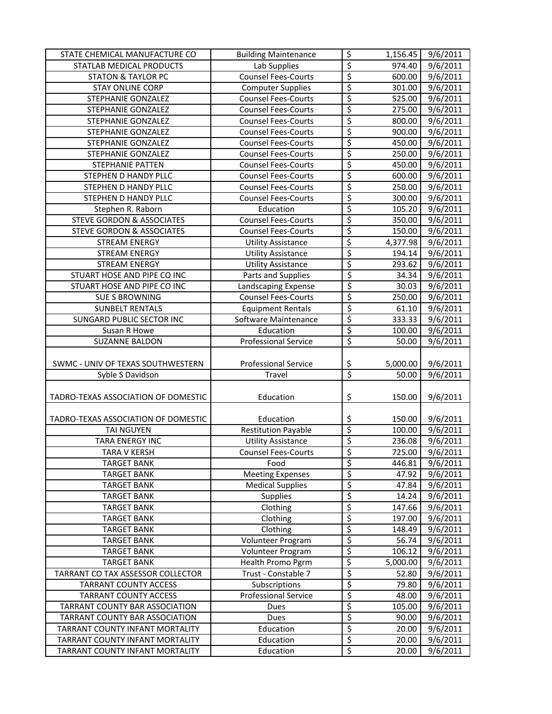| STATE CHEMICAL MANUFACTURE CO                                      | <b>Building Maintenance</b> | \$                                               | 1,156.45       | 9/6/2011              |
|--------------------------------------------------------------------|-----------------------------|--------------------------------------------------|----------------|-----------------------|
| STATLAB MEDICAL PRODUCTS                                           | Lab Supplies                | \$                                               | 974.40         | 9/6/2011              |
| <b>STATON &amp; TAYLOR PC</b>                                      | <b>Counsel Fees-Courts</b>  | \$                                               | 600.00         | 9/6/2011              |
| <b>STAY ONLINE CORP</b>                                            | <b>Computer Supplies</b>    | \$                                               | 301.00         | 9/6/2011              |
| STEPHANIE GONZALEZ                                                 | <b>Counsel Fees-Courts</b>  | \$                                               | 525.00         | 9/6/2011              |
| STEPHANIE GONZALEZ                                                 | <b>Counsel Fees-Courts</b>  | $\overline{\xi}$                                 | 275.00         | $\frac{1}{9}$ /6/2011 |
| STEPHANIE GONZALEZ                                                 | <b>Counsel Fees-Courts</b>  | \$                                               | 800.00         | 9/6/2011              |
| STEPHANIE GONZALEZ                                                 | <b>Counsel Fees-Courts</b>  | \$                                               | 900.00         | $\frac{1}{9}$ /6/2011 |
| STEPHANIE GONZALEZ                                                 | <b>Counsel Fees-Courts</b>  | \$                                               | 450.00         | 9/6/2011              |
| STEPHANIE GONZALEZ                                                 | <b>Counsel Fees-Courts</b>  | \$                                               | 250.00         | 9/6/2011              |
| <b>STEPHANIE PATTEN</b>                                            | <b>Counsel Fees-Courts</b>  | \$                                               | 450.00         | 9/6/2011              |
| STEPHEN D HANDY PLLC                                               | <b>Counsel Fees-Courts</b>  | \$                                               | 600.00         | 9/6/2011              |
| STEPHEN D HANDY PLLC                                               | <b>Counsel Fees-Courts</b>  | \$                                               | 250.00         | 9/6/2011              |
| STEPHEN D HANDY PLLC                                               | <b>Counsel Fees-Courts</b>  | \$                                               | 300.00         | 9/6/2011              |
| Stephen R. Raborn                                                  | Education                   | \$                                               | 105.20         | 9/6/2011              |
| <b>STEVE GORDON &amp; ASSOCIATES</b>                               | <b>Counsel Fees-Courts</b>  | $\overline{\varsigma}$                           | 350.00         | 9/6/2011              |
| <b>STEVE GORDON &amp; ASSOCIATES</b>                               | <b>Counsel Fees-Courts</b>  | \$                                               | 150.00         | 9/6/2011              |
| <b>STREAM ENERGY</b>                                               | <b>Utility Assistance</b>   | \$                                               | 4,377.98       | 9/6/2011              |
| <b>STREAM ENERGY</b>                                               | <b>Utility Assistance</b>   | \$                                               | 194.14         | 9/6/2011              |
| <b>STREAM ENERGY</b>                                               | <b>Utility Assistance</b>   | \$                                               | 293.62         | 9/6/2011              |
| STUART HOSE AND PIPE CO INC                                        | Parts and Supplies          | \$                                               | 34.34          | 9/6/2011              |
| STUART HOSE AND PIPE CO INC                                        | Landscaping Expense         | \$                                               | 30.03          | 9/6/2011              |
| <b>SUE S BROWNING</b>                                              | <b>Counsel Fees-Courts</b>  | \$                                               | 250.00         | 9/6/2011              |
| <b>SUNBELT RENTALS</b>                                             | <b>Equipment Rentals</b>    | \$                                               | 61.10          | 9/6/2011              |
| SUNGARD PUBLIC SECTOR INC                                          | Software Maintenance        | \$                                               | 333.33         | 9/6/2011              |
| Susan R Howe                                                       | Education                   | \$                                               | 100.00         | 9/6/2011              |
| <b>SUZANNE BALDON</b>                                              | <b>Professional Service</b> | \$                                               | 50.00          | 9/6/2011              |
|                                                                    |                             |                                                  |                |                       |
|                                                                    |                             |                                                  |                |                       |
|                                                                    |                             |                                                  |                |                       |
| SWMC - UNIV OF TEXAS SOUTHWESTERN                                  | <b>Professional Service</b> | \$                                               | 5,000.00       | 9/6/2011              |
| Syble S Davidson                                                   | Travel                      | $\overline{\varsigma}$                           | 50.00          | 9/6/2011              |
|                                                                    |                             |                                                  |                |                       |
| TADRO-TEXAS ASSOCIATION OF DOMESTIC                                | Education                   | \$                                               | 150.00         | 9/6/2011              |
|                                                                    |                             |                                                  |                |                       |
| TADRO-TEXAS ASSOCIATION OF DOMESTIC                                | Education                   | \$                                               | 150.00         | 9/6/2011              |
| <b>TAI NGUYEN</b>                                                  | <b>Restitution Payable</b>  | \$                                               | 100.00         | 9/6/2011              |
| <b>TARA ENERGY INC</b>                                             | <b>Utility Assistance</b>   | \$                                               | 236.08         | 9/6/2011              |
| <b>TARA V KERSH</b>                                                | <b>Counsel Fees-Courts</b>  | \$                                               | 725.00         | 9/6/2011              |
| <b>TARGET BANK</b>                                                 | Food                        | \$                                               | 446.81         | 9/6/2011              |
| <b>TARGET BANK</b>                                                 | <b>Meeting Expenses</b>     | \$                                               | 47.92          | 9/6/2011              |
| <b>TARGET BANK</b>                                                 | <b>Medical Supplies</b>     | \$                                               | 47.84          | $\frac{1}{9}$ /6/2011 |
| <b>TARGET BANK</b>                                                 | Supplies                    | \$                                               | 14.24          | 9/6/2011              |
| <b>TARGET BANK</b>                                                 | Clothing                    | \$                                               | 147.66         | 9/6/2011              |
| <b>TARGET BANK</b>                                                 | Clothing                    | \$                                               | 197.00         | 9/6/2011              |
| <b>TARGET BANK</b>                                                 | Clothing                    | \$                                               | 148.49         | 9/6/2011              |
| <b>TARGET BANK</b>                                                 | Volunteer Program           | \$                                               | 56.74          | 9/6/2011              |
| <b>TARGET BANK</b>                                                 | Volunteer Program           | \$                                               | 106.12         | 9/6/2011              |
| <b>TARGET BANK</b>                                                 | Health Promo Pgrm           | \$                                               | 5,000.00       | 9/6/2011              |
| TARRANT CO TAX ASSESSOR COLLECTOR                                  | Trust - Constable 7         | \$                                               | 52.80          | 9/6/2011              |
| <b>TARRANT COUNTY ACCESS</b>                                       | Subscriptions               | \$                                               | 79.80          | 9/6/2011              |
| <b>TARRANT COUNTY ACCESS</b>                                       | <b>Professional Service</b> | $\overline{\xi}$                                 | 48.00          | 9/6/2011              |
| TARRANT COUNTY BAR ASSOCIATION                                     | Dues                        | \$                                               | 105.00         | 9/6/2011              |
| TARRANT COUNTY BAR ASSOCIATION                                     | Dues                        | $\overline{\xi}$                                 | 90.00          | 9/6/2011              |
| TARRANT COUNTY INFANT MORTALITY                                    | Education                   | \$                                               | 20.00          | 9/6/2011              |
| TARRANT COUNTY INFANT MORTALITY<br>TARRANT COUNTY INFANT MORTALITY | Education<br>Education      | $\overline{\varsigma}$<br>$\overline{\varsigma}$ | 20.00<br>20.00 | 9/6/2011<br>9/6/2011  |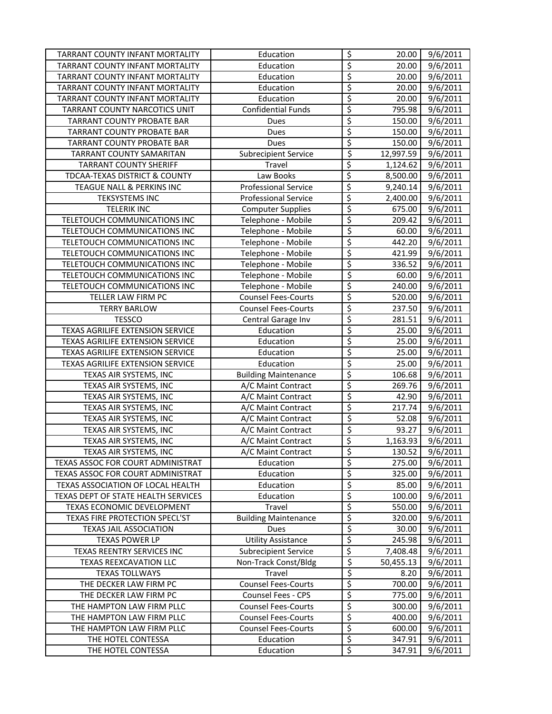| TARRANT COUNTY INFANT MORTALITY        | Education                   | $\varsigma$                     | 20.00     | 9/6/2011              |
|----------------------------------------|-----------------------------|---------------------------------|-----------|-----------------------|
| <b>TARRANT COUNTY INFANT MORTALITY</b> | Education                   | \$                              | 20.00     | 9/6/2011              |
| TARRANT COUNTY INFANT MORTALITY        | Education                   | \$                              | 20.00     | 9/6/2011              |
| TARRANT COUNTY INFANT MORTALITY        | Education                   | \$                              | 20.00     | 9/6/2011              |
| TARRANT COUNTY INFANT MORTALITY        | Education                   | \$                              | 20.00     | 9/6/2011              |
| TARRANT COUNTY NARCOTICS UNIT          | <b>Confidential Funds</b>   | \$                              | 795.98    | 9/6/2011              |
| TARRANT COUNTY PROBATE BAR             | Dues                        | \$                              | 150.00    | $\frac{1}{9}$ /6/2011 |
| <b>TARRANT COUNTY PROBATE BAR</b>      | Dues                        | \$                              | 150.00    | 9/6/2011              |
| <b>TARRANT COUNTY PROBATE BAR</b>      | Dues                        | \$                              | 150.00    | 9/6/2011              |
| TARRANT COUNTY SAMARITAN               | <b>Subrecipient Service</b> | \$                              | 12,997.59 | 9/6/2011              |
| <b>TARRANT COUNTY SHERIFF</b>          | Travel                      | \$                              | 1,124.62  | 9/6/2011              |
| TDCAA-TEXAS DISTRICT & COUNTY          | Law Books                   | \$                              | 8,500.00  | 9/6/2011              |
| TEAGUE NALL & PERKINS INC              | <b>Professional Service</b> | \$                              | 9,240.14  | 9/6/2011              |
| <b>TEKSYSTEMS INC</b>                  | <b>Professional Service</b> | \$                              | 2,400.00  | 9/6/2011              |
| <b>TELERIK INC</b>                     | <b>Computer Supplies</b>    | \$                              | 675.00    | 9/6/2011              |
| TELETOUCH COMMUNICATIONS INC           | Telephone - Mobile          | \$                              | 209.42    | 9/6/2011              |
| TELETOUCH COMMUNICATIONS INC           | Telephone - Mobile          | \$                              | 60.00     | 9/6/2011              |
| TELETOUCH COMMUNICATIONS INC           | Telephone - Mobile          | \$                              | 442.20    | 9/6/2011              |
| TELETOUCH COMMUNICATIONS INC           | Telephone - Mobile          | \$                              | 421.99    | 9/6/2011              |
| TELETOUCH COMMUNICATIONS INC           | Telephone - Mobile          | \$                              | 336.52    | 9/6/2011              |
| TELETOUCH COMMUNICATIONS INC           | Telephone - Mobile          | $\overline{\varsigma}$          | 60.00     | 9/6/2011              |
| TELETOUCH COMMUNICATIONS INC           | Telephone - Mobile          | $\overline{\xi}$                | 240.00    | 9/6/2011              |
| TELLER LAW FIRM PC                     | <b>Counsel Fees-Courts</b>  | $\overline{\xi}$                | 520.00    | 9/6/2011              |
| <b>TERRY BARLOW</b>                    | <b>Counsel Fees-Courts</b>  | $\overline{\xi}$                | 237.50    | 9/6/2011              |
| <b>TESSCO</b>                          | Central Garage Inv          | $\overline{\varsigma}$          | 281.51    | 9/6/2011              |
| TEXAS AGRILIFE EXTENSION SERVICE       | Education                   | \$                              | 25.00     | 9/6/2011              |
| TEXAS AGRILIFE EXTENSION SERVICE       | Education                   | \$                              | 25.00     | 9/6/2011              |
| TEXAS AGRILIFE EXTENSION SERVICE       | Education                   | \$                              | 25.00     | 9/6/2011              |
| TEXAS AGRILIFE EXTENSION SERVICE       | Education                   | \$                              | 25.00     | 9/6/2011              |
| TEXAS AIR SYSTEMS, INC                 | <b>Building Maintenance</b> | \$                              | 106.68    | 9/6/2011              |
| TEXAS AIR SYSTEMS, INC                 | A/C Maint Contract          | \$                              | 269.76    | 9/6/2011              |
| TEXAS AIR SYSTEMS, INC                 | A/C Maint Contract          | \$                              | 42.90     | 9/6/2011              |
| TEXAS AIR SYSTEMS, INC                 | A/C Maint Contract          | \$                              | 217.74    | 9/6/2011              |
| TEXAS AIR SYSTEMS, INC                 | A/C Maint Contract          | \$                              | 52.08     | 9/6/2011              |
| TEXAS AIR SYSTEMS, INC                 | A/C Maint Contract          | \$                              | 93.27     | 9/6/2011              |
| TEXAS AIR SYSTEMS, INC                 | A/C Maint Contract          | \$                              | 1,163.93  | 9/6/2011              |
| TEXAS AIR SYSTEMS, INC                 | A/C Maint Contract          | \$                              | 130.52    | 9/6/2011              |
| TEXAS ASSOC FOR COURT ADMINISTRAT      | Education                   | \$                              | 275.00    | 9/6/2011              |
| TEXAS ASSOC FOR COURT ADMINISTRAT      | Education                   | \$                              | 325.00    | 9/6/2011              |
| TEXAS ASSOCIATION OF LOCAL HEALTH      | Education                   | \$                              | 85.00     | 9/6/2011              |
| TEXAS DEPT OF STATE HEALTH SERVICES    | Education                   | \$                              | 100.00    | 9/6/2011              |
| TEXAS ECONOMIC DEVELOPMENT             | Travel                      | \$                              | 550.00    | 9/6/2011              |
| TEXAS FIRE PROTECTION SPECL'ST         | <b>Building Maintenance</b> | \$                              | 320.00    | 9/6/2011              |
| <b>TEXAS JAIL ASSOCIATION</b>          | Dues                        | \$                              | 30.00     | 9/6/2011              |
| <b>TEXAS POWER LP</b>                  | <b>Utility Assistance</b>   | \$                              | 245.98    | 9/6/2011              |
| TEXAS REENTRY SERVICES INC             | <b>Subrecipient Service</b> | \$                              | 7,408.48  | 9/6/2011              |
| TEXAS REEXCAVATION LLC                 | Non-Track Const/Bldg        | \$                              | 50,455.13 | 9/6/2011              |
| <b>TEXAS TOLLWAYS</b>                  | Travel                      | \$                              | 8.20      | 9/6/2011              |
| THE DECKER LAW FIRM PC                 | <b>Counsel Fees-Courts</b>  | \$                              | 700.00    | 9/6/2011              |
| THE DECKER LAW FIRM PC                 | Counsel Fees - CPS          | $\overline{\varsigma}$          | 775.00    | 9/6/2011              |
| THE HAMPTON LAW FIRM PLLC              | <b>Counsel Fees-Courts</b>  | \$                              | 300.00    | 9/6/2011              |
| THE HAMPTON LAW FIRM PLLC              | <b>Counsel Fees-Courts</b>  | $\overline{\boldsymbol{\zeta}}$ | 400.00    | 9/6/2011              |
| THE HAMPTON LAW FIRM PLLC              | <b>Counsel Fees-Courts</b>  | \$                              | 600.00    | 9/6/2011              |
| THE HOTEL CONTESSA                     | Education                   | \$                              | 347.91    | 9/6/2011              |
| THE HOTEL CONTESSA                     | Education                   | \$                              | 347.91    | 9/6/2011              |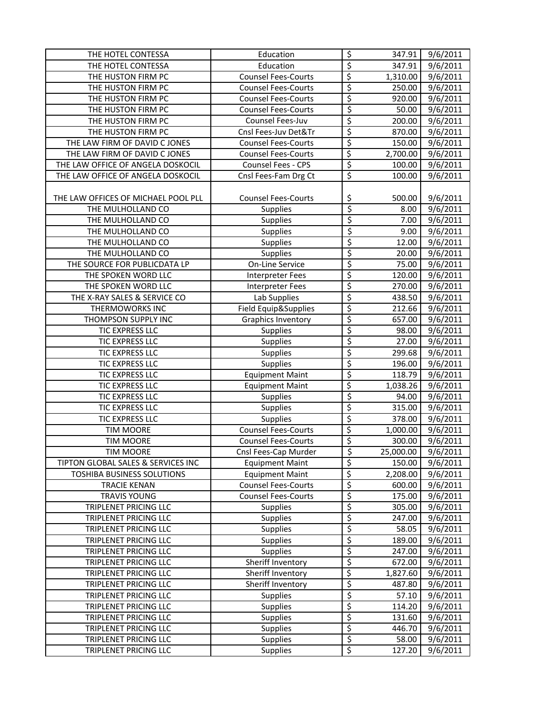| THE HOTEL CONTESSA                  | Education                  | $\overline{\mathcal{S}}$ | 347.91    | 9/6/2011              |
|-------------------------------------|----------------------------|--------------------------|-----------|-----------------------|
| THE HOTEL CONTESSA                  | Education                  | $\overline{\xi}$         | 347.91    | 9/6/2011              |
| THE HUSTON FIRM PC                  | <b>Counsel Fees-Courts</b> | $\overline{\mathcal{L}}$ | 1,310.00  | 9/6/2011              |
| THE HUSTON FIRM PC                  | <b>Counsel Fees-Courts</b> | \$                       | 250.00    | 9/6/2011              |
| THE HUSTON FIRM PC                  | <b>Counsel Fees-Courts</b> | \$                       | 920.00    | 9/6/2011              |
| THE HUSTON FIRM PC                  | <b>Counsel Fees-Courts</b> | \$                       | 50.00     | $\frac{1}{9}$ /6/2011 |
| THE HUSTON FIRM PC                  | Counsel Fees-Juv           | $\overline{\varsigma}$   | 200.00    | 9/6/2011              |
| THE HUSTON FIRM PC                  | Cnsl Fees-Juv Det&Tr       | \$                       | 870.00    | 9/6/2011              |
| THE LAW FIRM OF DAVID C JONES       | <b>Counsel Fees-Courts</b> | \$                       | 150.00    | 9/6/2011              |
| THE LAW FIRM OF DAVID C JONES       | <b>Counsel Fees-Courts</b> | \$                       | 2,700.00  | 9/6/2011              |
| THE LAW OFFICE OF ANGELA DOSKOCIL   | Counsel Fees - CPS         | \$                       | 100.00    | 9/6/2011              |
| THE LAW OFFICE OF ANGELA DOSKOCIL   | Cnsl Fees-Fam Drg Ct       | \$                       | 100.00    | 9/6/2011              |
|                                     |                            |                          |           |                       |
| THE LAW OFFICES OF MICHAEL POOL PLL | <b>Counsel Fees-Courts</b> | \$                       | 500.00    | 9/6/2011              |
| THE MULHOLLAND CO                   | Supplies                   | $\overline{\xi}$         | 8.00      | 9/6/2011              |
| THE MULHOLLAND CO                   | Supplies                   | \$                       | 7.00      | 9/6/2011              |
| THE MULHOLLAND CO                   | Supplies                   | $\overline{\xi}$         | 9.00      | 9/6/2011              |
| THE MULHOLLAND CO                   | Supplies                   | \$                       | 12.00     | 9/6/2011              |
| THE MULHOLLAND CO                   | Supplies                   | \$                       | 20.00     | 9/6/2011              |
| THE SOURCE FOR PUBLICDATA LP        | <b>On-Line Service</b>     | $\overline{\varsigma}$   | 75.00     | 9/6/2011              |
| THE SPOKEN WORD LLC                 | <b>Interpreter Fees</b>    | \$                       | 120.00    | 9/6/2011              |
| THE SPOKEN WORD LLC                 | <b>Interpreter Fees</b>    | \$                       | 270.00    | 9/6/2011              |
| THE X-RAY SALES & SERVICE CO        | Lab Supplies               | \$                       | 438.50    | 9/6/2011              |
| THERMOWORKS INC                     | Field Equip&Supplies       | \$                       | 212.66    | 9/6/2011              |
| THOMPSON SUPPLY INC                 | <b>Graphics Inventory</b>  | $\overline{\varsigma}$   | 657.00    | 9/6/2011              |
| TIC EXPRESS LLC                     | Supplies                   | \$                       | 98.00     | 9/6/2011              |
| TIC EXPRESS LLC                     | Supplies                   | \$                       | 27.00     | 9/6/2011              |
| TIC EXPRESS LLC                     | Supplies                   | $\overline{\mathcal{L}}$ | 299.68    | 9/6/2011              |
| TIC EXPRESS LLC                     | <b>Supplies</b>            | \$                       | 196.00    | $\frac{1}{9}$ /6/2011 |
| TIC EXPRESS LLC                     | <b>Equipment Maint</b>     | \$                       | 118.79    | $\overline{9}/6/2011$ |
| TIC EXPRESS LLC                     | <b>Equipment Maint</b>     | \$                       | 1,038.26  | 9/6/2011              |
| TIC EXPRESS LLC                     | <b>Supplies</b>            | \$                       | 94.00     | 9/6/2011              |
| TIC EXPRESS LLC                     | Supplies                   | \$                       | 315.00    | $\frac{1}{9}$ 6/2011  |
| TIC EXPRESS LLC                     | Supplies                   | \$                       | 378.00    | 9/6/2011              |
| <b>TIM MOORE</b>                    | <b>Counsel Fees-Courts</b> | \$                       | 1,000.00  | 9/6/2011              |
| <b>TIM MOORE</b>                    | <b>Counsel Fees-Courts</b> | \$                       | 300.00    | 9/6/2011              |
| TIM MOORE                           | Cnsl Fees-Cap Murder       | \$                       | 25,000.00 | 9/6/2011              |
| TIPTON GLOBAL SALES & SERVICES INC  | <b>Equipment Maint</b>     | $\overline{\xi}$         | 150.00    | 9/6/2011              |
| TOSHIBA BUSINESS SOLUTIONS          | <b>Equipment Maint</b>     | $\overline{\xi}$         | 2,208.00  | 9/6/2011              |
| <b>TRACIE KENAN</b>                 | <b>Counsel Fees-Courts</b> | \$                       | 600.00    | 9/6/2011              |
| <b>TRAVIS YOUNG</b>                 | <b>Counsel Fees-Courts</b> | \$                       | 175.00    | 9/6/2011              |
| TRIPLENET PRICING LLC               | <b>Supplies</b>            | \$                       | 305.00    | 9/6/2011              |
| TRIPLENET PRICING LLC               | <b>Supplies</b>            | \$                       | 247.00    | 9/6/2011              |
| TRIPLENET PRICING LLC               | <b>Supplies</b>            | \$                       | 58.05     | 9/6/2011              |
| TRIPLENET PRICING LLC               | Supplies                   | $\overline{\mathcal{L}}$ | 189.00    | 9/6/2011              |
| TRIPLENET PRICING LLC               | <b>Supplies</b>            | \$                       | 247.00    | 9/6/2011              |
| TRIPLENET PRICING LLC               | Sheriff Inventory          | $\overline{\xi}$         | 672.00    | 9/6/2011              |
| TRIPLENET PRICING LLC               | Sheriff Inventory          | $\overline{\mathcal{L}}$ | 1,827.60  | 9/6/2011              |
| TRIPLENET PRICING LLC               | Sheriff Inventory          | \$                       | 487.80    | 9/6/2011              |
| TRIPLENET PRICING LLC               | <b>Supplies</b>            | $\overline{\mathcal{S}}$ | 57.10     | 9/6/2011              |
| TRIPLENET PRICING LLC               | <b>Supplies</b>            | $\overline{\xi}$         | 114.20    | 9/6/2011              |
| TRIPLENET PRICING LLC               | <b>Supplies</b>            | \$                       | 131.60    | 9/6/2011              |
| TRIPLENET PRICING LLC               | <b>Supplies</b>            | $\overline{\xi}$         | 446.70    | 9/6/2011              |
| TRIPLENET PRICING LLC               | <b>Supplies</b>            | $\varsigma$              | 58.00     | 9/6/2011              |
| TRIPLENET PRICING LLC               | Supplies                   | \$                       | 127.20    | 9/6/2011              |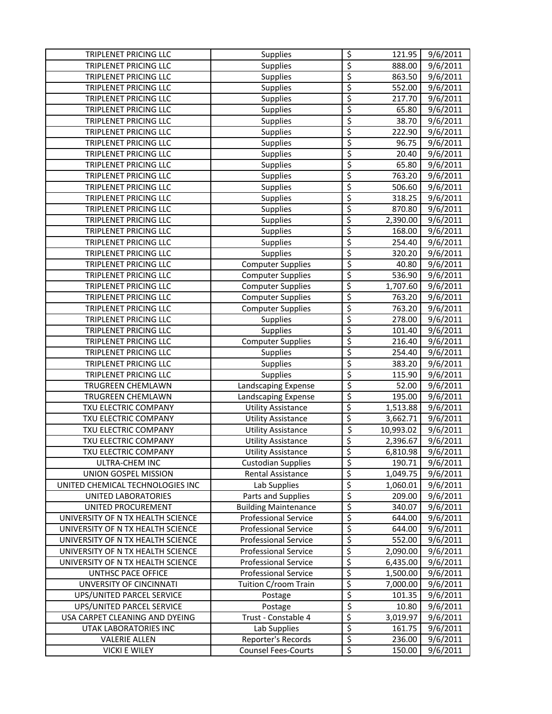| TRIPLENET PRICING LLC             | <b>Supplies</b>             | \$                       | 121.95    | 9/6/2011              |
|-----------------------------------|-----------------------------|--------------------------|-----------|-----------------------|
| TRIPLENET PRICING LLC             | <b>Supplies</b>             | \$                       | 888.00    | 9/6/2011              |
| TRIPLENET PRICING LLC             | <b>Supplies</b>             | \$                       | 863.50    | 9/6/2011              |
| TRIPLENET PRICING LLC             | <b>Supplies</b>             | \$                       | 552.00    | 9/6/2011              |
| TRIPLENET PRICING LLC             | <b>Supplies</b>             | \$                       | 217.70    | 9/6/2011              |
| TRIPLENET PRICING LLC             | Supplies                    | \$                       | 65.80     | $\frac{1}{9}$ /6/2011 |
| TRIPLENET PRICING LLC             | <b>Supplies</b>             | \$                       | 38.70     | 9/6/2011              |
| TRIPLENET PRICING LLC             | <b>Supplies</b>             | \$                       | 222.90    | $\frac{1}{9}$ /6/2011 |
| TRIPLENET PRICING LLC             | <b>Supplies</b>             | \$                       | 96.75     | $\frac{1}{9}$ /6/2011 |
| TRIPLENET PRICING LLC             | <b>Supplies</b>             | \$                       | 20.40     | 9/6/2011              |
| TRIPLENET PRICING LLC             | Supplies                    | \$                       | 65.80     | 9/6/2011              |
| TRIPLENET PRICING LLC             | <b>Supplies</b>             | \$                       | 763.20    | 9/6/2011              |
| TRIPLENET PRICING LLC             | Supplies                    | \$                       | 506.60    | 9/6/2011              |
| TRIPLENET PRICING LLC             | <b>Supplies</b>             | \$                       | 318.25    | 9/6/2011              |
| TRIPLENET PRICING LLC             | Supplies                    | \$                       | 870.80    | 9/6/2011              |
| TRIPLENET PRICING LLC             | Supplies                    | \$                       | 2,390.00  | 9/6/2011              |
| TRIPLENET PRICING LLC             | <b>Supplies</b>             | \$                       | 168.00    | 9/6/2011              |
| TRIPLENET PRICING LLC             | <b>Supplies</b>             | \$                       | 254.40    | 9/6/2011              |
| TRIPLENET PRICING LLC             | <b>Supplies</b>             | \$                       | 320.20    | 9/6/2011              |
| TRIPLENET PRICING LLC             | <b>Computer Supplies</b>    | \$                       | 40.80     | 9/6/2011              |
| TRIPLENET PRICING LLC             | Computer Supplies           | \$                       | 536.90    | 9/6/2011              |
| TRIPLENET PRICING LLC             | <b>Computer Supplies</b>    | \$                       | 1,707.60  | 9/6/2011              |
| TRIPLENET PRICING LLC             | <b>Computer Supplies</b>    | \$                       | 763.20    | 9/6/2011              |
| TRIPLENET PRICING LLC             | <b>Computer Supplies</b>    | \$                       | 763.20    | 9/6/2011              |
| TRIPLENET PRICING LLC             | <b>Supplies</b>             | \$                       | 278.00    | 9/6/2011              |
| TRIPLENET PRICING LLC             | Supplies                    | \$                       | 101.40    | 9/6/2011              |
| TRIPLENET PRICING LLC             | <b>Computer Supplies</b>    | \$                       | 216.40    | 9/6/2011              |
| TRIPLENET PRICING LLC             | <b>Supplies</b>             | \$                       | 254.40    | 9/6/2011              |
| TRIPLENET PRICING LLC             | <b>Supplies</b>             | \$                       | 383.20    | 9/6/2011              |
| TRIPLENET PRICING LLC             | <b>Supplies</b>             | \$                       | 115.90    | 9/6/2011              |
| TRUGREEN CHEMLAWN                 | Landscaping Expense         | \$                       | 52.00     | $\frac{1}{9}$ /6/2011 |
| TRUGREEN CHEMLAWN                 | Landscaping Expense         | \$                       | 195.00    | $\frac{1}{9}$ /6/2011 |
| TXU ELECTRIC COMPANY              | <b>Utility Assistance</b>   | \$                       | 1,513.88  | 9/6/2011              |
| TXU ELECTRIC COMPANY              | <b>Utility Assistance</b>   | \$                       | 3,662.71  | 9/6/2011              |
| TXU ELECTRIC COMPANY              | <b>Utility Assistance</b>   | \$                       | 10,993.02 | 9/6/2011              |
| TXU ELECTRIC COMPANY              | <b>Utility Assistance</b>   | \$                       | 2,396.67  | 9/6/2011              |
| <b>TXU ELECTRIC COMPANY</b>       | <b>Utility Assistance</b>   | \$                       | 6,810.98  | 9/6/2011              |
| ULTRA-CHEM INC                    | <b>Custodian Supplies</b>   | \$                       | 190.71    | 9/6/2011              |
| UNION GOSPEL MISSION              | Rental Assistance           | \$                       | 1,049.75  | 9/6/2011              |
| UNITED CHEMICAL TECHNOLOGIES INC  | Lab Supplies                | \$                       | 1,060.01  | 9/6/2011              |
| UNITED LABORATORIES               | Parts and Supplies          | \$                       | 209.00    | 9/6/2011              |
| UNITED PROCUREMENT                | <b>Building Maintenance</b> | \$                       | 340.07    | 9/6/2011              |
| UNIVERSITY OF N TX HEALTH SCIENCE | <b>Professional Service</b> | \$                       | 644.00    | 9/6/2011              |
| UNIVERSITY OF N TX HEALTH SCIENCE | <b>Professional Service</b> | \$                       | 644.00    | 9/6/2011              |
| UNIVERSITY OF N TX HEALTH SCIENCE | <b>Professional Service</b> | \$                       | 552.00    | 9/6/2011              |
| UNIVERSITY OF N TX HEALTH SCIENCE | <b>Professional Service</b> | \$                       | 2,090.00  | 9/6/2011              |
| UNIVERSITY OF N TX HEALTH SCIENCE | <b>Professional Service</b> | \$                       | 6,435.00  | 9/6/2011              |
| UNTHSC PACE OFFICE                | <b>Professional Service</b> | \$                       | 1,500.00  | 9/6/2011              |
| UNVERSITY OF CINCINNATI           | Tuition C/room Train        | \$                       | 7,000.00  | 9/6/2011              |
| UPS/UNITED PARCEL SERVICE         | Postage                     | \$                       | 101.35    | 9/6/2011              |
| UPS/UNITED PARCEL SERVICE         | Postage                     | \$                       | 10.80     | 9/6/2011              |
| USA CARPET CLEANING AND DYEING    | Trust - Constable 4         | \$                       | 3,019.97  | 9/6/2011              |
| UTAK LABORATORIES INC             | Lab Supplies                | \$                       | 161.75    | 9/6/2011              |
| <b>VALERIE ALLEN</b>              | Reporter's Records          | \$                       | 236.00    | 9/6/2011              |
| <b>VICKI E WILEY</b>              | <b>Counsel Fees-Courts</b>  | $\overline{\mathcal{S}}$ | 150.00    | 9/6/2011              |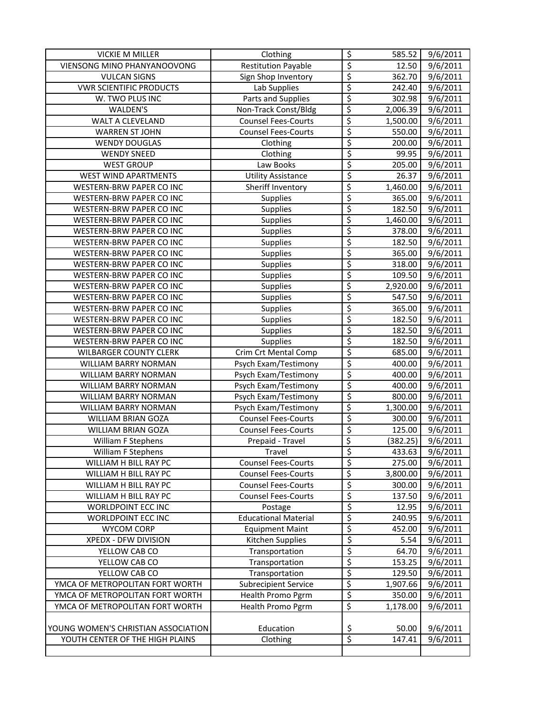| <b>VICKIE M MILLER</b>              | Clothing                    | \$                       | 585.52   | 9/6/2011              |
|-------------------------------------|-----------------------------|--------------------------|----------|-----------------------|
| VIENSONG MINO PHANYANOOVONG         | <b>Restitution Payable</b>  | $\overline{\xi}$         | 12.50    | 9/6/2011              |
| <b>VULCAN SIGNS</b>                 | Sign Shop Inventory         | \$                       | 362.70   | 9/6/2011              |
| <b>VWR SCIENTIFIC PRODUCTS</b>      | Lab Supplies                | \$                       | 242.40   | 9/6/2011              |
| W. TWO PLUS INC                     | Parts and Supplies          | \$                       | 302.98   | 9/6/2011              |
| WALDEN'S                            | Non-Track Const/Bldg        | \$                       | 2,006.39 | 9/6/2011              |
| WALT A CLEVELAND                    | <b>Counsel Fees-Courts</b>  | \$                       | 1,500.00 | $\frac{1}{9}$ /6/2011 |
| <b>WARREN ST JOHN</b>               | <b>Counsel Fees-Courts</b>  | \$                       | 550.00   | 9/6/2011              |
| <b>WENDY DOUGLAS</b>                | Clothing                    | \$                       | 200.00   | 9/6/2011              |
| <b>WENDY SNEED</b>                  | Clothing                    | \$                       | 99.95    | 9/6/2011              |
| <b>WEST GROUP</b>                   | Law Books                   | \$                       | 205.00   | 9/6/2011              |
| <b>WEST WIND APARTMENTS</b>         | <b>Utility Assistance</b>   | $\overline{\xi}$         | 26.37    | 9/6/2011              |
| WESTERN-BRW PAPER CO INC            | Sheriff Inventory           | \$                       | 1,460.00 | 9/6/2011              |
| WESTERN-BRW PAPER CO INC            | Supplies                    | \$                       | 365.00   | 9/6/2011              |
| WESTERN-BRW PAPER CO INC            | <b>Supplies</b>             | \$                       | 182.50   | 9/6/2011              |
| WESTERN-BRW PAPER CO INC            | Supplies                    | \$                       | 1,460.00 | 9/6/2011              |
| WESTERN-BRW PAPER CO INC            | Supplies                    | \$                       | 378.00   | 9/6/2011              |
| WESTERN-BRW PAPER CO INC            | Supplies                    | \$                       | 182.50   | 9/6/2011              |
| WESTERN-BRW PAPER CO INC            | <b>Supplies</b>             | $\overline{\varsigma}$   | 365.00   | 9/6/2011              |
| WESTERN-BRW PAPER CO INC            | <b>Supplies</b>             | \$                       | 318.00   | 9/6/2011              |
| WESTERN-BRW PAPER CO INC            | <b>Supplies</b>             | \$                       | 109.50   | 9/6/2011              |
| WESTERN-BRW PAPER CO INC            | Supplies                    | \$                       | 2,920.00 | 9/6/2011              |
| WESTERN-BRW PAPER CO INC            | Supplies                    | \$                       | 547.50   | 9/6/2011              |
| WESTERN-BRW PAPER CO INC            | <b>Supplies</b>             | $\overline{\mathcal{S}}$ | 365.00   | 9/6/2011              |
| WESTERN-BRW PAPER CO INC            | <b>Supplies</b>             | $\overline{\mathcal{S}}$ | 182.50   | 9/6/2011              |
| WESTERN-BRW PAPER CO INC            | Supplies                    | \$                       | 182.50   | 9/6/2011              |
| WESTERN-BRW PAPER CO INC            | <b>Supplies</b>             | $\overline{\mathcal{S}}$ | 182.50   | 9/6/2011              |
| <b>WILBARGER COUNTY CLERK</b>       | Crim Crt Mental Comp        | \$                       | 685.00   | 9/6/2011              |
| WILLIAM BARRY NORMAN                | Psych Exam/Testimony        | \$                       | 400.00   | 9/6/2011              |
| WILLIAM BARRY NORMAN                | Psych Exam/Testimony        | $\overline{\mathcal{L}}$ | 400.00   | 9/6/2011              |
| WILLIAM BARRY NORMAN                | Psych Exam/Testimony        | \$                       | 400.00   | 9/6/2011              |
| WILLIAM BARRY NORMAN                | Psych Exam/Testimony        | \$                       | 800.00   | $\frac{1}{9}$ /6/2011 |
| WILLIAM BARRY NORMAN                | Psych Exam/Testimony        | \$                       | 1,300.00 | 9/6/2011              |
| WILLIAM BRIAN GOZA                  | <b>Counsel Fees-Courts</b>  | \$                       | 300.00   | 9/6/2011              |
| <b>WILLIAM BRIAN GOZA</b>           | <b>Counsel Fees-Courts</b>  | $\overline{\xi}$         | 125.00   | 9/6/2011              |
| William F Stephens                  | Prepaid - Travel            | \$                       | (382.25) | 9/6/2011              |
| William F Stephens                  | Travel                      | \$                       | 433.63   | 9/6/2011              |
| WILLIAM H BILL RAY PC               | <b>Counsel Fees-Courts</b>  | \$                       | 275.00   | 9/6/2011              |
| WILLIAM H BILL RAY PC               | <b>Counsel Fees-Courts</b>  | \$                       | 3,800.00 | 9/6/2011              |
| WILLIAM H BILL RAY PC               | <b>Counsel Fees-Courts</b>  | \$                       | 300.00   | 9/6/2011              |
| WILLIAM H BILL RAY PC               | <b>Counsel Fees-Courts</b>  | \$                       | 137.50   | 9/6/2011              |
| WORLDPOINT ECC INC                  | Postage                     | \$                       | 12.95    | 9/6/2011              |
| WORLDPOINT ECC INC                  | <b>Educational Material</b> | \$                       | 240.95   | 9/6/2011              |
| WYCOM CORP                          | <b>Equipment Maint</b>      | \$                       | 452.00   | 9/6/2011              |
| XPEDX - DFW DIVISION                | Kitchen Supplies            | \$                       | 5.54     | 9/6/2011              |
| YELLOW CAB CO                       | Transportation              | \$                       | 64.70    | 9/6/2011              |
| YELLOW CAB CO                       | Transportation              | $\overline{\mathcal{S}}$ | 153.25   | 9/6/2011              |
| YELLOW CAB CO                       | Transportation              | \$                       | 129.50   | 9/6/2011              |
| YMCA OF METROPOLITAN FORT WORTH     | <b>Subrecipient Service</b> | \$                       | 1,907.66 | 9/6/2011              |
| YMCA OF METROPOLITAN FORT WORTH     | Health Promo Pgrm           | $\varsigma$              | 350.00   | 9/6/2011              |
| YMCA OF METROPOLITAN FORT WORTH     | Health Promo Pgrm           | \$                       | 1,178.00 | 9/6/2011              |
|                                     |                             |                          |          |                       |
| YOUNG WOMEN'S CHRISTIAN ASSOCIATION | Education                   | <u>\$</u>                | 50.00    | 9/6/2011              |
| YOUTH CENTER OF THE HIGH PLAINS     | Clothing                    | $\overline{\xi}$         | 147.41   | 9/6/2011              |
|                                     |                             |                          |          |                       |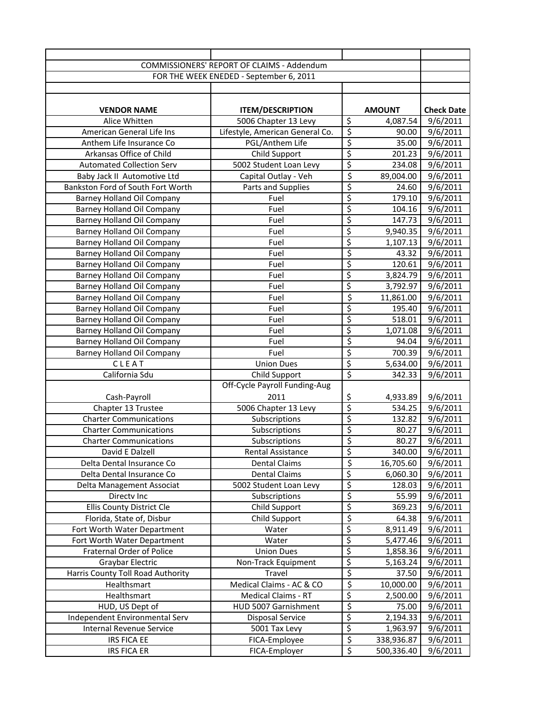| COMMISSIONERS' REPORT OF CLAIMS - Addendum |                                             |                                      |                      |                   |
|--------------------------------------------|---------------------------------------------|--------------------------------------|----------------------|-------------------|
| FOR THE WEEK ENEDED - September 6, 2011    |                                             |                                      |                      |                   |
|                                            |                                             |                                      |                      |                   |
|                                            |                                             |                                      |                      |                   |
| <b>VENDOR NAME</b>                         | <b>ITEM/DESCRIPTION</b>                     |                                      | <b>AMOUNT</b>        | <b>Check Date</b> |
| Alice Whitten                              | 5006 Chapter 13 Levy                        | $\overline{\mathcal{S}}$             | 4,087.54             | 9/6/2011          |
| American General Life Ins                  | Lifestyle, American General Co.             | $\overline{\xi}$                     | 90.00                | 9/6/2011          |
| Anthem Life Insurance Co                   | PGL/Anthem Life                             | $\overline{\xi}$                     | 35.00                | 9/6/2011          |
| Arkansas Office of Child                   | Child Support                               | $\overline{\xi}$                     | 201.23               | 9/6/2011          |
| <b>Automated Collection Serv</b>           | 5002 Student Loan Levy                      | \$                                   | 234.08               | 9/6/2011          |
| Baby Jack II Automotive Ltd                | Capital Outlay - Veh                        | \$                                   | 89,004.00            | 9/6/2011          |
| Bankston Ford of South Fort Worth          | Parts and Supplies                          | \$                                   | 24.60                | 9/6/2011          |
| <b>Barney Holland Oil Company</b>          | Fuel                                        | \$                                   | 179.10               | 9/6/2011          |
| <b>Barney Holland Oil Company</b>          | Fuel                                        | \$                                   | 104.16               | 9/6/2011          |
| <b>Barney Holland Oil Company</b>          | Fuel                                        | \$                                   | 147.73               | 9/6/2011          |
| <b>Barney Holland Oil Company</b>          | Fuel                                        | $\overline{\xi}$                     | 9,940.35             | 9/6/2011          |
| <b>Barney Holland Oil Company</b>          | Fuel                                        | $\overline{\varsigma}$               | 1,107.13             | 9/6/2011          |
| <b>Barney Holland Oil Company</b>          | Fuel                                        | $\overline{\xi}$                     | 43.32                | 9/6/2011          |
| <b>Barney Holland Oil Company</b>          | Fuel                                        | $\overline{\varsigma}$               | 120.61               | 9/6/2011          |
| <b>Barney Holland Oil Company</b>          | Fuel                                        | $\overline{\xi}$                     | 3,824.79             | 9/6/2011          |
| <b>Barney Holland Oil Company</b>          | Fuel                                        | $\overline{\xi}$                     | 3,792.97             | 9/6/2011          |
| <b>Barney Holland Oil Company</b>          | Fuel                                        | \$                                   | 11,861.00            | 9/6/2011          |
| <b>Barney Holland Oil Company</b>          | Fuel                                        | \$                                   | 195.40               | 9/6/2011          |
| <b>Barney Holland Oil Company</b>          | Fuel                                        | $\overline{\xi}$                     | 518.01               | 9/6/2011          |
| Barney Holland Oil Company                 | Fuel                                        | \$                                   | 1,071.08             | 9/6/2011          |
| <b>Barney Holland Oil Company</b>          | Fuel                                        | \$                                   | 94.04                | 9/6/2011          |
| <b>Barney Holland Oil Company</b>          | Fuel                                        | $\overline{\mathcal{S}}$             | 700.39               | 9/6/2011          |
| CLEAT                                      | <b>Union Dues</b>                           | $\overline{\xi}$                     | 5,634.00             | 9/6/2011          |
| California Sdu                             | Child Support                               | \$                                   | 342.33               | 9/6/2011          |
|                                            | Off-Cycle Payroll Funding-Aug               |                                      |                      |                   |
| Cash-Payroll                               | 2011                                        | \$                                   | 4,933.89             | 9/6/2011          |
| Chapter 13 Trustee                         | 5006 Chapter 13 Levy                        | $\overline{\xi}$                     | 534.25               | 9/6/2011          |
| <b>Charter Communications</b>              | Subscriptions                               | $\overline{\xi}$                     | 132.82               | 9/6/2011          |
| <b>Charter Communications</b>              | Subscriptions                               | \$                                   | 80.27                | 9/6/2011          |
| <b>Charter Communications</b>              | Subscriptions                               | \$                                   | 80.27                | 9/6/2011          |
| David E Dalzell                            | <b>Rental Assistance</b>                    | $\overline{\mathsf{s}}$              | 340.00               | 9/6/2011          |
| Delta Dental Insurance Co                  | <b>Dental Claims</b>                        | \$                                   | 16,705.60            | 9/6/2011          |
| Delta Dental Insurance Co                  | <b>Dental Claims</b>                        | \$                                   | 6,060.30             | 9/6/2011          |
| Delta Management Associat                  | 5002 Student Loan Levy                      | $\overline{\mathcal{L}}$             | 128.03               | 9/6/2011          |
| Directv Inc                                | Subscriptions                               | \$                                   | 55.99                | 9/6/2011          |
| Ellis County District Cle                  | Child Support                               | $\overline{\xi}$                     | 369.23               | 9/6/2011          |
| Florida, State of, Disbur                  | Child Support                               | $\overline{\xi}$                     | 64.38                | 9/6/2011          |
| Fort Worth Water Department                | Water                                       | $\overline{\xi}$                     | 8,911.49             | 9/6/2011          |
| Fort Worth Water Department                | Water                                       | $\overline{\xi}$                     | 5,477.46             | 9/6/2011          |
| Fraternal Order of Police                  | <b>Union Dues</b>                           | $\overline{\xi}$                     |                      | 9/6/2011          |
|                                            |                                             | $\overline{\xi}$                     | 1,858.36<br>5,163.24 |                   |
| Graybar Electric                           | Non-Track Equipment                         | \$                                   |                      | 9/6/2011          |
| Harris County Toll Road Authority          | Travel                                      |                                      | 37.50                | 9/6/2011          |
| Healthsmart                                | Medical Claims - AC & CO                    | $\overline{\xi}$<br>$\overline{\xi}$ | 10,000.00            | 9/6/2011          |
| Healthsmart                                | Medical Claims - RT<br>HUD 5007 Garnishment | \$                                   | 2,500.00             | 9/6/2011          |
| HUD, US Dept of                            |                                             |                                      | 75.00                | 9/6/2011          |
| Independent Environmental Serv             | <b>Disposal Service</b>                     | $\overline{\mathcal{S}}$             | 2,194.33             | 9/6/2011          |
| Internal Revenue Service                   | 5001 Tax Levy                               | \$                                   | 1,963.97             | 9/6/2011          |
| <b>IRS FICA EE</b>                         | FICA-Employee                               | $\overline{\xi}$                     | 338,936.87           | 9/6/2011          |
| <b>IRS FICA ER</b>                         | FICA-Employer                               | \$                                   | 500,336.40           | 9/6/2011          |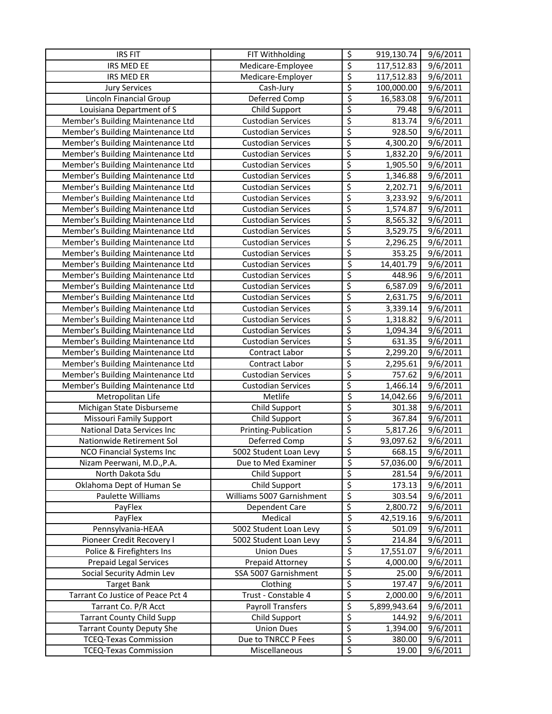| <b>IRS FIT</b>                    | FIT Withholding           | \$                              | 919,130.74            | 9/6/2011 |
|-----------------------------------|---------------------------|---------------------------------|-----------------------|----------|
| IRS MED EE                        | Medicare-Employee         | \$                              | 117,512.83            | 9/6/2011 |
| IRS MED ER                        | Medicare-Employer         | $\overline{\varsigma}$          | 117,512.83            | 9/6/2011 |
| <b>Jury Services</b>              | Cash-Jury                 | $\overline{\xi}$                | 100,000.00            | 9/6/2011 |
| Lincoln Financial Group           | Deferred Comp             | $\varsigma$                     | 16,583.08             | 9/6/2011 |
| Louisiana Department of S         | Child Support             | \$                              | 79.48                 | 9/6/2011 |
| Member's Building Maintenance Ltd | <b>Custodian Services</b> | \$                              | 813.74                | 9/6/2011 |
| Member's Building Maintenance Ltd | <b>Custodian Services</b> | \$                              | 928.50                | 9/6/2011 |
| Member's Building Maintenance Ltd | <b>Custodian Services</b> | \$                              | 4,300.20              | 9/6/2011 |
| Member's Building Maintenance Ltd | <b>Custodian Services</b> | \$                              | 1,832.20              | 9/6/2011 |
| Member's Building Maintenance Ltd | <b>Custodian Services</b> | \$                              | 1,905.50              | 9/6/2011 |
| Member's Building Maintenance Ltd | <b>Custodian Services</b> | \$                              | 1,346.88              | 9/6/2011 |
| Member's Building Maintenance Ltd | <b>Custodian Services</b> | \$                              | 2,202.71              | 9/6/2011 |
| Member's Building Maintenance Ltd | <b>Custodian Services</b> | \$                              | 3,233.92              | 9/6/2011 |
| Member's Building Maintenance Ltd | <b>Custodian Services</b> | \$                              | 1,574.87              | 9/6/2011 |
| Member's Building Maintenance Ltd | <b>Custodian Services</b> | \$                              | 8,565.32              | 9/6/2011 |
| Member's Building Maintenance Ltd | <b>Custodian Services</b> | \$                              | 3,529.75              | 9/6/2011 |
| Member's Building Maintenance Ltd | <b>Custodian Services</b> | \$                              | 2,296.25              | 9/6/2011 |
| Member's Building Maintenance Ltd | <b>Custodian Services</b> | \$                              | 353.25                | 9/6/2011 |
| Member's Building Maintenance Ltd | <b>Custodian Services</b> | \$                              | 14,401.79             | 9/6/2011 |
| Member's Building Maintenance Ltd | <b>Custodian Services</b> | \$                              | 448.96                | 9/6/2011 |
| Member's Building Maintenance Ltd | <b>Custodian Services</b> | \$                              | 6,587.09              | 9/6/2011 |
| Member's Building Maintenance Ltd | <b>Custodian Services</b> | \$                              | 2,631.75              | 9/6/2011 |
| Member's Building Maintenance Ltd | <b>Custodian Services</b> | \$                              | 3,339.14              | 9/6/2011 |
| Member's Building Maintenance Ltd | <b>Custodian Services</b> | \$                              | 1,318.82              | 9/6/2011 |
| Member's Building Maintenance Ltd | <b>Custodian Services</b> | \$                              | 1,094.34              | 9/6/2011 |
| Member's Building Maintenance Ltd | <b>Custodian Services</b> | $\overline{\mathcal{S}}$        | 631.35                | 9/6/2011 |
| Member's Building Maintenance Ltd | Contract Labor            | \$                              | 2,299.20              | 9/6/2011 |
| Member's Building Maintenance Ltd | Contract Labor            | \$                              | 2,295.61              | 9/6/2011 |
| Member's Building Maintenance Ltd | <b>Custodian Services</b> | $\overline{\boldsymbol{\zeta}}$ | 757.62                | 9/6/2011 |
| Member's Building Maintenance Ltd | <b>Custodian Services</b> | \$                              | 1,466.14              | 9/6/2011 |
| Metropolitan Life                 | Metlife                   | \$                              | 14,042.66             | 9/6/2011 |
| Michigan State Disburseme         | Child Support             | \$                              | 301.38                | 9/6/2011 |
| Missouri Family Support           | Child Support             | $\overline{\xi}$                | 367.84                | 9/6/2011 |
| National Data Services Inc        | Printing-Publication      | \$                              | $\overline{5,817.26}$ | 9/6/2011 |
| Nationwide Retirement Sol         | Deferred Comp             | \$                              | 93,097.62             | 9/6/2011 |
| NCO Financial Systems Inc         | 5002 Student Loan Levy    | \$                              | 668.15                | 9/6/2011 |
| Nizam Peerwani, M.D., P.A.        | Due to Med Examiner       | $\overline{\mathcal{S}}$        | 57,036.00             | 9/6/2011 |
| North Dakota Sdu                  | Child Support             | \$                              | 281.54                | 9/6/2011 |
| Oklahoma Dept of Human Se         | Child Support             | \$                              | 173.13                | 9/6/2011 |
| Paulette Williams                 | Williams 5007 Garnishment | $\overline{\varsigma}$          | 303.54                | 9/6/2011 |
| PayFlex                           | Dependent Care            | \$                              | 2,800.72              | 9/6/2011 |
| PayFlex                           | Medical                   | \$                              | 42,519.16             | 9/6/2011 |
| Pennsylvania-HEAA                 | 5002 Student Loan Levy    | \$                              | 501.09                | 9/6/2011 |
| Pioneer Credit Recovery I         | 5002 Student Loan Levy    | \$                              | 214.84                | 9/6/2011 |
| Police & Firefighters Ins         | <b>Union Dues</b>         | \$                              | 17,551.07             | 9/6/2011 |
| <b>Prepaid Legal Services</b>     | Prepaid Attorney          | \$                              | 4,000.00              | 9/6/2011 |
| Social Security Admin Lev         | SSA 5007 Garnishment      | \$                              | 25.00                 | 9/6/2011 |
| <b>Target Bank</b>                | Clothing                  | \$                              | 197.47                | 9/6/2011 |
| Tarrant Co Justice of Peace Pct 4 | Trust - Constable 4       | \$                              | 2,000.00              | 9/6/2011 |
| Tarrant Co. P/R Acct              | <b>Payroll Transfers</b>  | \$                              | 5,899,943.64          | 9/6/2011 |
| <b>Tarrant County Child Supp</b>  | Child Support             | \$                              | 144.92                | 9/6/2011 |
| <b>Tarrant County Deputy She</b>  | <b>Union Dues</b>         | \$                              | 1,394.00              | 9/6/2011 |
| <b>TCEQ-Texas Commission</b>      | Due to TNRCC P Fees       | $\overline{\mathcal{L}}$        | 380.00                | 9/6/2011 |
| <b>TCEQ-Texas Commission</b>      | Miscellaneous             | \$                              | 19.00                 | 9/6/2011 |
|                                   |                           |                                 |                       |          |